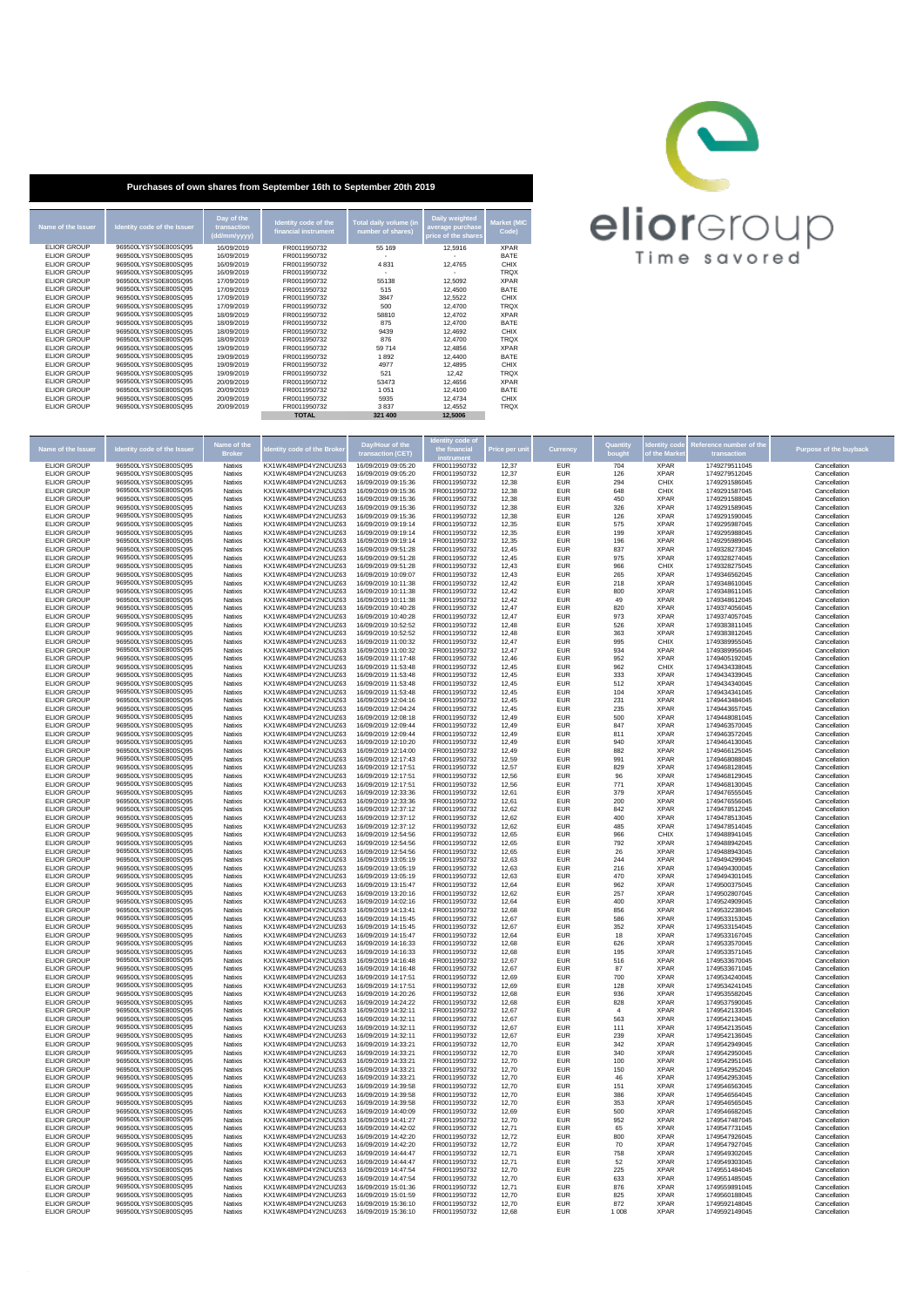

| Purchases of own shares from September 16th to September 20th 2019                                                                                                                                                                                                                                         |                                                                                                                                                                                                                                                                                                                                                                      |                                                                                                                                                                                                                |                                                                                                                                                                                                                                              |                                                                                                           |                                                                                                                                             |                                                                                                                                                                                                   |  |  |  |  |  |
|------------------------------------------------------------------------------------------------------------------------------------------------------------------------------------------------------------------------------------------------------------------------------------------------------------|----------------------------------------------------------------------------------------------------------------------------------------------------------------------------------------------------------------------------------------------------------------------------------------------------------------------------------------------------------------------|----------------------------------------------------------------------------------------------------------------------------------------------------------------------------------------------------------------|----------------------------------------------------------------------------------------------------------------------------------------------------------------------------------------------------------------------------------------------|-----------------------------------------------------------------------------------------------------------|---------------------------------------------------------------------------------------------------------------------------------------------|---------------------------------------------------------------------------------------------------------------------------------------------------------------------------------------------------|--|--|--|--|--|
| Name of the Issuer                                                                                                                                                                                                                                                                                         | Identity code of the Issuer                                                                                                                                                                                                                                                                                                                                          | Day of the<br>transaction<br>(dd/mm/yyyy)                                                                                                                                                                      | Identity code of the<br>financial instrument                                                                                                                                                                                                 | Total daily volume (in<br>number of shares)                                                               | Daily weighted<br>average purchase<br>price of the shares                                                                                   | <b>Market (MIC</b><br>Code)                                                                                                                                                                       |  |  |  |  |  |
| <b>ELIOR GROUP</b><br><b>ELIOR GROUP</b><br><b>ELIOR GROUP</b><br>FLIOR GROUP<br><b>ELIOR GROUP</b><br><b>ELIOR GROUP</b><br>FLIOR GROUP<br><b>ELIOR GROUP</b><br><b>ELIOR GROUP</b><br><b>ELIOR GROUP</b><br><b>ELIOR GROUP</b><br>FLIOR GROUP<br><b>ELIOR GROUP</b><br>FLIOR GROUP<br><b>ELIOR GROUP</b> | 969500LYSYS0E800SQ95<br>969500LYSYS0E800SQ95<br>969500LYSYS0E800SQ95<br>969500LYSYS0E800SO95<br>969500LYSYS0E800SQ95<br>969500LYSYS0E800SQ95<br>969500LYSYS0E800SO95<br>969500LYSYS0E800SQ95<br>969500LYSYS0E800SQ95<br>969500LYSYS0E800SQ95<br>969500LYSYS0E800SQ95<br>969500LYSYS0E800SO95<br>969500LYSYS0E800SQ95<br>969500LYSYS0E800SO95<br>969500LYSYS0E800SO95 | 16/09/2019<br>16/09/2019<br>16/09/2019<br>16/09/2019<br>17/09/2019<br>17/09/2019<br>17/09/2019<br>17/09/2019<br>18/09/2019<br>18/09/2019<br>18/09/2019<br>18/09/2019<br>19/09/2019<br>19/09/2019<br>19/09/2019 | FR0011950732<br>FR0011950732<br>FR0011950732<br>FR0011950732<br>FR0011950732<br>FR0011950732<br>FR0011950732<br>FR0011950732<br>FR0011950732<br>FR0011950732<br>FR0011950732<br>FR0011950732<br>FR0011950732<br>FR0011950732<br>FR0011950732 | 55 169<br>4 8 3 1<br>55138<br>515<br>3847<br>500<br>58810<br>875<br>9439<br>876<br>59 714<br>1892<br>4977 | 12.5916<br>12.4765<br>12.5092<br>12,4500<br>12.5522<br>12,4700<br>12.4702<br>12,4700<br>12.4692<br>12,4700<br>12.4856<br>12,4400<br>12.4895 | <b>XPAR</b><br><b>BATE</b><br>CHIX<br><b>TROX</b><br><b>XPAR</b><br><b>BATE</b><br>CHIX<br><b>TRQX</b><br><b>XPAR</b><br><b>BATE</b><br>CHIX<br><b>TROX</b><br><b>XPAR</b><br><b>BATE</b><br>CHIX |  |  |  |  |  |
| <b>ELIOR GROUP</b><br>FLIOR GROUP<br><b>ELIOR GROUP</b><br><b>ELIOR GROUP</b><br><b>ELIOR GROUP</b>                                                                                                                                                                                                        | 969500LYSYS0E800SQ95<br>969500LYSYS0E800SO95<br>969500LYSYS0E800SQ95<br>969500LYSYS0E800SQ95<br>969500LYSYS0E800SQ95                                                                                                                                                                                                                                                 | 19/09/2019<br>20/09/2019<br>20/09/2019<br>20/09/2019<br>20/09/2019                                                                                                                                             | FR0011950732<br>FR0011950732<br>FR0011950732<br>FR0011950732<br>FR0011950732<br><b>TOTAL</b>                                                                                                                                                 | 521<br>53473<br>1 0 5 1<br>5935<br>3837<br>321 400                                                        | 12.42<br>12.4656<br>12.4100<br>12.4734<br>12.4552<br>12.5006                                                                                | <b>TROX</b><br><b>XPAR</b><br><b>BATE</b><br>CHIX<br><b>TROX</b>                                                                                                                                  |  |  |  |  |  |

| Name of the Issuer                       | dentity code of the Issue                    | Name of the               | ntity code of the Brok                       | Day/Hour of the                            |                              | rice per ul    | <b>Currency</b>          | <b>Quantity</b> |                            | Reference number of the        | Purpose of the buyback       |
|------------------------------------------|----------------------------------------------|---------------------------|----------------------------------------------|--------------------------------------------|------------------------------|----------------|--------------------------|-----------------|----------------------------|--------------------------------|------------------------------|
| <b>ELIOR GROUP</b>                       | 969500LYSYS0E800SQ95                         | <b>Broker</b><br>Natixis  | KX1WK48MPD4Y2NCUIZ63                         | transaction (CET)<br>16/09/2019 09:05:20   | FR0011950732                 | 12.37          | <b>EUR</b>               | bough<br>704    | the Mark<br><b>XPAR</b>    | transaction<br>1749279511045   | Cancellation                 |
| <b>ELIOR GROUP</b>                       | 969500LYSYS0E800SO95                         | Natixis                   | KX1WK48MPD4Y2NCUIZ63                         | 16/09/2019 09:05:20                        | FR0011950732                 | 12.37          | <b>EUR</b>               | 126             | <b>XPAR</b>                | 1749279512045                  | Cancellation                 |
| ELIOR GROUP                              | 969500LYSYS0E800SQ95                         | Natixis                   | KX1WK48MPD4Y2NCUIZ63                         | 16/09/2019 09:15:36                        | FR0011950732                 | 12,38          | <b>EUR</b>               | 294             | CHIX                       | 1749291586045                  | Cancellation                 |
| <b>ELIOR GROUP</b>                       | 969500LYSYS0E800SQ95                         | Natixis                   | KX1WK48MPD4Y2NCUIZ63                         | 16/09/2019 09:15:36                        | FR0011950732                 | 12.38          | <b>EUR</b>               | 648             | CHIX                       | 1749291587045                  | Cancellation                 |
| <b>ELIOR GROUP</b>                       | 969500LYSYS0E800SQ95                         | Natixis                   | KX1WK48MPD4Y2NCUIZ63                         | 16/09/2019 09:15:36                        | FR0011950732                 | 12.38          | <b>EUR</b>               | 450             | <b>XPAR</b>                | 1749291588045                  | Cancellation                 |
| <b>ELIOR GROUP</b>                       | 969500LYSYS0E800SQ95                         | Natixis                   | KX1WK48MPD4Y2NCUIZ63                         | 16/09/2019 09:15:36                        | FR0011950732                 | 12.38          | <b>EUR</b>               | 326             | <b>XPAR</b>                | 1749291589045                  | Cancellation                 |
| <b>ELIOR GROUP</b>                       | 969500LYSYS0E800SQ95                         | Natixis                   | KX1WK48MPD4Y2NCUIZ63                         | 16/09/2019 09:15:36                        | FR0011950732                 | 12.38          | <b>EUR</b>               | 126             | <b>XPAR</b>                | 1749291590045                  | Cancellation                 |
| ELIOR GROUP<br><b>ELIOR GROUP</b>        | 969500LYSYS0E800SQ95<br>969500LYSYS0E800SQ95 | Natixis<br>Natixis        | KX1WK48MPD4Y2NCUIZ63<br>KX1WK48MPD4Y2NCUIZ63 | 16/09/2019 09:19:14<br>16/09/2019 09:19:14 | FR0011950732<br>FR0011950732 | 12,35<br>12.35 | <b>EUR</b><br><b>EUR</b> | 575<br>199      | <b>XPAR</b><br><b>XPAR</b> | 1749295987045<br>1749295988045 | Cancellation<br>Cancellation |
| <b>ELIOR GROUP</b>                       | 969500LYSYS0E800SQ95                         | Natixis                   | KX1WK48MPD4Y2NCUIZ63                         | 16/09/2019 09:19:14                        | FR0011950732                 | 12.35          | <b>EUR</b>               | 196             | <b>XPAR</b>                | 1749295989045                  | Cancellation                 |
| FLIOR GROUP                              | 969500LYSYS0E800SO95                         | <b>Natixis</b>            | KX1WK48MPD4Y2NCUIZ63                         | 16/09/2019 09:51:28                        | FR0011950732                 | 12.45          | <b>FUR</b>               | 837             | <b>XPAR</b>                | 1749328273045                  | Cancellation                 |
| <b>ELIOR GROUP</b>                       | 969500LYSYS0E800SQ95                         | Natixis                   | KX1WK48MPD4Y2NCUIZ63                         | 16/09/2019 09:51:28                        | FR0011950732                 | 12,45          | <b>EUR</b>               | 975             | <b>XPAR</b>                | 1749328274045                  | Cancellation                 |
| <b>ELIOR GROUP</b>                       | 969500LYSYS0E800SQ95                         | Natixis                   | KX1WK48MPD4Y2NCUIZ63                         | 16/09/2019 09:51:28                        | FR0011950732                 | 12,43          | <b>EUR</b>               | 966             | CHIX                       | 1749328275045                  | Cancellation                 |
| <b>ELIOR GROUP</b>                       | 969500LYSYS0E800SQ95                         | Natixis                   | KX1WK48MPD4Y2NCUIZ63                         | 16/09/2019 10:09:07                        | FR0011950732                 | 12.43          | <b>EUR</b>               | 265             | <b>XPAR</b>                | 1749346562045                  | Cancellation                 |
| <b>ELIOR GROUP</b>                       | 969500LYSYS0E800SQ95                         | Natixis                   | KX1WK48MPD4Y2NCUIZ63                         | 16/09/2019 10:11:38                        | FR0011950732                 | 12.42          | <b>EUR</b>               | 218             | <b>XPAR</b>                | 1749348610045                  | Cancellation                 |
| <b>FLIOR GROUP</b>                       | 969500LYSYS0E800SO95                         | <b>Natixis</b>            | KX1WK48MPD4Y2NCUIZ63                         | 16/09/2019 10:11:38                        | FR0011950732                 | 12.42          | <b>FUR</b>               | 800             | <b>XPAR</b>                | 1749348611045                  | Cancellation                 |
| <b>ELIOR GROUP</b>                       | 969500LYSYS0E800SQ95                         | Natixis                   | KX1WK48MPD4Y2NCUIZ63                         | 16/09/2019 10:11:38                        | FR0011950732                 | 12,42          | <b>EUR</b>               | 49              | <b>XPAR</b>                | 1749348612045                  | Cancellation                 |
| <b>ELIOR GROUP</b><br><b>ELIOR GROUP</b> | 969500LYSYS0E800SQ95<br>969500LYSYS0E800SQ95 | Natixis<br>Natixis        | KX1WK48MPD4Y2NCUIZ63<br>KX1WK48MPD4Y2NCUIZ63 | 16/09/2019 10:40:28<br>16/09/2019 10:40:28 | FR0011950732<br>FR0011950732 | 12,47<br>12.47 | <b>EUR</b><br><b>EUR</b> | 820<br>973      | <b>XPAR</b><br><b>XPAR</b> | 1749374056045<br>1749374057045 | Cancellation<br>Cancellation |
| <b>ELIOR GROUP</b>                       | 969500LYSYS0E800SQ95                         | Natixis                   | KX1WK48MPD4Y2NCUIZ63                         | 16/09/2019 10:52:52                        | FR0011950732                 | 12.48          | <b>EUR</b>               | 526             | <b>XPAR</b>                | 1749383811045                  | Cancellation                 |
| FLIOR GROUP                              | 969500LYSYS0E800SQ95                         | <b>Natixis</b>            | KX1WK48MPD4Y2NCUIZ63                         | 16/09/2019 10:52:52                        | FR0011950732                 | 12.48          | <b>FUR</b>               | 363             | <b>XPAR</b>                | 1749383812045                  | Cancellation                 |
| <b>ELIOR GROUP</b>                       | 969500LYSYS0E800SQ95                         | Natixis                   | KX1WK48MPD4Y2NCUIZ63                         | 16/09/2019 11:00:32                        | FR0011950732                 | 12,47          | <b>EUR</b>               | 995             | CHIX                       | 1749389955045                  | Cancellation                 |
| <b>ELIOR GROUP</b>                       | 969500LYSYS0E800SQ95                         | Natixis                   | KX1WK48MPD4Y2NCUIZ63                         | 16/09/2019 11:00:32                        | FR0011950732                 | 12,47          | <b>EUR</b>               | 934             | <b>XPAR</b>                | 1749389956045                  | Cancellation                 |
| <b>ELIOR GROUP</b>                       | 969500LYSYS0E800SQ95                         | Natixis                   | KX1WK48MPD4Y2NCUIZ63                         | 16/09/2019 11:17:48                        | FR0011950732                 | 12.46          | <b>EUR</b>               | 952             | <b>XPAR</b>                | 1749405192045                  | Cancellation                 |
| <b>ELIOR GROUP</b>                       | 969500LYSYS0E800SQ95                         | Natixis                   | KX1WK48MPD4Y2NCUIZ63                         | 16/09/2019 11:53:48                        | FR0011950732                 | 12.45          | <b>EUR</b>               | 962             | CHIX                       | 1749434338045                  | Cancellation                 |
| FLIOR GROUP                              | 969500LYSYS0E800SQ95                         | <b>Natixis</b>            | KX1WK48MPD4Y2NCUIZ63                         | 16/09/2019 11:53:48                        | FR0011950732                 | 12.45          | <b>FUR</b>               | 333             | <b>XPAR</b>                | 1749434339045                  | Cancellation                 |
| <b>ELIOR GROUP</b><br><b>ELIOR GROUP</b> | 969500LYSYS0E800SQ95<br>969500LYSYS0E800SQ95 | Natixis<br>Natixis        | KX1WK48MPD4Y2NCUIZ63<br>KX1WK48MPD4Y2NCUIZ63 | 16/09/2019 11:53:48<br>16/09/2019 11:53:48 | FR0011950732<br>FR0011950732 | 12,45<br>12,45 | <b>EUR</b><br><b>EUR</b> | 512<br>104      | <b>XPAR</b><br><b>XPAR</b> | 1749434340045<br>1749434341045 | Cancellation<br>Cancellation |
| <b>ELIOR GROUP</b>                       | 969500LYSYS0E800SQ95                         | Natixis                   | KX1WK48MPD4Y2NCUIZ63                         | 16/09/2019 12:04:16                        | FR0011950732                 | 12.45          | <b>EUR</b>               | 231             | <b>XPAR</b>                | 1749443484045                  | Cancellation                 |
| <b>ELIOR GROUP</b>                       | 969500LYSYS0E800SQ95                         | Natixis                   | KX1WK48MPD4Y2NCUIZ63                         | 16/09/2019 12:04:24                        | FR0011950732                 | 12.45          | <b>EUR</b>               | 235             | <b>XPAR</b>                | 1749443657045                  | Cancellation                 |
| FLIOR GROUP                              | 969500LYSYS0E800SQ95                         | <b>Natixis</b>            | KX1WK48MPD4Y2NCUIZ63                         | 16/09/2019 12:08:18                        | FR0011950732                 | 12.49          | <b>FUR</b>               | 500             | <b>XPAR</b>                | 1749448081045                  | Cancellation                 |
| ELIOR GROUP                              | 969500LYSYS0E800SQ95                         | Natixis                   | KX1WK48MPD4Y2NCUIZ63                         | 16/09/2019 12:09:44                        | FR0011950732                 | 12,49          | <b>EUR</b>               | 847             | <b>XPAR</b>                | 1749463570045                  | Cancellation                 |
| <b>ELIOR GROUP</b>                       | 969500LYSYS0E800SQ95                         | Natixis                   | KX1WK48MPD4Y2NCUIZ63                         | 16/09/2019 12:09:44                        | FR0011950732                 | 12,49          | <b>EUR</b>               | 811             | <b>XPAR</b>                | 1749463572045                  | Cancellation                 |
| <b>ELIOR GROUP</b>                       | 969500LYSYS0E800SQ95                         | Natixis                   | KX1WK48MPD4Y2NCUIZ63                         | 16/09/2019 12:10:20                        | FR0011950732                 | 12.49          | <b>EUR</b>               | 940             | <b>XPAR</b>                | 1749464130045                  | Cancellation                 |
| <b>ELIOR GROUP</b>                       | 969500LYSYS0E800SQ95                         | Natixis                   | KX1WK48MPD4Y2NCUIZ63                         | 16/09/2019 12:14:00                        | FR0011950732                 | 12.49          | <b>EUR</b>               | 882             | <b>XPAR</b>                | 1749466125045                  | Cancellation                 |
| FLIOR GROUP                              | 969500LYSYS0E800SQ95                         | <b>Natixis</b>            | KX1WK48MPD4Y2NCUIZ63                         | 16/09/2019 12:17:43                        | FR0011950732                 | 12.59          | <b>FUR</b>               | 991             | <b>XPAR</b>                | 1749468088045                  | Cancellation                 |
| ELIOR GROUP<br><b>ELIOR GROUP</b>        | 969500LYSYS0E800SQ95<br>969500LYSYS0E800SQ95 | Natixis<br>Natixis        | KX1WK48MPD4Y2NCUIZ63<br>KX1WK48MPD4Y2NCUIZ63 | 16/09/2019 12:17:51<br>16/09/2019 12:17:51 | FR0011950732<br>FR0011950732 | 12,57<br>12,56 | <b>EUR</b><br><b>EUR</b> | 829<br>96       | <b>XPAR</b><br><b>XPAR</b> | 1749468128045<br>1749468129045 | Cancellation<br>Cancellation |
| <b>ELIOR GROUP</b>                       | 969500LYSYS0E800SQ95                         | Natixis                   | KX1WK48MPD4Y2NCUIZ63                         | 16/09/2019 12:17:51                        | FR0011950732                 | 12.56          | <b>EUR</b>               | 771             | <b>XPAR</b>                | 1749468130045                  | Cancellation                 |
| <b>ELIOR GROUP</b>                       | 969500LYSYS0E800SQ95                         | Natixis                   | KX1WK48MPD4Y2NCUIZ63                         | 16/09/2019 12:33:36                        | FR0011950732                 | 12.61          | <b>EUR</b>               | 379             | <b>XPAR</b>                | 1749476555045                  | Cancellation                 |
| FLIOR GROUP                              | 969500LYSYS0E800SQ95                         | <b>Natixis</b>            | KX1WK48MPD4Y2NCUIZ63                         | 16/09/2019 12:33:36                        | FR0011950732                 | 12.61          | <b>FUR</b>               | 200             | <b>XPAR</b>                | 1749476556045                  | Cancellation                 |
| ELIOR GROUP                              | 969500LYSYS0E800SQ95                         | Natixis                   | KX1WK48MPD4Y2NCUIZ63                         | 16/09/2019 12:37:12                        | FR0011950732                 | 12,62          | <b>EUR</b>               | 842             | <b>XPAR</b>                | 1749478512045                  | Cancellation                 |
| <b>ELIOR GROUP</b>                       | 969500LYSYS0E800SQ95                         | Natixis                   | KX1WK48MPD4Y2NCUIZ63                         | 16/09/2019 12:37:12                        | FR0011950732                 | 12,62          | <b>EUR</b>               | 400             | <b>XPAR</b>                | 1749478513045                  | Cancellation                 |
| <b>ELIOR GROUP</b>                       | 969500LYSYS0E800SQ95                         | Natixis                   | KX1WK48MPD4Y2NCUIZ63                         | 16/09/2019 12:37:12                        | FR0011950732                 | 12.62          | <b>EUR</b>               | 485             | <b>XPAR</b>                | 1749478514045                  | Cancellation                 |
| <b>ELIOR GROUP</b>                       | 969500LYSYS0E800SQ95                         | Natixis                   | KX1WK48MPD4Y2NCUIZ63                         | 16/09/2019 12:54:56                        | FR0011950732                 | 12.65          | <b>EUR</b>               | 966             | CHIX                       | 1749488941045                  | Cancellation                 |
| FLIOR GROUP                              | 969500LYSYS0E800SQ95                         | <b>Natixis</b>            | KX1WK48MPD4Y2NCUIZ63                         | 16/09/2019 12:54:56<br>16/09/2019 12:54:56 | FR0011950732                 | 12.65          | <b>FUR</b>               | 792             | <b>XPAR</b>                | 1749488942045                  | Cancellation                 |
| ELIOR GROUP<br><b>ELIOR GROUP</b>        | 969500LYSYS0E800SQ95<br>969500LYSYS0E800SQ95 | Natixis<br>Natixis        | KX1WK48MPD4Y2NCUIZ63<br>KX1WK48MPD4Y2NCUIZ63 | 16/09/2019 13:05:19                        | FR0011950732<br>FR0011950732 | 12,65<br>12.63 | <b>EUR</b><br><b>EUR</b> | 26<br>244       | <b>XPAR</b><br><b>XPAR</b> | 1749488943045<br>1749494299045 | Cancellation<br>Cancellation |
| <b>ELIOR GROUP</b>                       | 969500LYSYS0E800SQ95                         | Natixis                   | KX1WK48MPD4Y2NCUIZ63                         | 16/09/2019 13:05:19                        | FR0011950732                 | 12.63          | <b>EUR</b>               | 216             | <b>XPAR</b>                | 1749494300045                  | Cancellation                 |
| <b>ELIOR GROUP</b>                       | 969500LYSYS0E800SQ95                         | Natixis                   | KX1WK48MPD4Y2NCUIZ63                         | 16/09/2019 13:05:19                        | FR0011950732                 | 12.63          | <b>EUR</b>               | 470             | <b>XPAR</b>                | 1749494301045                  | Cancellation                 |
| <b>ELIOR GROUP</b>                       | 969500LYSYS0E800SQ95                         | <b>Natixis</b>            | KX1WK48MPD4Y2NCUIZ63                         | 16/09/2019 13:15:47                        | FR0011950732                 | 12.64          | <b>FUR</b>               | 962             | <b>XPAR</b>                | 1749500375045                  | Cancellation                 |
| ELIOR GROUP                              | 969500LYSYS0E800SQ95                         | Natixis                   | KX1WK48MPD4Y2NCUIZ63                         | 16/09/2019 13:20:16                        | FR0011950732                 | 12,62          | <b>EUR</b>               | 257             | <b>XPAR</b>                | 1749502807045                  | Cancellation                 |
| <b>ELIOR GROUP</b>                       | 969500LYSYS0E800SQ95                         | Natixis                   | KX1WK48MPD4Y2NCUIZ63                         | 16/09/2019 14:02:16                        | FR0011950732                 | 12.64          | <b>EUR</b>               | 400             | <b>XPAR</b>                | 1749524909045                  | Cancellation                 |
| <b>ELIOR GROUP</b>                       | 969500LYSYS0E800SQ95                         | Natixis                   | KX1WK48MPD4Y2NCUIZ63                         | 16/09/2019 14:13:41                        | FR0011950732                 | 12.68          | <b>EUR</b>               | 856             | <b>XPAR</b>                | 1749532238045                  | Cancellation                 |
| <b>ELIOR GROUP</b>                       | 969500LYSYS0E800SQ95                         | Natixis                   | KX1WK48MPD4Y2NCUIZ63                         | 16/09/2019 14:15:45                        | FR0011950732                 | 12.67          | <b>EUR</b>               | 586             | <b>XPAR</b><br><b>XPAR</b> | 1749533153045                  | Cancellation                 |
| <b>ELIOR GROUP</b><br><b>ELIOR GROUP</b> | 969500LYSYS0E800SQ95<br>969500LYSYS0E800SQ95 | <b>Natixis</b><br>Natixis | KX1WK48MPD4Y2NCUIZ63<br>KX1WK48MPD4Y2NCUIZ63 | 16/09/2019 14:15:45<br>16/09/2019 14:15:47 | FR0011950732<br>FR0011950732 | 12.67<br>12,64 | <b>EUR</b><br><b>EUR</b> | 352<br>18       | <b>XPAR</b>                | 1749533154045<br>1749533167045 | Cancellation<br>Cancellation |
| <b>ELIOR GROUP</b>                       | 969500LYSYS0E800SQ95                         | Natixis                   | KX1WK48MPD4Y2NCUIZ63                         | 16/09/2019 14:16:33                        | FR0011950732                 | 12.68          | <b>EUR</b>               | 626             | <b>XPAR</b>                | 1749533570045                  | Cancellation                 |
| <b>ELIOR GROUP</b>                       | 969500LYSYS0E800SQ95                         | Natixis                   | KX1WK48MPD4Y2NCUIZ63                         | 16/09/2019 14:16:33                        | FR0011950732                 | 12.68          | <b>EUR</b>               | 195             | <b>XPAR</b>                | 1749533571045                  | Cancellation                 |
| FLIOR GROUP                              | 969500LYSYS0E800SO95                         | <b>Natixis</b>            | KX1WK48MPD4Y2NCUIZ63                         | 16/09/2019 14:16:48                        | FR0011950732                 | 12.67          | <b>FUR</b>               | 516             | <b>XPAR</b>                | 1749533670045                  | Cancellation                 |
| <b>ELIOR GROUP</b>                       | 969500LYSYS0E800SQ95                         | <b>Natixis</b>            | KX1WK48MPD4Y2NCUIZ63                         | 16/09/2019 14:16:48                        | FR0011950732                 | 12.67          | <b>EUR</b>               | 87              | <b>XPAR</b>                | 1749533671045                  | Cancellation                 |
| ELIOR GROUP                              | 969500LYSYS0E800SQ95                         | Natixis                   | KX1WK48MPD4Y2NCUIZ63                         | 16/09/2019 14:17:51                        | FR0011950732                 | 12,69          | <b>EUR</b>               | 700             | <b>XPAR</b>                | 1749534240045                  | Cancellation                 |
| <b>ELIOR GROUP</b>                       | 969500LYSYS0E800SQ95                         | Natixis                   | KX1WK48MPD4Y2NCUIZ63                         | 16/09/2019 14:17:51                        | FR0011950732                 | 12.69          | <b>EUR</b>               | 128             | <b>XPAR</b>                | 1749534241045                  | Cancellation                 |
| <b>ELIOR GROUP</b>                       | 969500LYSYS0E800SQ95<br>969500LYSYS0E800SO95 | Natixis<br><b>Natixis</b> | KX1WK48MPD4Y2NCUIZ63<br>KX1WK48MPD4Y2NCUIZ63 | 16/09/2019 14:20:26<br>16/09/2019 14:24:22 | FR0011950732<br>FR0011950732 | 12.68<br>12.68 | <b>EUR</b><br><b>FUR</b> | 936<br>828      | <b>XPAR</b><br><b>XPAR</b> | 1749535582045<br>1749537590045 | Cancellation                 |
| <b>FLIOR GROUP</b><br><b>ELIOR GROUP</b> | 969500LYSYS0E800SQ95                         | Natixis                   | KX1WK48MPD4Y2NCUIZ63                         | 16/09/2019 14:32:11                        | FR0011950732                 | 12.67          | <b>EUR</b>               | $\overline{4}$  | <b>XPAR</b>                | 1749542133045                  | Cancellation<br>Cancellation |
| <b>ELIOR GROUP</b>                       | 969500LYSYS0E800SQ95                         | Natixis                   | KX1WK48MPD4Y2NCUIZ63                         | 16/09/2019 14:32:11                        | FR0011950732                 | 12,67          | <b>EUR</b>               | 563             | <b>XPAR</b>                | 1749542134045                  | Cancellation                 |
| <b>ELIOR GROUP</b>                       | 969500LYSYS0E800SQ95                         | Natixis                   | KX1WK48MPD4Y2NCUIZ63                         | 16/09/2019 14:32:11                        | FR0011950732                 | 12.67          | <b>EUR</b>               | 111             | <b>XPAR</b>                | 1749542135045                  | Cancellation                 |
| <b>ELIOR GROUP</b>                       | 969500LYSYS0E800SQ95                         | Natixis                   | KX1WK48MPD4Y2NCUIZ63                         | 16/09/2019 14:32:11                        | FR0011950732                 | 12.67          | <b>EUR</b>               | 239             | <b>XPAR</b>                | 1749542136045                  | Cancellation                 |
| FLIOR GROUP                              | 969500LYSYS0E800SO95                         | <b>Natixis</b>            | KX1WK48MPD4Y2NCUIZ63                         | 16/09/2019 14:33:21                        | FR0011950732                 | 12.70          | <b>FUR</b>               | 342             | <b>XPAR</b>                | 1749542949045                  | Cancellation                 |
| <b>ELIOR GROUP</b>                       | 969500LYSYS0E800SQ95                         | Natixis                   | KX1WK48MPD4Y2NCUIZ63                         | 16/09/2019 14:33:21                        | FR0011950732                 | 12,70          | <b>EUR</b>               | 340             | <b>XPAR</b>                | 1749542950045                  | Cancellation                 |
| <b>ELIOR GROUP</b>                       | 969500LYSYS0E800SQ95                         | Natixis                   | KX1WK48MPD4Y2NCUIZ63                         | 16/09/2019 14:33:21                        | FR0011950732                 | 12,70          | <b>EUR</b>               | 100             | <b>XPAR</b>                | 1749542951045                  | Cancellation                 |
| <b>ELIOR GROUP</b>                       | 969500LYSYS0E800SQ95                         | Natixis                   | KX1WK48MPD4Y2NCUIZ63                         | 16/09/2019 14:33:21                        | FR0011950732                 | 12.70          | <b>EUR</b>               | 150             | <b>XPAR</b>                | 1749542952045                  | Cancellation                 |
| <b>ELIOR GROUP</b>                       | 969500LYSYS0E800SQ95                         | Natixis                   | KX1WK48MPD4Y2NCUIZ63                         | 16/09/2019 14:33:21                        | FR0011950732                 | 12.70          | <b>EUR</b>               | 46<br>151       | <b>XPAR</b><br><b>XPAR</b> | 1749542953045                  | Cancellation                 |
| FLIOR GROUP<br><b>ELIOR GROUP</b>        | 969500LYSYS0E800SO95<br>969500LYSYS0E800SQ95 | <b>Natixis</b><br>Natixis | KX1WK48MPD4Y2NCUIZ63<br>KX1WK48MPD4Y2NCUIZ63 | 16/09/2019 14:39:58<br>16/09/2019 14:39:58 | FR0011950732<br>FR0011950732 | 12.70          | <b>FUR</b>               |                 | <b>XPAR</b>                | 1749546563045<br>1749546564045 | Cancellation<br>Cancellation |
| <b>ELIOR GROUP</b>                       | 969500LYSYS0E800SQ95                         | Natixis                   | KX1WK48MPD4Y2NCUIZ63                         | 16/09/2019 14:39:58                        | FR0011950732                 | 12,70<br>12,70 | <b>EUR</b><br><b>EUR</b> | 386<br>353      | <b>XPAR</b>                | 1749546565045                  | Cancellation                 |
| <b>ELIOR GROUP</b>                       | 969500LYSYS0E800SQ95                         | Natixis                   | KX1WK48MPD4Y2NCUIZ63                         | 16/09/2019 14:40:09                        | FR0011950732                 | 12.69          | <b>EUR</b>               | 500             | <b>XPAR</b>                | 1749546682045                  | Cancellation                 |
| <b>ELIOR GROUP</b>                       | 969500LYSYS0E800SQ95                         | Natixis                   | KX1WK48MPD4Y2NCUIZ63                         | 16/09/2019 14:41:27                        | FR0011950732                 | 12.70          | <b>EUR</b>               | 952             | <b>XPAR</b>                | 1749547487045                  | Cancellation                 |
| FLIOR GROUP                              | 969500LYSYS0E800SO95                         | <b>Natixis</b>            | KX1WK48MPD4Y2NCUIZ63                         | 16/09/2019 14:42:02                        | FR0011950732                 | 12.71          | <b>FUR</b>               | 65              | <b>XPAR</b>                | 1749547731045                  | Cancellation                 |
| <b>ELIOR GROUP</b>                       | 969500LYSYS0E800SQ95                         | Natixis                   | KX1WK48MPD4Y2NCUIZ63                         | 16/09/2019 14:42:20                        | FR0011950732                 | 12,72          | <b>EUR</b>               | 800             | <b>XPAR</b>                | 1749547926045                  | Cancellation                 |
| <b>ELIOR GROUP</b>                       | 969500LYSYS0E800SQ95                         | Natixis                   | KX1WK48MPD4Y2NCUIZ63                         | 16/09/2019 14:42:20                        | FR0011950732                 | 12,72          | <b>EUR</b>               | 70              | <b>XPAR</b>                | 1749547927045                  | Cancellation                 |
| ELIOR GROUP                              | 969500LYSYS0E800SQ95                         | Natixis                   | KX1WK48MPD4Y2NCUIZ63                         | 16/09/2019 14:44:47                        | FR0011950732                 | 12,71          | <b>EUR</b>               | 758             | <b>XPAR</b>                | 1749549302045                  | Cancellation                 |
| <b>ELIOR GROUP</b><br>FLIOR GROUP        | 969500LYSYS0E800SQ95<br>969500LYSYS0E800SQ95 | Natixis<br><b>Natixis</b> | KX1WK48MPD4Y2NCUIZ63<br>KX1WK48MPD4Y2NCUIZ63 | 16/09/2019 14:44:47<br>16/09/2019 14:47:54 | FR0011950732<br>FR0011950732 | 12.71          | <b>EUR</b><br><b>FUR</b> | 52<br>225       | <b>XPAR</b><br><b>XPAR</b> | 1749549303045<br>1749551484045 | Cancellation<br>Cancellation |
| <b>ELIOR GROUP</b>                       | 969500LYSYS0E800SQ95                         | Natixis                   | KX1WK48MPD4Y2NCUIZ63                         | 16/09/2019 14:47:54                        | FR0011950732                 | 12.70<br>12,70 | <b>EUR</b>               | 633             | <b>XPAR</b>                | 1749551485045                  | Cancellation                 |
| <b>ELIOR GROUP</b>                       | 969500LYSYS0E800SQ95                         | Natixis                   | KX1WK48MPD4Y2NCUIZ63                         | 16/09/2019 15:01:36                        | FR0011950732                 | 12,71          | <b>EUR</b>               | 876             | <b>XPAR</b>                | 1749559891045                  | Cancellation                 |
| <b>ELIOR GROUP</b>                       | 969500LYSYS0E800SQ95                         | Natixis                   | KX1WK48MPD4Y2NCUIZ63                         | 16/09/2019 15:01:59                        | FR0011950732                 | 12.70          | <b>EUR</b>               | 825             | <b>XPAR</b>                | 1749560188045                  | Cancellation                 |
| <b>ELIOR GROUP</b>                       | 969500LYSYS0E800SQ95                         | Natixis                   | KX1WK48MPD4Y2NCUIZ63                         | 16/09/2019 15:36:10                        | FR0011950732                 | 12.70          | <b>EUR</b>               | 872             | <b>XPAR</b>                | 1749592148045                  | Cancellation                 |
| <b>ELIOR GROUP</b>                       | 969500LYSYS0E800SQ95                         | <b>Natixis</b>            | KX1WK48MPD4Y2NCUIZ63                         | 16/09/2019 15:36:10                        | FR0011950732                 | 12.68          | <b>FUR</b>               | 1 008           | <b>XPAR</b>                | 1749592149045                  | Cancellation                 |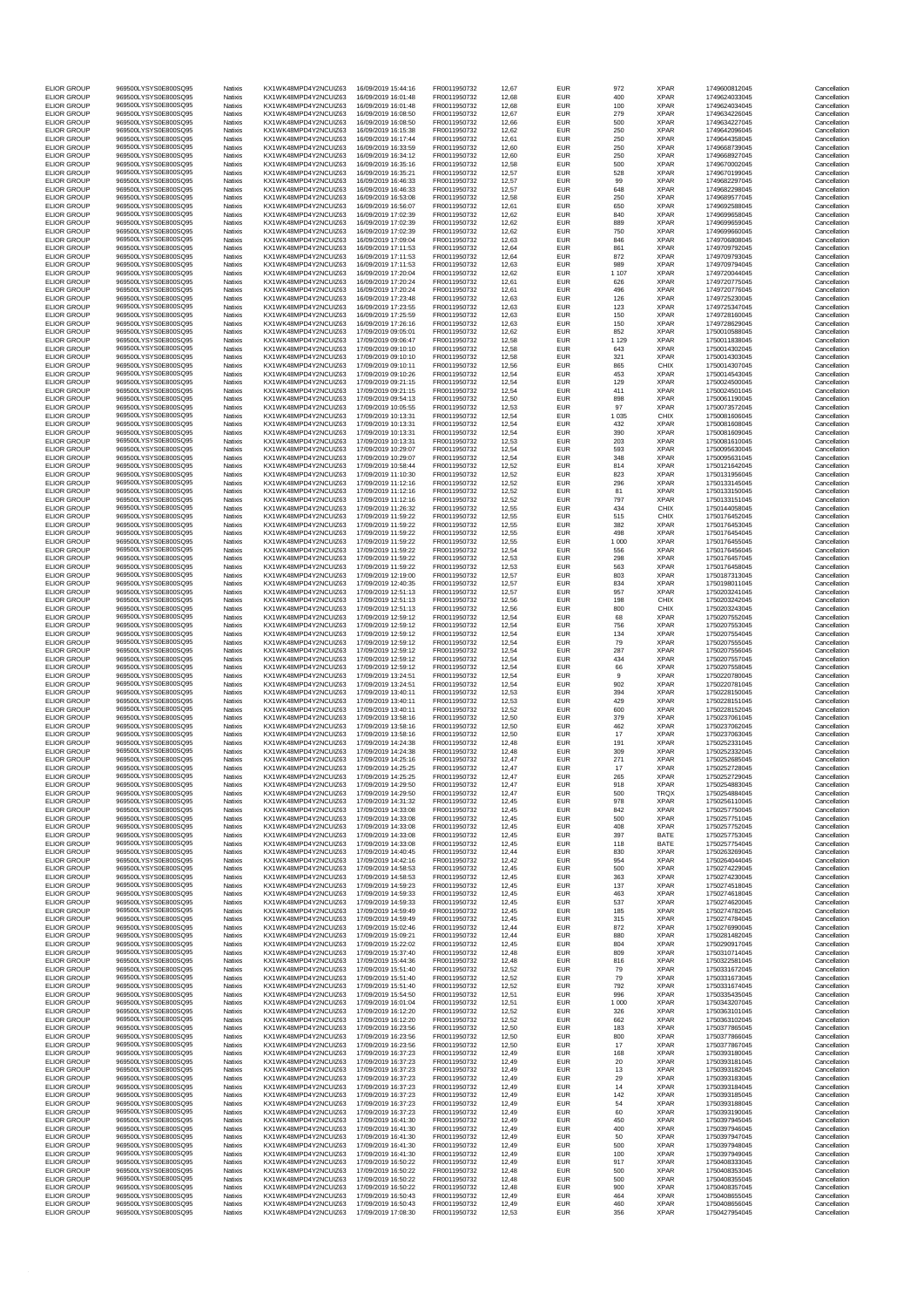| <b>ELIOR GROUP</b>                       | 969500LYSYS0E800SQ95                         | Natixis            | KX1WK48MPD4Y2NCUIZ63                         | 16/09/2019 15:44:16                        | FR0011950732                 | 12,67          | <b>EUR</b>               | 972            | <b>XPAR</b>                | 1749600812045                  | Cancellation                 |
|------------------------------------------|----------------------------------------------|--------------------|----------------------------------------------|--------------------------------------------|------------------------------|----------------|--------------------------|----------------|----------------------------|--------------------------------|------------------------------|
| <b>ELIOR GROUP</b>                       | 969500LYSYS0E800SQ95                         | Natixis            | KX1WK48MPD4Y2NCUIZ63                         | 16/09/2019 16:01:48                        | FR0011950732                 | 12,68          | <b>EUR</b>               | 400            | <b>XPAR</b>                | 1749624033045                  | Cancellation                 |
| <b>ELIOR GROUP</b>                       | 969500LYSYS0E800SQ95                         | Natixis            | KX1WK48MPD4Y2NCUIZ63                         | 16/09/2019 16:01:48                        | FR0011950732                 | 12,68          | <b>EUR</b>               | 100            | <b>XPAR</b>                | 1749624034045                  | Cancellation                 |
| <b>ELIOR GROUP</b>                       | 969500LYSYS0E800SQ95                         | Natixis            | KX1WK48MPD4Y2NCUIZ63                         | 16/09/2019 16:08:50                        | FR0011950732                 | 12,67          | EUR                      | 279            | <b>XPAR</b>                | 1749634226045                  | Cancellation                 |
| <b>ELIOR GROUP</b><br><b>ELIOR GROUP</b> | 969500LYSYS0E800SQ95<br>969500LYSYS0E800SO95 | Natixis<br>Natixis | KX1WK48MPD4Y2NCUIZ63<br>KX1WK48MPD4Y2NCUIZ63 | 16/09/2019 16:08:50<br>16/09/2019 16:15:38 | FR0011950732<br>FR0011950732 | 12,66<br>12,62 | <b>EUR</b><br><b>EUR</b> | 500<br>250     | <b>XPAR</b><br><b>XPAR</b> | 1749634227045<br>1749642096045 | Cancellation<br>Cancellation |
| <b>ELIOR GROUP</b>                       | 969500LYSYS0E800SQ95                         | Natixis            | KX1WK48MPD4Y2NCUIZ63                         | 16/09/2019 16:17:44                        | FR0011950732                 | 12,61          | EUR                      | 250            | <b>XPAR</b>                | 1749644358045                  | Cancellation                 |
| <b>ELIOR GROUP</b>                       | 969500LYSYS0E800SQ95                         | Natixis            | KX1WK48MPD4Y2NCUIZ63                         | 16/09/2019 16:33:59                        | FR0011950732                 | 12.60          | <b>EUR</b>               | 250            | <b>XPAR</b>                | 1749668739045                  | Cancellation                 |
| <b>ELIOR GROUP</b>                       | 969500LYSYS0E800SQ95<br>969500LYSYS0E800SQ95 | Natixis            | KX1WK48MPD4Y2NCUIZ63<br>KX1WK48MPD4Y2NCUIZ63 | 16/09/2019 16:34:12<br>16/09/2019 16:35:16 | FR0011950732<br>FR0011950732 | 12,60          | <b>EUR</b><br><b>EUR</b> | 250<br>500     | <b>XPAR</b><br><b>XPAR</b> | 1749668927045<br>1749670002045 | Cancellation                 |
| <b>ELIOR GROUP</b><br><b>ELIOR GROUP</b> | 969500LYSYS0E800SO95                         | Natixis<br>Natixis | KX1WK48MPD4Y2NCUIZ63                         | 16/09/2019 16:35:21                        | FR0011950732                 | 12,58<br>12,57 | <b>EUR</b>               | 528            | <b>XPAR</b>                | 1749670199045                  | Cancellation<br>Cancellation |
| <b>ELIOR GROUP</b>                       | 969500LYSYS0E800SO95                         | Natixis            | KX1WK48MPD4Y2NCUIZ63                         | 16/09/2019 16:46:33                        | FR0011950732                 | 12,57          | <b>EUR</b>               | 99             | <b>XPAR</b>                | 1749682297045                  | Cancellation                 |
| <b>ELIOR GROUP</b>                       | 969500LYSYS0E800SQ95                         | Natixis            | KX1WK48MPD4Y2NCUIZ63                         | 16/09/2019 16:46:33                        | FR0011950732                 | 12,57          | <b>EUR</b>               | 648            | <b>XPAR</b>                | 1749682298045                  | Cancellation                 |
| <b>ELIOR GROUP</b>                       | 969500LYSYS0E800SQ95<br>969500LYSYS0E800SQ95 | Natixis            | KX1WK48MPD4Y2NCUIZ63                         | 16/09/2019 16:53:08<br>16/09/2019 16:56:07 | FR0011950732                 | 12,58          | <b>EUR</b>               | 250            | <b>XPAR</b><br><b>XPAR</b> | 1749689577045                  | Cancellation                 |
| <b>ELIOR GROUP</b><br><b>ELIOR GROUP</b> | 969500LYSYS0E800SQ95                         | Natixis<br>Natixis | KX1WK48MPD4Y2NCUIZ63<br>KX1WK48MPD4Y2NCUIZ63 | 16/09/2019 17:02:39                        | FR0011950732<br>FR0011950732 | 12,61<br>12,62 | <b>EUR</b><br><b>EUR</b> | 650<br>840     | <b>XPAR</b>                | 1749692588045<br>1749699658045 | Cancellation<br>Cancellation |
| <b>ELIOR GROUP</b>                       | 969500LYSYS0E800SQ95                         | Natixis            | KX1WK48MPD4Y2NCUIZ63                         | 16/09/2019 17:02:39                        | FR0011950732                 | 12,62          | EUR                      | 889            | <b>XPAR</b>                | 1749699659045                  | Cancellation                 |
| <b>ELIOR GROUP</b>                       | 969500LYSYS0E800SQ95                         | Natixis            | KX1WK48MPD4Y2NCUIZ63                         | 16/09/2019 17:02:39                        | FR0011950732                 | 12,62          | <b>EUR</b>               | 750            | <b>XPAR</b>                | 1749699660045                  | Cancellation                 |
| <b>ELIOR GROUP</b>                       | 969500LYSYS0E800SQ95                         | Natixis            | KX1WK48MPD4Y2NCUIZ63                         | 16/09/2019 17:09:04                        | FR0011950732                 | 12,63          | <b>EUR</b>               | 846            | <b>XPAR</b>                | 1749706808045                  | Cancellation                 |
| <b>ELIOR GROUP</b><br><b>ELIOR GROUP</b> | 969500LYSYS0E800SQ95<br>969500LYSYS0E800SO95 | Natixis<br>Natixis | KX1WK48MPD4Y2NCUIZ63<br>KX1WK48MPD4Y2NCUIZ63 | 16/09/2019 17:11:53<br>16/09/2019 17:11:53 | FR0011950732<br>FR0011950732 | 12,64<br>12,64 | <b>EUR</b><br><b>EUR</b> | 861<br>872     | <b>XPAR</b><br><b>XPAR</b> | 1749709792045<br>1749709793045 | Cancellation<br>Cancellation |
| <b>ELIOR GROUP</b>                       | 969500LYSYS0E800SQ95                         | Natixis            | KX1WK48MPD4Y2NCUIZ63                         | 16/09/2019 17:11:53                        | FR0011950732                 | 12,63          | EUR                      | 989            | <b>XPAR</b>                | 1749709794045                  | Cancellation                 |
| <b>ELIOR GROUP</b>                       | 969500LYSYS0E800SQ95                         | Natixis            | KX1WK48MPD4Y2NCUIZ63                         | 16/09/2019 17:20:04                        | FR0011950732                 | 12,62          | <b>EUR</b>               | 1 1 0 7        | <b>XPAR</b>                | 1749720044045                  | Cancellation                 |
| <b>ELIOR GROUP</b>                       | 969500LYSYS0E800SQ95<br>969500LYSYS0E800SO95 | Natixis            | KX1WK48MPD4Y2NCUIZ63<br>KX1WK48MPD4Y2NCUIZ63 | 16/09/2019 17:20:24                        | FR0011950732                 | 12,61          | <b>EUR</b>               | 626            | <b>XPAR</b>                | 1749720775045                  | Cancellation                 |
| <b>ELIOR GROUP</b><br><b>ELIOR GROUP</b> | 969500LYSYS0E800SQ95                         | Natixis<br>Natixis | KX1WK48MPD4Y2NCUIZ63                         | 16/09/2019 17:20:24<br>16/09/2019 17:23:48 | FR0011950732<br>FR0011950732 | 12,61<br>12,63 | <b>EUR</b><br><b>EUR</b> | 496<br>126     | <b>XPAR</b><br><b>XPAR</b> | 1749720776045<br>1749725230045 | Cancellation<br>Cancellation |
| <b>ELIOR GROUP</b>                       | 969500LYSYS0E800SQ95                         | Natixis            | KX1WK48MPD4Y2NCUIZ63                         | 16/09/2019 17:23:55                        | FR0011950732                 | 12,63          | EUR                      | 123            | <b>XPAR</b>                | 1749725347045                  | Cancellation                 |
| <b>ELIOR GROUP</b>                       | 969500LYSYS0E800SQ95                         | Natixis            | KX1WK48MPD4Y2NCUIZ63                         | 16/09/2019 17:25:59                        | FR0011950732                 | 12.63          | <b>EUR</b>               | 150            | <b>XPAR</b>                | 1749728160045                  | Cancellation                 |
| <b>ELIOR GROUP</b>                       | 969500LYSYS0E800SQ95<br>969500LYSYS0E800SQ95 | Natixis            | KX1WK48MPD4Y2NCUIZ63                         | 16/09/2019 17:26:16                        | FR0011950732                 | 12,63          | <b>EUR</b>               | 150            | <b>XPAR</b>                | 1749728629045                  | Cancellation                 |
| <b>ELIOR GROUP</b><br><b>ELIOR GROUP</b> | 969500LYSYS0E800SQ95                         | Natixis<br>Natixis | KX1WK48MPD4Y2NCUIZ63<br>KX1WK48MPD4Y2NCUIZ63 | 17/09/2019 09:05:01<br>17/09/2019 09:06:47 | FR0011950732<br>FR0011950732 | 12,62<br>12,58 | <b>EUR</b><br><b>EUR</b> | 852<br>1 1 2 9 | <b>XPAR</b><br><b>XPAR</b> | 1750010588045<br>1750011838045 | Cancellation<br>Cancellation |
| <b>ELIOR GROUP</b>                       | 969500LYSYS0E800SQ95                         | Natixis            | KX1WK48MPD4Y2NCUIZ63                         | 17/09/2019 09:10:10                        | FR0011950732                 | 12,58          | EUR                      | 643            | <b>XPAR</b>                | 1750014302045                  | Cancellation                 |
| <b>ELIOR GROUP</b>                       | 969500LYSYS0E800SQ95                         | Natixis            | KX1WK48MPD4Y2NCUIZ63                         | 17/09/2019 09:10:10                        | FR0011950732                 | 12.58          | <b>EUR</b>               | 321            | <b>XPAR</b>                | 1750014303045                  | Cancellation                 |
| <b>ELIOR GROUP</b>                       | 969500LYSYS0E800SQ95<br>969500LYSYS0E800SQ95 | Natixis            | KX1WK48MPD4Y2NCUIZ63                         | 17/09/2019 09:10:11                        | FR0011950732<br>FR0011950732 | 12,56          | <b>EUR</b>               | 865            | <b>CHIX</b>                | 1750014307045                  | Cancellation                 |
| <b>ELIOR GROUP</b><br><b>ELIOR GROUP</b> | 969500LYSYS0E800SQ95                         | Natixis<br>Natixis | KX1WK48MPD4Y2NCUIZ63<br>KX1WK48MPD4Y2NCUIZ63 | 17/09/2019 09:10:26<br>17/09/2019 09:21:15 | FR0011950732                 | 12,54<br>12,54 | EUR<br><b>EUR</b>        | 453<br>129     | <b>XPAR</b><br><b>XPAR</b> | 1750014543045<br>1750024500045 | Cancellation<br>Cancellation |
| <b>ELIOR GROUP</b>                       | 969500LYSYS0E800SQ95                         | Natixis            | KX1WK48MPD4Y2NCUIZ63                         | 17/09/2019 09:21:15                        | FR0011950732                 | 12,54          | EUR                      | 411            | <b>XPAR</b>                | 1750024501045                  | Cancellation                 |
| FLIOR GROUP                              | 969500LYSYS0E800SQ95                         | Natixis            | KX1WK48MPD4Y2NCUIZ63                         | 17/09/2019 09:54:13                        | FR0011950732                 | 12.50          | <b>EUR</b>               | 898            | <b>XPAR</b>                | 1750061190045                  | Cancellation                 |
| <b>ELIOR GROUP</b><br>FLIOR GROUP        | 969500LYSYS0E800SQ95<br>969500LYSYS0E800SO95 | Natixis            | KX1WK48MPD4Y2NCUIZ63<br>KX1WK48MPD4Y2NCUIZ63 | 17/09/2019 10:05:55<br>17/09/2019 10:13:31 | FR0011950732<br>FR0011950732 | 12,53<br>12,54 | <b>EUR</b><br><b>EUR</b> | 97             | <b>XPAR</b><br>CHIX        | 1750073572045                  | Cancellation                 |
| <b>ELIOR GROUP</b>                       | 969500LYSYS0E800SO95                         | Natixis<br>Natixis | KX1WK48MPD4Y2NCUIZ63                         | 17/09/2019 10:13:31                        | FR0011950732                 | 12,54          | <b>EUR</b>               | 1 0 3 5<br>432 | <b>XPAR</b>                | 1750081606045<br>1750081608045 | Cancellation<br>Cancellation |
| <b>ELIOR GROUP</b>                       | 969500LYSYS0E800SO95                         | Natixis            | KX1WK48MPD4Y2NCUIZ63                         | 17/09/2019 10:13:31                        | FR0011950732                 | 12,54          | <b>EUR</b>               | 390            | <b>XPAR</b>                | 1750081609045                  | Cancellation                 |
| <b>ELIOR GROUP</b>                       | 969500LYSYS0E800SQ95                         | Natixis            | KX1WK48MPD4Y2NCUIZ63                         | 17/09/2019 10:13:31                        | FR0011950732                 | 12,53          | <b>EUR</b>               | 203            | <b>XPAR</b>                | 1750081610045                  | Cancellation                 |
| <b>ELIOR GROUP</b>                       | 969500LYSYS0E800SQ95<br>969500LYSYS0E800SQ95 | Natixis            | KX1WK48MPD4Y2NCUIZ63                         | 17/09/2019 10:29:07                        | FR0011950732                 | 12,54          | <b>EUR</b>               | 593            | <b>XPAR</b>                | 1750095630045                  | Cancellation                 |
| <b>ELIOR GROUP</b><br><b>ELIOR GROUP</b> | 969500LYSYS0E800SO95                         | Natixis<br>Natixis | KX1WK48MPD4Y2NCUIZ63<br>KX1WK48MPD4Y2NCUIZ63 | 17/09/2019 10:29:07<br>17/09/2019 10:58:44 | FR0011950732<br>FR0011950732 | 12,54<br>12,52 | <b>EUR</b><br><b>EUR</b> | 348<br>814     | <b>XPAR</b><br><b>XPAR</b> | 1750095631045<br>1750121642045 | Cancellation<br>Cancellation |
| <b>ELIOR GROUP</b>                       | 969500LYSYS0E800SQ95                         | Natixis            | KX1WK48MPD4Y2NCUIZ63                         | 17/09/2019 11:10:30                        | FR0011950732                 | 12,52          | <b>EUR</b>               | 823            | <b>XPAR</b>                | 1750131956045                  | Cancellation                 |
| <b>ELIOR GROUP</b>                       | 969500LYSYS0E800SQ95                         | Natixis            | KX1WK48MPD4Y2NCUIZ63                         | 17/09/2019 11:12:16                        | FR0011950732                 | 12,52          | <b>EUR</b>               | 296            | <b>XPAR</b>                | 1750133145045                  | Cancellation                 |
| <b>ELIOR GROUP</b>                       | 969500LYSYS0E800SQ95                         | Natixis            | KX1WK48MPD4Y2NCUIZ63                         | 17/09/2019 11:12:16                        | FR0011950732                 | 12,52          | <b>EUR</b>               | 81             | <b>XPAR</b>                | 1750133150045                  | Cancellation                 |
| <b>ELIOR GROUP</b><br><b>ELIOR GROUP</b> | 969500LYSYS0E800SQ95<br>969500LYSYS0E800SO95 | Natixis<br>Natixis | KX1WK48MPD4Y2NCUIZ63                         | 17/09/2019 11:12:16<br>17/09/2019 11:26:32 | FR0011950732<br>FR0011950732 | 12,52<br>12,55 | <b>EUR</b>               | 797            | <b>XPAR</b><br>CHIX        | 1750133151045                  | Cancellation                 |
| <b>ELIOR GROUP</b>                       | 969500LYSYS0E800SQ95                         | Natixis            | KX1WK48MPD4Y2NCUIZ63<br>KX1WK48MPD4Y2NCUIZ63 | 17/09/2019 11:59:22                        | FR0011950732                 | 12,55          | <b>EUR</b><br><b>EUR</b> | 434<br>515     | CHIX                       | 1750144058045<br>1750176452045 | Cancellation<br>Cancellation |
| <b>ELIOR GROUP</b>                       | 969500LYSYS0E800SQ95                         | Natixis            | KX1WK48MPD4Y2NCUIZ63                         | 17/09/2019 11:59:22                        | FR0011950732                 | 12,55          | <b>EUR</b>               | 382            | <b>XPAR</b>                | 1750176453045                  | Cancellation                 |
| <b>ELIOR GROUP</b>                       | 969500LYSYS0E800SQ95                         | Natixis            | KX1WK48MPD4Y2NCUIZ63                         | 17/09/2019 11:59:22                        | FR0011950732                 | 12,55          | <b>EUR</b>               | 498            | <b>XPAR</b>                | 1750176454045                  | Cancellation                 |
| <b>ELIOR GROUP</b>                       | 969500LYSYS0E800SQ95                         | Natixis<br>Natixis | KX1WK48MPD4Y2NCUIZ63                         | 17/09/2019 11:59:22                        | FR0011950732                 | 12,55          | <b>EUR</b>               | 1 0 0 0        | <b>XPAR</b><br><b>XPAR</b> | 1750176455045                  | Cancellation                 |
| <b>ELIOR GROUP</b><br><b>ELIOR GROUP</b> | 969500LYSYS0E800SQ95<br>969500LYSYS0E800SQ95 | Natixis            | KX1WK48MPD4Y2NCUIZ63<br>KX1WK48MPD4Y2NCUIZ63 | 17/09/2019 11:59:22<br>17/09/2019 11:59:22 | FR0011950732<br>FR0011950732 | 12,54<br>12,53 | <b>EUR</b><br><b>EUR</b> | 556<br>298     | <b>XPAR</b>                | 1750176456045<br>1750176457045 | Cancellation<br>Cancellation |
| <b>ELIOR GROUP</b>                       | 969500LYSYS0E800SQ95                         | Natixis            | KX1WK48MPD4Y2NCUIZ63                         | 17/09/2019 11:59:22                        | FR0011950732                 | 12,53          | <b>EUR</b>               | 563            | <b>XPAR</b>                | 1750176458045                  | Cancellation                 |
| <b>ELIOR GROUP</b>                       | 969500LYSYS0E800SQ95                         | Natixis            | KX1WK48MPD4Y2NCUIZ63                         | 17/09/2019 12:19:00                        | FR0011950732                 | 12,57          | <b>EUR</b>               | 803            | <b>XPAR</b>                | 1750187313045                  | Cancellation                 |
| <b>ELIOR GROUP</b>                       | 969500LYSYS0E800SQ95<br>969500LYSYS0E800SQ95 | Natixis<br>Natixis | KX1WK48MPD4Y2NCUIZ63                         | 17/09/2019 12:40:35<br>17/09/2019 12:51:13 | FR0011950732<br>FR0011950732 | 12,57          | <b>EUR</b>               | 834            | <b>XPAR</b><br><b>XPAR</b> | 1750198011045<br>1750203241045 | Cancellation                 |
| <b>ELIOR GROUP</b><br><b>ELIOR GROUP</b> | 969500LYSYS0E800SQ95                         | Natixis            | KX1WK48MPD4Y2NCUIZ63<br>KX1WK48MPD4Y2NCUIZ63 | 17/09/2019 12:51:13                        | FR0011950732                 | 12,57<br>12,56 | <b>EUR</b><br><b>EUR</b> | 957<br>198     | <b>CHIX</b>                | 1750203242045                  | Cancellation<br>Cancellation |
| <b>ELIOR GROUP</b>                       | 969500LYSYS0E800SQ95                         | Natixis            | KX1WK48MPD4Y2NCUIZ63                         | 17/09/2019 12:51:13                        | FR0011950732                 | 12.56          | <b>EUR</b>               | 800            | CHIX                       | 1750203243045                  | Cancellation                 |
| <b>ELIOR GROUP</b>                       | 969500LYSYS0E800SQ95                         | Natixis            | KX1WK48MPD4Y2NCUIZ63                         | 17/09/2019 12:59:12                        | FR0011950732                 | 12,54          | <b>EUR</b>               | 68             | <b>XPAR</b>                | 1750207552045                  | Cancellation                 |
| <b>ELIOR GROUP</b>                       | 969500LYSYS0E800SO95                         | Natixis            | KX1WK48MPD4Y2NCUIZ63                         | 17/09/2019 12:59:12                        | FR0011950732                 | 12,54          | EUR                      | 756            | <b>XPAR</b>                | 1750207553045                  | Cancellation                 |
| <b>ELIOR GROUP</b><br><b>ELIOR GROUP</b> | 969500LYSYS0E800SQ95<br>969500LYSYS0E800SQ95 | Natixis<br>Natixis | KX1WK48MPD4Y2NCUIZ63<br>KX1WK48MPD4Y2NCUIZ63 | 17/09/2019 12:59:12<br>17/09/2019 12:59:12 | FR0011950732<br>FR0011950732 | 12,54<br>12,54 | <b>EUR</b><br><b>EUR</b> | 134<br>79      | <b>XPAR</b><br><b>XPAR</b> | 1750207554045<br>1750207555045 | Cancellation<br>Cancellation |
| <b>ELIOR GROUP</b>                       | 969500LYSYS0E800SQ95                         | Natixis            | KX1WK48MPD4Y2NCUIZ63                         | 17/09/2019 12:59:12                        | FR0011950732                 | 12,54          | <b>EUR</b>               | 287            | <b>XPAR</b>                | 1750207556045                  | Cancellation                 |
| <b>ELIOR GROUP</b>                       | 969500LYSYS0E800SQ95                         | Natixis            | KX1WK48MPD4Y2NCUIZ63                         | 17/09/2019 12:59:12                        | FR0011950732                 | 12,54          | <b>EUR</b>               | 434            | <b>XPAR</b>                | 1750207557045                  | Cancellation                 |
| <b>ELIOR GROUP</b>                       | 969500LYSYS0E800SO95                         | Natixis            | KX1WK48MPD4Y2NCUIZ63                         | 17/09/2019 12:59:12                        | FR0011950732                 | 12,54          | <b>EUR</b>               | 66             | <b>XPAR</b>                | 1750207558045                  | Cancellation                 |
| <b>ELIOR GROUP</b><br><b>ELIOR GROUP</b> | 969500LYSYS0E800SQ95<br>969500LYSYS0E800SQ95 | Natixis            | KX1WK48MPD4Y2NCUIZ63                         | 17/09/2019 13:24:51<br>17/09/2019 13:24:51 | FR0011950732<br>FR0011950732 | 12,54          | <b>EUR</b>               | 9              | <b>XPAR</b>                | 1750220780045                  | Cancellation                 |
| <b>ELIOR GROUP</b>                       | 969500LYSYS0E800SQ95                         | Natixis<br>Natixis | KX1WK48MPD4Y2NCUIZ63<br>KX1WK48MPD4Y2NCUIZ63 | 17/09/2019 13:40:11                        | FR0011950732                 | 12,54<br>12,53 | <b>EUR</b><br><b>EUR</b> | 902<br>394     | <b>XPAR</b><br><b>XPAR</b> | 1750220781045<br>1750228150045 | Cancellation<br>Cancellation |
| <b>ELIOR GROUP</b>                       | 969500LYSYS0E800SQ95                         | Natixis            | KX1WK48MPD4Y2NCUIZ63                         | 17/09/2019 13:40:11                        | FR0011950732                 | 12,53          | <b>EUR</b>               | 429            | <b>XPAR</b>                | 1750228151045                  | Cancellation                 |
| <b>ELIOR GROUP</b>                       | 969500LYSYS0E800SO95                         | Natixis            | KX1WK48MPD4Y2NCUIZ63                         | 17/09/2019 13:40:11                        | FR0011950732                 | 12.52          | <b>EUR</b>               | 600            | <b>XPAR</b>                | 1750228152045                  | Cancellation                 |
| <b>ELIOR GROUP</b>                       | 969500LYSYS0E800SO95                         | Natixis            | KX1WK48MPD4Y2NCUIZ63                         | 17/09/2019 13:58:16                        | FR0011950732                 | 12,50          | <b>EUR</b>               | 379            | <b>XPAR</b>                | 1750237061045                  | Cancellation                 |
| <b>ELIOR GROUP</b><br><b>ELIOR GROUP</b> | 969500LYSYS0E800SQ95<br>969500LYSYS0E800SQ95 | Natixis<br>Natixis | KX1WK48MPD4Y2NCUIZ63<br>KX1WK48MPD4Y2NCUIZ63 | 17/09/2019 13:58:16<br>17/09/2019 13:58:16 | FR0011950732<br>FR0011950732 | 12,50<br>12.50 | <b>EUR</b><br><b>EUR</b> | 462<br>17      | <b>XPAR</b><br><b>XPAR</b> | 1750237062045<br>1750237063045 | Cancellation<br>Cancellation |
| <b>ELIOR GROUP</b>                       | 969500LYSYS0E800SQ95                         | Natixis            | KX1WK48MPD4Y2NCUIZ63                         | 17/09/2019 14:24:38                        | FR0011950732                 | 12,48          | <b>EUR</b>               | 191            | <b>XPAR</b>                | 1750252331045                  | Cancellation                 |
| <b>ELIOR GROUP</b>                       | 969500LYSYS0E800SO95                         | Natixis            | KX1WK48MPD4Y2NCUIZ63                         | 17/09/2019 14:24:38                        | FR0011950732                 | 12,48          | <b>EUR</b>               | 309            | <b>XPAR</b>                | 1750252332045                  | Cancellation                 |
| <b>ELIOR GROUP</b>                       | 969500LYSYS0E800SQ95                         | Natixis            | KX1WK48MPD4Y2NCUIZ63                         | 17/09/2019 14:25:16                        | FR0011950732                 | 12,47          | <b>EUR</b>               | 271            | <b>XPAR</b>                | 1750252685045                  | Cancellation                 |
| <b>ELIOR GROUP</b><br><b>ELIOR GROUP</b> | 969500LYSYS0E800SQ95<br>969500LYSYS0E800SQ95 | Natixis<br>Natixis | KX1WK48MPD4Y2NCUIZ63<br>KX1WK48MPD4Y2NCUIZ63 | 17/09/2019 14:25:25<br>17/09/2019 14:25:25 | FR0011950732<br>FR0011950732 | 12,47<br>12.47 | <b>EUR</b><br><b>EUR</b> | 17<br>265      | <b>XPAR</b><br><b>XPAR</b> | 1750252728045<br>1750252729045 | Cancellation<br>Cancellation |
| <b>ELIOR GROUP</b>                       | 969500LYSYS0E800SQ95                         | Natixis            | KX1WK48MPD4Y2NCUIZ63                         | 17/09/2019 14:29:50                        | FR0011950732                 | 12,47          | <b>EUR</b>               | 918            | <b>XPAR</b>                | 1750254883045                  | Cancellation                 |
| <b>ELIOR GROUP</b>                       | 969500LYSYS0E800SQ95                         | Natixis            | KX1WK48MPD4Y2NCUIZ63                         | 17/09/2019 14:29:50                        | FR0011950732                 | 12.47          | <b>EUR</b>               | 500            | <b>TROX</b>                | 1750254884045                  | Cancellation                 |
| <b>ELIOR GROUP</b>                       | 969500LYSYS0E800SQ95                         | Natixis            | KX1WK48MPD4Y2NCUIZ63                         | 17/09/2019 14:31:32                        | FR0011950732                 | 12,45          | <b>EUR</b>               | 978            | <b>XPAR</b>                | 1750256110045                  | Cancellation                 |
| <b>ELIOR GROUP</b><br><b>ELIOR GROUP</b> | 969500LYSYS0E800SQ95<br>969500LYSYS0E800SQ95 | Natixis<br>Natixis | KX1WK48MPD4Y2NCUIZ63<br>KX1WK48MPD4Y2NCUIZ63 | 17/09/2019 14:33:08<br>17/09/2019 14:33:08 | FR0011950732<br>FR0011950732 | 12,45<br>12.45 | <b>EUR</b><br><b>EUR</b> | 842<br>500     | <b>XPAR</b><br><b>XPAR</b> | 1750257750045<br>1750257751045 | Cancellation<br>Cancellation |
| <b>ELIOR GROUP</b>                       | 969500LYSYS0E800SQ95                         | Natixis            | KX1WK48MPD4Y2NCUIZ63                         | 17/09/2019 14:33:08                        | FR0011950732                 | 12,45          | <b>EUR</b>               | 408            | <b>XPAR</b>                | 1750257752045                  | Cancellation                 |
| <b>ELIOR GROUP</b>                       | 969500LYSYS0E800SQ95                         | Natixis            | KX1WK48MPD4Y2NCUIZ63                         | 17/09/2019 14:33:08                        | FR0011950732                 | 12,45          | <b>EUR</b>               | 397            | BATE                       | 1750257753045                  | Cancellation                 |
| <b>ELIOR GROUP</b>                       | 969500LYSYS0E800SQ95                         | Natixis            | KX1WK48MPD4Y2NCUIZ63                         | 17/09/2019 14:33:08                        | FR0011950732                 | 12,45          | <b>EUR</b>               | 118            | BATE                       | 1750257754045                  | Cancellation                 |
| <b>ELIOR GROUP</b><br>FLIOR GROUP        | 969500LYSYS0E800SQ95<br>969500LYSYS0E800SQ95 | Natixis<br>Natixis | KX1WK48MPD4Y2NCUIZ63<br>KX1WK48MPD4Y2NCUIZ63 | 17/09/2019 14:40:45<br>17/09/2019 14:42:16 | FR0011950732<br>FR0011950732 | 12,44<br>12.42 | <b>EUR</b><br><b>EUR</b> | 830<br>954     | <b>XPAR</b><br><b>XPAR</b> | 1750263269045<br>1750264044045 | Cancellation<br>Cancellation |
| FLIOR GROUP                              | 969500LYSYS0E800SQ95                         | Natixis            | KX1WK48MPD4Y2NCUIZ63                         | 17/09/2019 14:58:53                        | FR0011950732                 | 12,45          | <b>EUR</b>               | 500            | <b>XPAR</b>                | 1750274229045                  | Cancellation                 |
| <b>ELIOR GROUP</b>                       | 969500LYSYS0E800SQ95                         | Natixis            | KX1WK48MPD4Y2NCUIZ63                         | 17/09/2019 14:58:53                        | FR0011950732                 | 12.45          | <b>EUR</b>               | 363            | <b>XPAR</b>                | 1750274230045                  | Cancellation                 |
| <b>ELIOR GROUP</b><br><b>ELIOR GROUP</b> | 969500LYSYS0E800SQ95                         | Natixis            | KX1WK48MPD4Y2NCUIZ63                         | 17/09/2019 14:59:23<br>17/09/2019 14:59:33 | FR0011950732<br>FR0011950732 | 12,45          | <b>EUR</b>               | 137            | <b>XPAR</b>                | 1750274518045                  | Cancellation                 |
| <b>ELIOR GROUP</b>                       | 969500LYSYS0E800SQ95<br>969500LYSYS0E800SQ95 | Natixis<br>Natixis | KX1WK48MPD4Y2NCUIZ63<br>KX1WK48MPD4Y2NCUIZ63 | 17/09/2019 14:59:33                        | FR0011950732                 | 12,45<br>12.45 | <b>EUR</b><br><b>EUR</b> | 463<br>537     | <b>XPAR</b><br><b>XPAR</b> | 1750274618045<br>1750274620045 | Cancellation<br>Cancellation |
| FLIOR GROUP                              | 969500LYSYS0E800SQ95                         | Natixis            | KX1WK48MPD4Y2NCUIZ63                         | 17/09/2019 14:59:49                        | FR0011950732                 | 12,45          | <b>EUR</b>               | 185            | <b>XPAR</b>                | 1750274782045                  | Cancellation                 |
| FLIOR GROUP                              | 969500LYSYS0E800SQ95                         | Natixis            | KX1WK48MPD4Y2NCUIZ63                         | 17/09/2019 14:59:49                        | FR0011950732                 | 12,45          | <b>EUR</b>               | 315            | <b>XPAR</b>                | 1750274784045                  | Cancellation                 |
| <b>ELIOR GROUP</b><br><b>ELIOR GROUP</b> | 969500LYSYS0E800SQ95                         | Natixis            | KX1WK48MPD4Y2NCUIZ63                         | 17/09/2019 15:02:46                        | FR0011950732<br>FR0011950732 | 12,44          | <b>EUR</b>               | 872<br>880     | <b>XPAR</b>                | 1750276990045                  | Cancellation                 |
| <b>ELIOR GROUP</b>                       | 969500LYSYS0E800SQ95<br>969500LYSYS0E800SQ95 | Natixis<br>Natixis | KX1WK48MPD4Y2NCUIZ63<br>KX1WK48MPD4Y2NCUIZ63 | 17/09/2019 15:09:21<br>17/09/2019 15:22:02 | FR0011950732                 | 12,44<br>12.45 | <b>EUR</b><br><b>EUR</b> | 804            | <b>XPAR</b><br><b>XPAR</b> | 1750281482045<br>1750290917045 | Cancellation<br>Cancellation |
| <b>ELIOR GROUP</b>                       | 969500LYSYS0E800SQ95                         | Natixis            | KX1WK48MPD4Y2NCUIZ63                         | 17/09/2019 15:37:40                        | FR0011950732                 | 12.48          | <b>EUR</b>               | 809            | <b>XPAR</b>                | 1750310714045                  | Cancellation                 |
| FLIOR GROUP                              | 969500LYSYS0E800SQ95                         | Natixis            | KX1WK48MPD4Y2NCUIZ63                         | 17/09/2019 15:44:36                        | FR0011950732                 | 12.48          | <b>EUR</b>               | 816            | <b>XPAR</b>                | 1750322581045                  | Cancellation                 |
| <b>ELIOR GROUP</b>                       | 969500LYSYS0E800SQ95                         | Natixis            | KX1WK48MPD4Y2NCUIZ63                         | 17/09/2019 15:51:40                        | FR0011950732                 | 12,52          | <b>EUR</b>               | 79             | <b>XPAR</b>                | 1750331672045                  | Cancellation                 |
| <b>ELIOR GROUP</b><br><b>ELIOR GROUP</b> | 969500LYSYS0E800SQ95<br>969500LYSYS0E800SQ95 | Natixis<br>Natixis | KX1WK48MPD4Y2NCUIZ63<br>KX1WK48MPD4Y2NCUIZ63 | 17/09/2019 15:51:40<br>17/09/2019 15:51:40 | FR0011950732<br>FR0011950732 | 12,52<br>12.52 | <b>EUR</b><br><b>EUR</b> | 79<br>792      | <b>XPAR</b><br><b>XPAR</b> | 1750331673045<br>1750331674045 | Cancellation<br>Cancellation |
| <b>ELIOR GROUP</b>                       | 969500LYSYS0E800SQ95                         | Natixis            | KX1WK48MPD4Y2NCUIZ63                         | 17/09/2019 15:54:50                        | FR0011950732                 | 12,51          | <b>EUR</b>               | 996            | <b>XPAR</b>                | 1750335435045                  | Cancellation                 |
| <b>ELIOR GROUP</b>                       | 969500LYSYS0E800SQ95                         | Natixis            | KX1WK48MPD4Y2NCUIZ63                         | 17/09/2019 16:01:04                        | FR0011950732                 | 12,51          | <b>EUR</b>               | 1 0 0 0        | <b>XPAR</b>                | 1750343207045                  | Cancellation                 |
| <b>ELIOR GROUP</b>                       | 969500LYSYS0E800SQ95                         | Natixis            | KX1WK48MPD4Y2NCUIZ63                         | 17/09/2019 16:12:20                        | FR0011950732                 | 12,52          | <b>EUR</b>               | 326            | <b>XPAR</b>                | 1750363101045                  | Cancellation                 |
| <b>ELIOR GROUP</b><br><b>ELIOR GROUP</b> | 969500LYSYS0E800SQ95<br>969500LYSYS0E800SQ95 | Natixis<br>Natixis | KX1WK48MPD4Y2NCUIZ63<br>KX1WK48MPD4Y2NCUIZ63 | 17/09/2019 16:12:20<br>17/09/2019 16:23:56 | FR0011950732<br>FR0011950732 | 12,52<br>12.50 | <b>EUR</b><br><b>EUR</b> | 662<br>183     | <b>XPAR</b><br><b>XPAR</b> | 1750363102045<br>1750377865045 | Cancellation<br>Cancellation |
| <b>ELIOR GROUP</b>                       | 969500LYSYS0E800SQ95                         | Natixis            | KX1WK48MPD4Y2NCUIZ63                         | 17/09/2019 16:23:56                        | FR0011950732                 | 12.50          | <b>EUR</b>               | 800            | <b>XPAR</b>                | 1750377866045                  | Cancellation                 |
| <b>ELIOR GROUP</b>                       | 969500LYSYS0E800SQ95                         | Natixis            | KX1WK48MPD4Y2NCUIZ63                         | 17/09/2019 16:23:56                        | FR0011950732                 | 12,50          | <b>EUR</b>               | 17             | <b>XPAR</b>                | 1750377867045                  | Cancellation                 |
| <b>ELIOR GROUP</b>                       | 969500LYSYS0E800SQ95                         | Natixis            | KX1WK48MPD4Y2NCUIZ63                         | 17/09/2019 16:37:23                        | FR0011950732                 | 12.49          | <b>EUR</b>               | 168            | <b>XPAR</b>                | 1750393180045                  | Cancellation                 |
| <b>ELIOR GROUP</b><br><b>ELIOR GROUP</b> | 969500LYSYS0E800SQ95<br>969500LYSYS0E800SQ95 | Natixis<br>Natixis | KX1WK48MPD4Y2NCUIZ63<br>KX1WK48MPD4Y2NCUIZ63 | 17/09/2019 16:37:23<br>17/09/2019 16:37:23 | FR0011950732<br>FR0011950732 | 12,49<br>12.49 | EUR<br><b>EUR</b>        | 20<br>13       | <b>XPAR</b><br><b>XPAR</b> | 1750393181045<br>1750393182045 | Cancellation<br>Cancellation |
| <b>ELIOR GROUP</b>                       | 969500LYSYS0E800SQ95                         | Natixis            | KX1WK48MPD4Y2NCUIZ63                         | 17/09/2019 16:37:23                        | FR0011950732                 | 12,49          | <b>EUR</b>               | 29             | <b>XPAR</b>                | 1750393183045                  | Cancellation                 |
| <b>ELIOR GROUP</b>                       | 969500LYSYS0E800SQ95                         | Natixis            | KX1WK48MPD4Y2NCUIZ63                         | 17/09/2019 16:37:23                        | FR0011950732                 | 12,49          | <b>EUR</b>               | 14             | <b>XPAR</b>                | 1750393184045                  | Cancellation                 |
| <b>ELIOR GROUP</b>                       | 969500LYSYS0E800SQ95                         | Natixis            | KX1WK48MPD4Y2NCUIZ63                         | 17/09/2019 16:37:23                        | FR0011950732                 | 12.49          | <b>EUR</b>               | 142            | <b>XPAR</b>                | 1750393185045                  | Cancellation                 |
| <b>ELIOR GROUP</b><br><b>ELIOR GROUP</b> | 969500LYSYS0E800SQ95<br>969500LYSYS0E800SQ95 | Natixis<br>Natixis | KX1WK48MPD4Y2NCUIZ63<br>KX1WK48MPD4Y2NCUIZ63 | 17/09/2019 16:37:23<br>17/09/2019 16:37:23 | FR0011950732<br>FR0011950732 | 12,49<br>12.49 | <b>EUR</b><br><b>EUR</b> | 54<br>60       | <b>XPAR</b><br><b>XPAR</b> | 1750393188045<br>1750393190045 | Cancellation<br>Cancellation |
| <b>ELIOR GROUP</b>                       | 969500LYSYS0E800SQ95                         | Natixis            | KX1WK48MPD4Y2NCUIZ63                         | 17/09/2019 16:41:30                        | FR0011950732                 | 12,49          | <b>EUR</b>               | 450            | <b>XPAR</b>                | 1750397945045                  | Cancellation                 |
| <b>ELIOR GROUP</b>                       | 969500LYSYS0E800SQ95                         | Natixis            | KX1WK48MPD4Y2NCUIZ63                         | 17/09/2019 16:41:30                        | FR0011950732                 | 12,49          | <b>EUR</b>               | 400            | <b>XPAR</b>                | 1750397946045                  | Cancellation                 |
| <b>ELIOR GROUP</b>                       | 969500LYSYS0E800SQ95                         | Natixis            | KX1WK48MPD4Y2NCUIZ63                         | 17/09/2019 16:41:30                        | FR0011950732                 | 12.49          | <b>EUR</b>               | 50             | <b>XPAR</b>                | 1750397947045                  | Cancellation                 |
| <b>ELIOR GROUP</b><br><b>ELIOR GROUP</b> | 969500LYSYS0E800SQ95<br>969500LYSYS0E800SQ95 | Natixis<br>Natixis | KX1WK48MPD4Y2NCUIZ63<br>KX1WK48MPD4Y2NCUIZ63 | 17/09/2019 16:41:30<br>17/09/2019 16:41:30 | FR0011950732<br>FR0011950732 | 12,49<br>12.49 | EUR<br><b>EUR</b>        | 500<br>100     | <b>XPAR</b><br><b>XPAR</b> | 1750397948045<br>1750397949045 | Cancellation<br>Cancellation |
| <b>ELIOR GROUP</b>                       | 969500LYSYS0E800SQ95                         | Natixis            | KX1WK48MPD4Y2NCUIZ63                         | 17/09/2019 16:50:22                        | FR0011950732                 | 12,49          | <b>EUR</b>               | 917            | <b>XPAR</b>                | 1750408333045                  | Cancellation                 |
| <b>ELIOR GROUP</b>                       | 969500LYSYS0E800SQ95                         | Natixis            | KX1WK48MPD4Y2NCUIZ63                         | 17/09/2019 16:50:22                        | FR0011950732                 | 12,48          | <b>EUR</b>               | 500            | <b>XPAR</b>                | 1750408353045                  | Cancellation                 |
| <b>ELIOR GROUP</b>                       | 969500LYSYS0E800SQ95                         | Natixis            | KX1WK48MPD4Y2NCUIZ63                         | 17/09/2019 16:50:22                        | FR0011950732                 | 12.48          | <b>EUR</b>               | 500            | <b>XPAR</b>                | 1750408355045                  | Cancellation                 |
| <b>ELIOR GROUP</b><br><b>ELIOR GROUP</b> | 969500LYSYS0E800SQ95<br>969500LYSYS0E800SQ95 | Natixis<br>Natixis | KX1WK48MPD4Y2NCUIZ63<br>KX1WK48MPD4Y2NCUIZ63 | 17/09/2019 16:50:22<br>17/09/2019 16:50:43 | FR0011950732<br>FR0011950732 | 12,48<br>12.49 | <b>EUR</b><br><b>EUR</b> | 900<br>464     | <b>XPAR</b><br><b>XPAR</b> | 1750408357045<br>1750408655045 | Cancellation<br>Cancellation |
| <b>ELIOR GROUP</b>                       | 969500LYSYS0E800SQ95                         | Natixis            | KX1WK48MPD4Y2NCUIZ63                         | 17/09/2019 16:50:43                        | FR0011950732                 | 12,49          | <b>EUR</b>               | 460            | <b>XPAR</b>                | 1750408656045                  | Cancellation                 |
| <b>ELIOR GROUP</b>                       | 969500LYSYS0E800SQ95                         | Natixis            | KX1WK48MPD4Y2NCUIZ63                         | 17/09/2019 17:08:30                        | FR0011950732                 | 12,53          | <b>EUR</b>               | 356            | <b>XPAR</b>                | 1750427954045                  | Cancellation                 |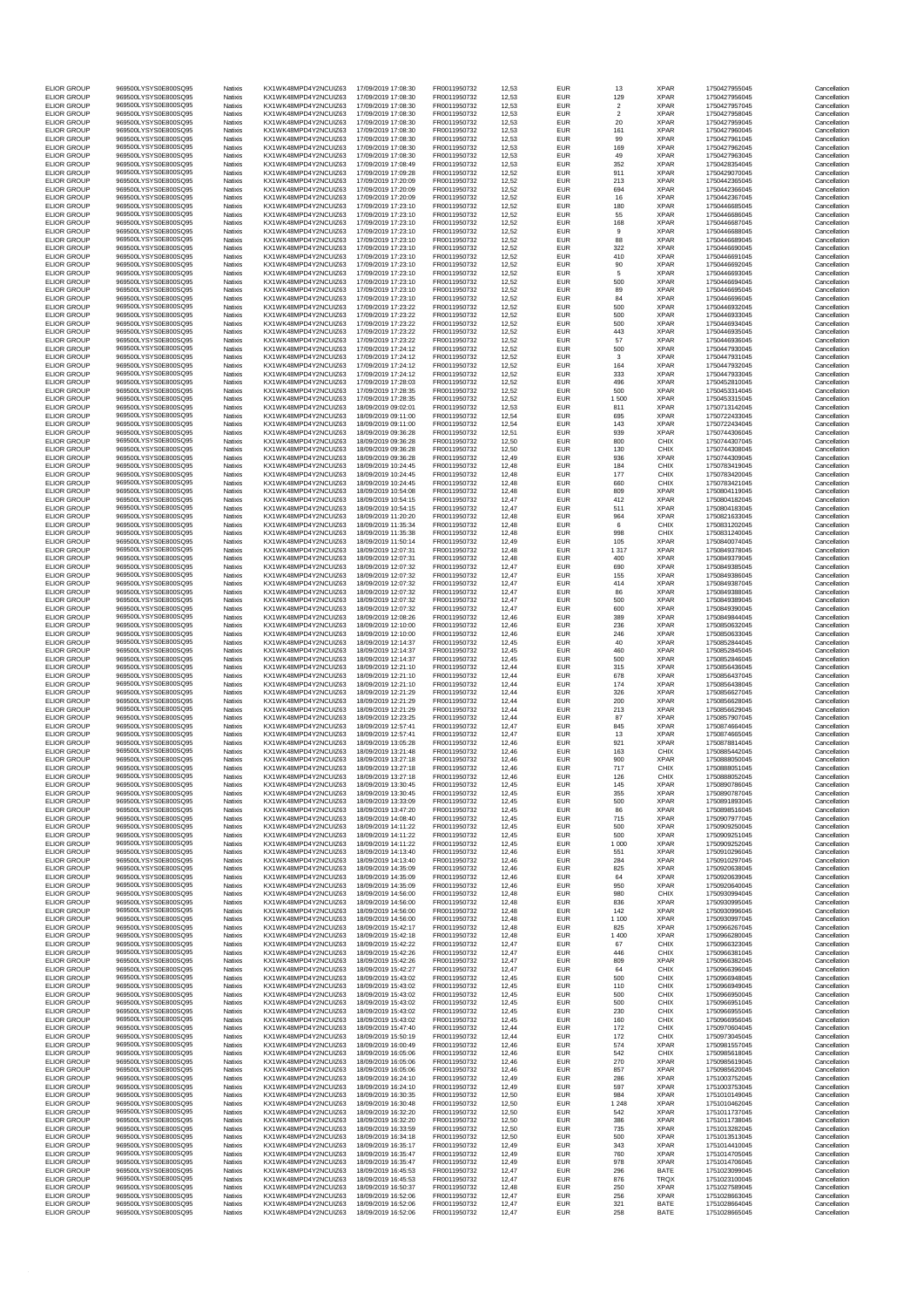| <b>ELIOR GROUP</b>                       | 969500LYSYS0E800SQ95                         | Natixis            | KX1WK48MPD4Y2NCUIZ63                         | 17/09/2019 17:08:30                        | FR0011950732                 | 12,53          | <b>EUR</b>               | 13                   | <b>XPAR</b>                | 1750427955045                  | Cancellation                 |
|------------------------------------------|----------------------------------------------|--------------------|----------------------------------------------|--------------------------------------------|------------------------------|----------------|--------------------------|----------------------|----------------------------|--------------------------------|------------------------------|
| <b>ELIOR GROUP</b>                       | 969500LYSYS0E800SQ95                         | Natixis            | KX1WK48MPD4Y2NCUIZ63                         | 17/09/2019 17:08:30                        | FR0011950732                 | 12,53          | <b>EUR</b>               | 129                  | <b>XPAR</b>                | 1750427956045                  | Cancellation                 |
| <b>ELIOR GROUP</b>                       | 969500LYSYS0E800SQ95<br>969500LYSYS0E800SQ95 | Natixis            | KX1WK48MPD4Y2NCUIZ63                         | 17/09/2019 17:08:30                        | FR0011950732                 | 12,53          | <b>EUR</b>               | $\overline{c}$       | <b>XPAR</b>                | 1750427957045                  | Cancellation                 |
| <b>ELIOR GROUP</b><br><b>ELIOR GROUP</b> | 969500LYSYS0E800SQ95                         | Natixis<br>Natixis | KX1WK48MPD4Y2NCUIZ63<br>KX1WK48MPD4Y2NCUIZ63 | 17/09/2019 17:08:30<br>17/09/2019 17:08:30 | FR0011950732<br>FR0011950732 | 12.53<br>12,53 | <b>EUR</b><br><b>EUR</b> | $\overline{2}$<br>20 | <b>XPAR</b><br><b>XPAR</b> | 1750427958045<br>1750427959045 | Cancellation<br>Cancellation |
| <b>ELIOR GROUP</b>                       | 969500LYSYS0E800SQ95                         | Natixis            | KX1WK48MPD4Y2NCUIZ63                         | 17/09/2019 17:08:30                        | FR0011950732                 | 12,53          | EUR                      | 161                  | <b>XPAR</b>                | 1750427960045                  | Cancellation                 |
| <b>ELIOR GROUP</b>                       | 969500LYSYS0E800SQ95                         | Natixis            | KX1WK48MPD4Y2NCUIZ63                         | 17/09/2019 17:08:30                        | FR0011950732                 | 12,53          | <b>EUR</b>               | 99                   | <b>XPAR</b>                | 1750427961045                  | Cancellation                 |
| <b>ELIOR GROUP</b><br><b>ELIOR GROUP</b> | 969500LYSYS0E800SQ95<br>969500LYSYS0E800SQ95 | Natixis<br>Natixis | KX1WK48MPD4Y2NCUIZ63<br>KX1WK48MPD4Y2NCUIZ63 | 17/09/2019 17:08:30<br>17/09/2019 17:08:30 | FR0011950732<br>FR0011950732 | 12,53<br>12,53 | <b>EUR</b><br><b>EUR</b> | 169<br>49            | <b>XPAR</b><br><b>XPAR</b> | 1750427962045<br>1750427963045 | Cancellation<br>Cancellation |
| FLIOR GROUP                              | 969500LYSYS0E800SO95                         | Natixis            | KX1WK48MPD4Y2NCUIZ63                         | 17/09/2019 17:08:49                        | FR0011950732                 | 12,53          | <b>EUR</b>               | 352                  | <b>XPAR</b>                | 1750428354045                  | Cancellation                 |
| <b>ELIOR GROUP</b><br><b>ELIOR GROUP</b> | 969500LYSYS0E800SQ95<br>969500LYSYS0E800SQ95 | Natixis<br>Natixis | KX1WK48MPD4Y2NCUIZ63<br>KX1WK48MPD4Y2NCUIZ63 | 17/09/2019 17:09:28<br>17/09/2019 17:20:09 | FR0011950732<br>FR0011950732 | 12,52<br>12,52 | <b>EUR</b><br><b>EUR</b> | 911<br>213           | <b>XPAR</b><br><b>XPAR</b> | 1750429070045<br>1750442365045 | Cancellation<br>Cancellation |
| FLIOR GROUP                              | 969500LYSYS0E800SQ95                         | Natixis            | KX1WK48MPD4Y2NCUIZ63                         | 17/09/2019 17:20:09                        | FR0011950732                 | 12,52          | <b>EUR</b>               | 694                  | <b>XPAR</b>                | 1750442366045                  | Cancellation                 |
| <b>ELIOR GROUP</b>                       | 969500LYSYS0E800SQ95                         | Natixis            | KX1WK48MPD4Y2NCUIZ63                         | 17/09/2019 17:20:09                        | FR0011950732                 | 12,52          | EUR                      | 16                   | <b>XPAR</b>                | 1750442367045                  | Cancellation                 |
| <b>ELIOR GROUP</b>                       | 969500LYSYS0E800SQ95                         | Natixis            | KX1WK48MPD4Y2NCUIZ63                         | 17/09/2019 17:23:10                        | FR0011950732                 | 12,52          | <b>EUR</b>               | 180                  | <b>XPAR</b>                | 1750446685045                  | Cancellation                 |
| <b>ELIOR GROUP</b><br><b>ELIOR GROUP</b> | 969500LYSYS0E800SQ95<br>969500LYSYS0E800SQ95 | Natixis<br>Natixis | KX1WK48MPD4Y2NCUIZ63<br>KX1WK48MPD4Y2NCUIZ63 | 17/09/2019 17:23:10<br>17/09/2019 17:23:10 | FR0011950732<br>FR0011950732 | 12,52<br>12,52 | <b>EUR</b><br><b>EUR</b> | 55<br>168            | <b>XPAR</b><br><b>XPAR</b> | 1750446686045<br>1750446687045 | Cancellation<br>Cancellation |
| <b>ELIOR GROUP</b>                       | 969500LYSYS0E800SQ95                         | Natixis            | KX1WK48MPD4Y2NCUIZ63                         | 17/09/2019 17:23:10                        | FR0011950732                 | 12,52          | <b>EUR</b>               | 9                    | <b>XPAR</b>                | 1750446688045                  | Cancellation                 |
| <b>ELIOR GROUP</b><br><b>ELIOR GROUP</b> | 969500LYSYS0E800SO95<br>969500LYSYS0E800SQ95 | Natixis<br>Natixis | KX1WK48MPD4Y2NCUIZ63<br>KX1WK48MPD4Y2NCUIZ63 | 17/09/2019 17:23:10<br>17/09/2019 17:23:10 | FR0011950732<br>FR0011950732 | 12,52<br>12,52 | <b>EUR</b><br><b>EUR</b> | 88<br>322            | <b>XPAR</b><br><b>XPAR</b> | 1750446689045<br>1750446690045 | Cancellation<br>Cancellation |
| <b>ELIOR GROUP</b>                       | 969500LYSYS0E800SQ95                         | Natixis            | KX1WK48MPD4Y2NCUIZ63                         | 17/09/2019 17:23:10                        | FR0011950732                 | 12,52          | <b>EUR</b>               | 410                  | <b>XPAR</b>                | 1750446691045                  | Cancellation                 |
| <b>ELIOR GROUP</b>                       | 969500LYSYS0E800SO95                         | Natixis            | KX1WK48MPD4Y2NCUIZ63                         | 17/09/2019 17:23:10                        | FR0011950732                 | 12,52          | <b>EUR</b>               | 90                   | <b>XPAR</b>                | 1750446692045                  | Cancellation                 |
| <b>ELIOR GROUP</b><br><b>ELIOR GROUP</b> | 969500LYSYS0E800SQ95<br>969500LYSYS0E800SQ95 | Natixis<br>Natixis | KX1WK48MPD4Y2NCUIZ63<br>KX1WK48MPD4Y2NCUIZ63 | 17/09/2019 17:23:10<br>17/09/2019 17:23:10 | FR0011950732<br>FR0011950732 | 12,52<br>12,52 | <b>EUR</b><br>EUR        | 5<br>500             | <b>XPAR</b><br><b>XPAR</b> | 1750446693045<br>1750446694045 | Cancellation<br>Cancellation |
| <b>ELIOR GROUP</b>                       | 969500LYSYS0E800SQ95                         | Natixis            | KX1WK48MPD4Y2NCUIZ63                         | 17/09/2019 17:23:10                        | FR0011950732                 | 12,52          | <b>EUR</b>               | 89                   | <b>XPAR</b>                | 1750446695045                  | Cancellation                 |
| <b>ELIOR GROUP</b>                       | 969500LYSYS0E800SQ95                         | Natixis            | KX1WK48MPD4Y2NCUIZ63                         | 17/09/2019 17:23:10                        | FR0011950732                 | 12,52          | EUR                      | 84                   | <b>XPAR</b>                | 1750446696045                  | Cancellation                 |
| <b>ELIOR GROUP</b><br><b>ELIOR GROUP</b> | 969500LYSYS0E800SO95<br>969500LYSYS0E800SQ95 | Natixis<br>Natixis | KX1WK48MPD4Y2NCUIZ63<br>KX1WK48MPD4Y2NCUIZ63 | 17/09/2019 17:23:22<br>17/09/2019 17:23:22 | FR0011950732<br>FR0011950732 | 12.52<br>12,52 | <b>EUR</b><br><b>EUR</b> | 500<br>500           | <b>XPAR</b><br><b>XPAR</b> | 1750446932045<br>1750446933045 | Cancellation<br>Cancellation |
| <b>ELIOR GROUP</b>                       | 969500LYSYS0E800SQ95                         | Natixis            | KX1WK48MPD4Y2NCUIZ63                         | 17/09/2019 17:23:22                        | FR0011950732                 | 12,52          | <b>EUR</b>               | 500                  | <b>XPAR</b>                | 1750446934045                  | Cancellation                 |
| <b>ELIOR GROUP</b>                       | 969500LYSYS0E800SQ95                         | Natixis            | KX1WK48MPD4Y2NCUIZ63                         | 17/09/2019 17:23:22                        | FR0011950732                 | 12,52          | <b>EUR</b>               | 443                  | <b>XPAR</b>                | 1750446935045                  | Cancellation                 |
| <b>ELIOR GROUP</b><br><b>ELIOR GROUP</b> | 969500LYSYS0E800SQ95<br>969500LYSYS0E800SQ95 | Natixis<br>Natixis | KX1WK48MPD4Y2NCUIZ63<br>KX1WK48MPD4Y2NCUIZ63 | 17/09/2019 17:23:22<br>17/09/2019 17:24:12 | FR0011950732<br>FR0011950732 | 12,52<br>12.52 | <b>EUR</b><br><b>EUR</b> | 57<br>500            | <b>XPAR</b><br><b>XPAR</b> | 1750446936045<br>1750447930045 | Cancellation<br>Cancellation |
| <b>ELIOR GROUP</b>                       | 969500LYSYS0E800SQ95                         | Natixis            | KX1WK48MPD4Y2NCUIZ63                         | 17/09/2019 17:24:12                        | FR0011950732                 | 12,52          | <b>EUR</b>               | 3                    | <b>XPAR</b>                | 1750447931045                  | Cancellation                 |
| <b>ELIOR GROUP</b>                       | 969500LYSYS0E800SQ95                         | Natixis            | KX1WK48MPD4Y2NCUIZ63                         | 17/09/2019 17:24:12                        | FR0011950732                 | 12.52          | <b>EUR</b>               | 164                  | <b>XPAR</b>                | 1750447932045                  | Cancellation                 |
| <b>ELIOR GROUP</b><br><b>ELIOR GROUP</b> | 969500LYSYS0E800SQ95<br>969500LYSYS0E800SQ95 | Natixis<br>Natixis | KX1WK48MPD4Y2NCUIZ63<br>KX1WK48MPD4Y2NCUIZ63 | 17/09/2019 17:24:12<br>17/09/2019 17:28:03 | FR0011950732<br>FR0011950732 | 12,52<br>12,52 | <b>EUR</b><br>EUR        | 333<br>496           | <b>XPAR</b><br><b>XPAR</b> | 1750447933045<br>1750452810045 | Cancellation<br>Cancellation |
| <b>ELIOR GROUP</b>                       | 969500LYSYS0E800SQ95                         | Natixis            | KX1WK48MPD4Y2NCUIZ63                         | 17/09/2019 17:28:35                        | FR0011950732                 | 12,52          | <b>EUR</b>               | 500                  | <b>XPAR</b>                | 1750453314045                  | Cancellation                 |
| FLIOR GROUP                              | 969500LYSYS0E800SO95<br>969500LYSYS0E800SO95 | Natixis            | KX1WK48MPD4Y2NCUIZ63                         | 17/09/2019 17:28:35                        | FR0011950732<br>FR0011950732 | 12,52          | <b>EUR</b>               | 1500                 | <b>XPAR</b>                | 1750453315045                  | Cancellation                 |
| <b>ELIOR GROUP</b><br><b>ELIOR GROUP</b> | 969500LYSYS0E800SQ95                         | Natixis<br>Natixis | KX1WK48MPD4Y2NCUIZ63<br>KX1WK48MPD4Y2NCUIZ63 | 18/09/2019 09:02:01<br>18/09/2019 09:11:00 | FR0011950732                 | 12,53<br>12,54 | <b>EUR</b><br><b>EUR</b> | 811<br>695           | <b>XPAR</b><br><b>XPAR</b> | 1750713142045<br>1750722433045 | Cancellation<br>Cancellation |
| <b>ELIOR GROUP</b>                       | 969500LYSYS0E800SQ95                         | Natixis            | KX1WK48MPD4Y2NCUIZ63                         | 18/09/2019 09:11:00                        | FR0011950732                 | 12,54          | <b>EUR</b>               | 143                  | <b>XPAR</b>                | 1750722434045                  | Cancellation                 |
| <b>ELIOR GROUP</b>                       | 969500LYSYS0E800SQ95<br>969500LYSYS0E800SO95 | Natixis            | KX1WK48MPD4Y2NCUIZ63                         | 18/09/2019 09:36:28<br>18/09/2019 09:36:28 | FR0011950732                 | 12,51          | <b>EUR</b>               | 939                  | <b>XPAR</b>                | 1750744306045                  | Cancellation                 |
| <b>ELIOR GROUP</b><br><b>ELIOR GROUP</b> | 969500LYSYS0E800SO95                         | Natixis<br>Natixis | KX1WK48MPD4Y2NCUIZ63<br>KX1WK48MPD4Y2NCUIZ63 | 18/09/2019 09:36:28                        | FR0011950732<br>FR0011950732 | 12,50<br>12,50 | <b>EUR</b><br>EUR        | 800<br>130           | CHIX<br>CHIX               | 1750744307045<br>1750744308045 | Cancellation<br>Cancellation |
| <b>ELIOR GROUP</b>                       | 969500LYSYS0E800SQ95                         | Natixis            | KX1WK48MPD4Y2NCUIZ63                         | 18/09/2019 09:36:28                        | FR0011950732                 | 12,49          | <b>EUR</b>               | 936                  | <b>XPAR</b>                | 1750744309045                  | Cancellation                 |
| <b>ELIOR GROUP</b>                       | 969500LYSYS0E800SQ95                         | Natixis            | KX1WK48MPD4Y2NCUIZ63                         | 18/09/2019 10:24:45                        | FR0011950732                 | 12,48          | <b>EUR</b>               | 184                  | <b>CHIX</b>                | 1750783419045                  | Cancellation                 |
| <b>ELIOR GROUP</b><br><b>ELIOR GROUP</b> | 969500LYSYS0E800SQ95<br>969500LYSYS0E800SO95 | Natixis<br>Natixis | KX1WK48MPD4Y2NCUIZ63<br>KX1WK48MPD4Y2NCUIZ63 | 18/09/2019 10:24:45<br>18/09/2019 10:24:45 | FR0011950732<br>FR0011950732 | 12,48<br>12,48 | <b>EUR</b><br><b>EUR</b> | 177<br>660           | CHIX<br>CHIX               | 1750783420045<br>1750783421045 | Cancellation<br>Cancellation |
| <b>ELIOR GROUP</b>                       | 969500LYSYS0E800SO95                         | Natixis            | KX1WK48MPD4Y2NCUIZ63                         | 18/09/2019 10:54:08                        | FR0011950732                 | 12,48          | EUR                      | 809                  | <b>XPAR</b>                | 1750804119045                  | Cancellation                 |
| <b>ELIOR GROUP</b>                       | 969500LYSYS0E800SQ95                         | Natixis            | KX1WK48MPD4Y2NCUIZ63                         | 18/09/2019 10:54:15                        | FR0011950732                 | 12,47          | <b>EUR</b>               | 412                  | <b>XPAR</b>                | 1750804182045                  | Cancellation                 |
| <b>ELIOR GROUP</b><br><b>ELIOR GROUP</b> | 969500LYSYS0E800SQ95<br>969500LYSYS0E800SO95 | Natixis<br>Natixis | KX1WK48MPD4Y2NCUIZ63<br>KX1WK48MPD4Y2NCUIZ63 | 18/09/2019 10:54:15<br>18/09/2019 11:20:20 | FR0011950732<br>FR0011950732 | 12,47<br>12,48 | <b>EUR</b><br><b>EUR</b> | 511<br>964           | <b>XPAR</b><br><b>XPAR</b> | 1750804183045<br>1750821633045 | Cancellation<br>Cancellation |
| <b>ELIOR GROUP</b>                       | 969500LYSYS0E800SQ95                         | Natixis            | KX1WK48MPD4Y2NCUIZ63                         | 18/09/2019 11:35:34                        | FR0011950732                 | 12,48          | <b>EUR</b>               | 6                    | CHIX                       | 1750831202045                  | Cancellation                 |
| <b>ELIOR GROUP</b>                       | 969500LYSYS0E800SQ95                         | Natixis            | KX1WK48MPD4Y2NCUIZ63                         | 18/09/2019 11:35:38                        | FR0011950732                 | 12,48          | EUR                      | 998                  | CHIX                       | 1750831240045                  | Cancellation                 |
| <b>ELIOR GROUP</b><br><b>ELIOR GROUP</b> | 969500LYSYS0E800SQ95<br>969500LYSYS0E800SQ95 | Natixis<br>Natixis | KX1WK48MPD4Y2NCUIZ63<br>KX1WK48MPD4Y2NCUIZ63 | 18/09/2019 11:50:14<br>18/09/2019 12:07:31 | FR0011950732<br>FR0011950732 | 12.49<br>12,48 | <b>EUR</b><br>EUR        | 105<br>1 3 1 7       | <b>XPAR</b><br><b>XPAR</b> | 1750840074045<br>1750849378045 | Cancellation<br>Cancellation |
| <b>ELIOR GROUP</b>                       | 969500LYSYS0E800SQ95                         | Natixis            | KX1WK48MPD4Y2NCUIZ63                         | 18/09/2019 12:07:31                        | FR0011950732                 | 12,48          | <b>EUR</b>               | 400                  | <b>XPAR</b>                | 1750849379045                  | Cancellation                 |
| <b>ELIOR GROUP</b>                       | 969500LYSYS0E800SQ95                         | Natixis            | KX1WK48MPD4Y2NCUIZ63                         | 18/09/2019 12:07:32                        | FR0011950732                 | 12,47          | <b>EUR</b>               | 690                  | <b>XPAR</b>                | 1750849385045                  | Cancellation                 |
| <b>ELIOR GROUP</b><br><b>ELIOR GROUP</b> | 969500LYSYS0E800SQ95<br>969500LYSYS0E800SQ95 | Natixis<br>Natixis | KX1WK48MPD4Y2NCUIZ63<br>KX1WK48MPD4Y2NCUIZ63 | 18/09/2019 12:07:32<br>18/09/2019 12:07:32 | FR0011950732<br>FR0011950732 | 12,47<br>12,47 | <b>EUR</b><br><b>EUR</b> | 155<br>414           | <b>XPAR</b><br><b>XPAR</b> | 1750849386045<br>1750849387045 | Cancellation<br>Cancellation |
| <b>ELIOR GROUP</b>                       | 969500LYSYS0E800SQ95                         | Natixis            | KX1WK48MPD4Y2NCUIZ63                         | 18/09/2019 12:07:32                        | FR0011950732                 | 12,47          | EUR                      | 86                   | <b>XPAR</b>                | 1750849388045                  | Cancellation                 |
| <b>ELIOR GROUP</b>                       | 969500LYSYS0E800SQ95                         | Natixis            | KX1WK48MPD4Y2NCUIZ63                         | 18/09/2019 12:07:32                        | FR0011950732                 | 12,47          | <b>EUR</b>               | 500                  | <b>XPAR</b>                | 1750849389045                  | Cancellation                 |
| <b>ELIOR GROUP</b><br><b>ELIOR GROUP</b> | 969500LYSYS0E800SQ95<br>969500LYSYS0E800SQ95 | Natixis<br>Natixis | KX1WK48MPD4Y2NCUIZ63<br>KX1WK48MPD4Y2NCUIZ63 | 18/09/2019 12:07:32<br>18/09/2019 12:08:26 | FR0011950732<br>FR0011950732 | 12,47<br>12.46 | <b>EUR</b><br><b>EUR</b> | 600<br>389           | <b>XPAR</b><br><b>XPAR</b> | 1750849390045<br>1750849844045 | Cancellation<br>Cancellation |
| <b>ELIOR GROUP</b>                       | 969500LYSYS0E800SQ95                         | Natixis            | KX1WK48MPD4Y2NCUIZ63                         | 18/09/2019 12:10:00                        | FR0011950732                 | 12.46          | <b>EUR</b>               | 236                  | <b>XPAR</b>                | 1750850632045                  | Cancellation                 |
| <b>ELIOR GROUP</b>                       | 969500LYSYS0E800SQ95                         | Natixis            | KX1WK48MPD4Y2NCUIZ63                         | 18/09/2019 12:10:00                        | FR0011950732                 | 12,46          | <b>EUR</b>               | 246                  | <b>XPAR</b>                | 1750850633045                  | Cancellation                 |
| <b>ELIOR GROUP</b><br><b>ELIOR GROUP</b> | 969500LYSYS0E800SQ95<br>969500LYSYS0E800SQ95 | Natixis<br>Natixis | KX1WK48MPD4Y2NCUIZ63<br>KX1WK48MPD4Y2NCUIZ63 | 18/09/2019 12:14:37<br>18/09/2019 12:14:37 | FR0011950732<br>FR0011950732 | 12,45<br>12,45 | <b>EUR</b><br><b>EUR</b> | 40<br>460            | <b>XPAR</b><br><b>XPAR</b> | 1750852844045<br>1750852845045 | Cancellation<br>Cancellation |
| <b>ELIOR GROUP</b>                       | 969500LYSYS0E800SQ95                         | Natixis            | KX1WK48MPD4Y2NCUIZ63                         | 18/09/2019 12:14:37                        | FR0011950732                 | 12,45          | <b>EUR</b>               | 500                  | <b>XPAR</b>                | 1750852846045                  | Cancellation                 |
| <b>ELIOR GROUP</b>                       | 969500LYSYS0E800SQ95                         | Natixis            | KX1WK48MPD4Y2NCUIZ63                         | 18/09/2019 12:21:10                        | FR0011950732                 | 12,44          | <b>EUR</b>               | 315                  | <b>XPAR</b>                | 1750856436045                  | Cancellation                 |
| <b>ELIOR GROUP</b><br><b>ELIOR GROUP</b> | 969500LYSYS0E800SQ95<br>969500LYSYS0E800SQ95 | Natixis<br>Natixis | KX1WK48MPD4Y2NCUIZ63<br>KX1WK48MPD4Y2NCUIZ63 | 18/09/2019 12:21:10<br>18/09/2019 12:21:10 | FR0011950732<br>FR0011950732 | 12,44<br>12.44 | <b>EUR</b><br><b>EUR</b> | 678<br>174           | <b>XPAR</b><br><b>XPAR</b> | 1750856437045<br>1750856438045 | Cancellation<br>Cancellation |
| <b>ELIOR GROUP</b>                       | 969500LYSYS0E800SO95                         | Natixis            | KX1WK48MPD4Y2NCUIZ63                         | 18/09/2019 12:21:29                        | FR0011950732                 | 12,44          | <b>EUR</b>               | 326                  | <b>XPAR</b>                | 1750856627045                  | Cancellation                 |
| <b>ELIOR GROUP</b>                       | 969500LYSYS0E800SQ95                         | Natixis            | KX1WK48MPD4Y2NCUIZ63                         | 18/09/2019 12:21:29                        | FR0011950732<br>FR0011950732 | 12.44          | <b>EUR</b>               | 200                  | <b>XPAR</b>                | 1750856628045<br>1750856629045 | Cancellation                 |
| <b>ELIOR GROUP</b><br><b>ELIOR GROUP</b> | 969500LYSYS0E800SQ95<br>969500LYSYS0E800SQ95 | Natixis<br>Natixis | KX1WK48MPD4Y2NCUIZ63<br>KX1WK48MPD4Y2NCUIZ63 | 18/09/2019 12:21:29<br>18/09/2019 12:23:25 | FR0011950732                 | 12,44<br>12,44 | <b>EUR</b><br><b>EUR</b> | 213<br>87            | <b>XPAR</b><br><b>XPAR</b> | 1750857907045                  | Cancellation<br>Cancellation |
| <b>ELIOR GROUP</b>                       | 969500LYSYS0E800SQ95                         | Natixis            | KX1WK48MPD4Y2NCUIZ63                         | 18/09/2019 12:57:41                        | FR0011950732                 | 12,47          | <b>EUR</b>               | 845                  | <b>XPAR</b>                | 1750874664045                  | Cancellation                 |
| <b>ELIOR GROUP</b>                       | 969500LYSYS0E800SO95<br>969500LYSYS0E800SO95 | Natixis            | KX1WK48MPD4Y2NCUIZ63<br>KX1WK48MPD4Y2NCUIZ63 | 18/09/2019 12:57:41                        | FR0011950732                 | 12,47          | <b>EUR</b>               | 13                   | <b>XPAR</b><br><b>XPAR</b> | 1750874665045                  | Cancellation                 |
| <b>ELIOR GROUP</b><br><b>ELIOR GROUP</b> | 969500LYSYS0E800SQ95                         | Natixis<br>Natixis | KX1WK48MPD4Y2NCUIZ63                         | 18/09/2019 13:05:28<br>18/09/2019 13:21:48 | FR0011950732<br>FR0011950732 | 12,46<br>12.46 | <b>EUR</b><br><b>EUR</b> | 921<br>163           | CHIX                       | 1750878814045<br>1750885442045 | Cancellation<br>Cancellation |
| <b>ELIOR GROUP</b>                       | 969500LYSYS0E800SQ95                         | Natixis            | KX1WK48MPD4Y2NCUIZ63                         | 18/09/2019 13:27:18                        | FR0011950732                 | 12,46          | <b>EUR</b>               | 900                  | <b>XPAR</b>                | 1750888050045                  | Cancellation                 |
| <b>ELIOR GROUP</b>                       | 969500LYSYS0E800SQ95                         | Natixis            | KX1WK48MPD4Y2NCUIZ63                         | 18/09/2019 13:27:18                        | FR0011950732                 | 12,46          | <b>EUR</b>               | 717                  | CHIX                       | 1750888051045                  | Cancellation                 |
| <b>ELIOR GROUP</b><br><b>ELIOR GROUP</b> | 969500LYSYS0E800SQ95<br>969500LYSYS0E800SQ95 | Natixis<br>Natixis | KX1WK48MPD4Y2NCUIZ63<br>KX1WK48MPD4Y2NCUIZ63 | 18/09/2019 13:27:18<br>18/09/2019 13:30:45 | FR0011950732<br>FR0011950732 | 12,46<br>12,45 | <b>EUR</b><br><b>EUR</b> | 126<br>145           | CHIX<br><b>XPAR</b>        | 1750888052045<br>1750890786045 | Cancellation<br>Cancellation |
| FLIOR GROUP                              | 969500LYSYS0E800SQ95                         | Natixis            | KX1WK48MPD4Y2NCUIZ63                         | 18/09/2019 13:30:45                        | FR0011950732                 | 12.45          | <b>EUR</b>               | 355                  | <b>XPAR</b>                | 1750890787045                  | Cancellation                 |
| <b>ELIOR GROUP</b>                       | 969500LYSYS0E800SQ95                         | Natixis            | KX1WK48MPD4Y2NCUIZ63                         | 18/09/2019 13:33:09                        | FR0011950732                 | 12,45          | <b>EUR</b>               | 500                  | <b>XPAR</b>                | 1750891893045                  | Cancellation                 |
| <b>ELIOR GROUP</b><br><b>ELIOR GROUP</b> | 969500LYSYS0E800SQ95<br>969500LYSYS0E800SQ95 | Natixis<br>Natixis | KX1WK48MPD4Y2NCUIZ63<br>KX1WK48MPD4Y2NCUIZ63 | 18/09/2019 13:47:20<br>18/09/2019 14:08:40 | FR0011950732<br>FR0011950732 | 12,45<br>12,45 | <b>EUR</b><br><b>EUR</b> | 86<br>715            | <b>XPAR</b><br><b>XPAR</b> | 1750898516045<br>1750907977045 | Cancellation<br>Cancellation |
| <b>ELIOR GROUP</b>                       | 969500LYSYS0E800SQ95                         | Natixis            | KX1WK48MPD4Y2NCUIZ63                         | 18/09/2019 14:11:22                        | FR0011950732                 | 12,45          | <b>EUR</b>               | 500                  | <b>XPAR</b>                | 1750909250045                  | Cancellation                 |
| <b>ELIOR GROUP</b>                       | 969500LYSYS0E800SQ95                         | Natixis            | KX1WK48MPD4Y2NCUIZ63                         | 18/09/2019 14:11:22                        | FR0011950732                 | 12.45          | <b>EUR</b>               | 500                  | <b>XPAR</b>                | 1750909251045                  | Cancellation                 |
| <b>ELIOR GROUP</b><br><b>ELIOR GROUP</b> | 969500LYSYS0E800SQ95<br>969500LYSYS0E800SQ95 | Natixis<br>Natixis | KX1WK48MPD4Y2NCUIZ63<br>KX1WK48MPD4Y2NCUIZ63 | 18/09/2019 14:11:22<br>18/09/2019 14:13:40 | FR0011950732<br>FR0011950732 | 12,45<br>12,46 | <b>EUR</b><br><b>EUR</b> | 1 0 0 0<br>551       | <b>XPAR</b><br><b>XPAR</b> | 1750909252045<br>1750910296045 | Cancellation<br>Cancellation |
| <b>ELIOR GROUP</b>                       | 969500LYSYS0E800SQ95                         | Natixis            | KX1WK48MPD4Y2NCUIZ63                         | 18/09/2019 14:13:40                        | FR0011950732                 | 12,46          | <b>EUR</b>               | 284                  | <b>XPAR</b>                | 1750910297045                  | Cancellation                 |
| <b>ELIOR GROUP</b><br><b>ELIOR GROUP</b> | 969500LYSYS0E800SQ95<br>969500LYSYS0E800SQ95 | Natixis<br>Natixis | KX1WK48MPD4Y2NCUIZ63<br>KX1WK48MPD4Y2NCUIZ63 | 18/09/2019 14:35:09<br>18/09/2019 14:35:09 | FR0011950732                 | 12,46<br>12.46 | <b>EUR</b>               | 825                  | <b>XPAR</b><br><b>XPAR</b> | 1750920638045<br>1750920639045 | Cancellation<br>Cancellation |
| <b>ELIOR GROUP</b>                       | 969500LYSYS0E800SQ95                         | Natixis            | KX1WK48MPD4Y2NCUIZ63                         | 18/09/2019 14:35:09                        | FR0011950732<br>FR0011950732 | 12,46          | <b>EUR</b><br>EUR        | 64<br>950            | <b>XPAR</b>                | 1750920640045                  | Cancellation                 |
| <b>ELIOR GROUP</b>                       | 969500LYSYS0E800SO95                         | Natixis            | KX1WK48MPD4Y2NCUIZ63                         | 18/09/2019 14:56:00                        | FR0011950732                 | 12.48          | <b>FUR</b>               | 980                  | CHIX                       | 1750930994045                  | Cancellation                 |
| <b>ELIOR GROUP</b>                       | 969500LYSYS0E800SQ95<br>969500LYSYS0E800SQ95 | Natixis            | KX1WK48MPD4Y2NCUIZ63                         | 18/09/2019 14:56:00                        | FR0011950732                 | 12,48          | <b>EUR</b>               | 836                  | <b>XPAR</b>                | 1750930995045                  | Cancellation                 |
| <b>ELIOR GROUP</b><br><b>ELIOR GROUP</b> | 969500LYSYS0E800SQ95                         | Natixis<br>Natixis | KX1WK48MPD4Y2NCUIZ63<br>KX1WK48MPD4Y2NCUIZ63 | 18/09/2019 14:56:00<br>18/09/2019 14:56:00 | FR0011950732<br>FR0011950732 | 12,48<br>12.48 | <b>EUR</b><br><b>EUR</b> | 142<br>1 1 0 0       | <b>XPAR</b><br><b>XPAR</b> | 1750930996045<br>1750930997045 | Cancellation<br>Cancellation |
| <b>ELIOR GROUP</b>                       | 969500LYSYS0E800SQ95                         | Natixis            | KX1WK48MPD4Y2NCUIZ63                         | 18/09/2019 15:42:17                        | FR0011950732                 | 12,48          | <b>EUR</b>               | 825                  | <b>XPAR</b>                | 1750966267045                  | Cancellation                 |
| <b>ELIOR GROUP</b>                       | 969500LYSYS0E800SQ95                         | Natixis            | KX1WK48MPD4Y2NCUIZ63                         | 18/09/2019 15:42:18                        | FR0011950732                 | 12.48          | <b>FUR</b>               | 1 4 0 0              | <b>XPAR</b>                | 1750966280045                  | Cancellation                 |
| <b>ELIOR GROUP</b><br><b>ELIOR GROUP</b> | 969500LYSYS0E800SQ95<br>969500LYSYS0E800SQ95 | Natixis<br>Natixis | KX1WK48MPD4Y2NCUIZ63<br>KX1WK48MPD4Y2NCUIZ63 | 18/09/2019 15:42:22<br>18/09/2019 15:42:26 | FR0011950732<br>FR0011950732 | 12,47<br>12,47 | <b>EUR</b><br><b>EUR</b> | 67<br>446            | CHIX<br>CHIX               | 1750966323045<br>1750966381045 | Cancellation<br>Cancellation |
| FLIOR GROUP                              | 969500LYSYS0E800SQ95                         | Natixis            | KX1WK48MPD4Y2NCUIZ63                         | 18/09/2019 15:42:26                        | FR0011950732                 | 12.47          | <b>EUR</b>               | 809                  | <b>XPAR</b>                | 1750966382045                  | Cancellation                 |
| <b>ELIOR GROUP</b>                       | 969500LYSYS0E800SQ95                         | Natixis            | KX1WK48MPD4Y2NCUIZ63                         | 18/09/2019 15:42:27                        | FR0011950732                 | 12,47          | EUR                      | 64                   | <b>CHIX</b>                | 1750966396045                  | Cancellation                 |
| <b>ELIOR GROUP</b><br><b>ELIOR GROUP</b> | 969500LYSYS0E800SQ95<br>969500LYSYS0E800SQ95 | Natixis<br>Natixis | KX1WK48MPD4Y2NCUIZ63<br>KX1WK48MPD4Y2NCUIZ63 | 18/09/2019 15:43:02<br>18/09/2019 15:43:02 | FR0011950732<br>FR0011950732 | 12,45<br>12,45 | <b>EUR</b><br><b>EUR</b> | 500<br>110           | CHIX<br>CHIX               | 1750966948045<br>1750966949045 | Cancellation<br>Cancellation |
| <b>ELIOR GROUP</b>                       | 969500LYSYS0E800SQ95                         | Natixis            | KX1WK48MPD4Y2NCUIZ63                         | 18/09/2019 15:43:02                        | FR0011950732                 | 12,45          | <b>EUR</b>               | 500                  | CHIX                       | 1750966950045                  | Cancellation                 |
| <b>ELIOR GROUP</b>                       | 969500LYSYS0E800SQ95                         | Natixis            | KX1WK48MPD4Y2NCUIZ63                         | 18/09/2019 15:43:02                        | FR0011950732                 | 12.45          | <b>EUR</b>               | 500                  | CHIX                       | 1750966951045                  | Cancellation                 |
| <b>ELIOR GROUP</b><br><b>ELIOR GROUP</b> | 969500LYSYS0E800SQ95<br>969500LYSYS0E800SQ95 | Natixis<br>Natixis | KX1WK48MPD4Y2NCUIZ63<br>KX1WK48MPD4Y2NCUIZ63 | 18/09/2019 15:43:02<br>18/09/2019 15:43:02 | FR0011950732<br>FR0011950732 | 12,45<br>12,45 | <b>EUR</b><br><b>EUR</b> | 230<br>160           | <b>CHIX</b><br>CHIX        | 1750966955045<br>1750966956045 | Cancellation<br>Cancellation |
| <b>ELIOR GROUP</b>                       | 969500LYSYS0E800SQ95                         | Natixis            | KX1WK48MPD4Y2NCUIZ63                         | 18/09/2019 15:47:40                        | FR0011950732                 | 12,44          | <b>EUR</b>               | 172                  | CHIX                       | 1750970604045                  | Cancellation                 |
| <b>ELIOR GROUP</b>                       | 969500LYSYS0E800SQ95                         | Natixis            | KX1WK48MPD4Y2NCUIZ63                         | 18/09/2019 15:50:19                        | FR0011950732                 | 12,44          | <b>EUR</b>               | 172                  | CHIX                       | 1750973045045                  | Cancellation                 |
| <b>ELIOR GROUP</b><br><b>ELIOR GROUP</b> | 969500LYSYS0E800SQ95<br>969500LYSYS0E800SQ95 | Natixis<br>Natixis | KX1WK48MPD4Y2NCUIZ63<br>KX1WK48MPD4Y2NCUIZ63 | 18/09/2019 16:00:49<br>18/09/2019 16:05:06 | FR0011950732<br>FR0011950732 | 12.46<br>12,46 | <b>EUR</b><br><b>EUR</b> | 574<br>542           | <b>XPAR</b><br>CHIX        | 1750981557045<br>1750985618045 | Cancellation<br>Cancellation |
| <b>ELIOR GROUP</b>                       | 969500LYSYS0E800SQ95                         | Natixis            | KX1WK48MPD4Y2NCUIZ63                         | 18/09/2019 16:05:06                        | FR0011950732                 | 12,46          | <b>EUR</b>               | 270                  | <b>XPAR</b>                | 1750985619045                  | Cancellation                 |
| <b>ELIOR GROUP</b>                       | 969500LYSYS0E800SQ95                         | Natixis            | KX1WK48MPD4Y2NCUIZ63                         | 18/09/2019 16:05:06                        | FR0011950732                 | 12,46          | <b>EUR</b>               | 857                  | <b>XPAR</b>                | 1750985620045                  | Cancellation                 |
| <b>ELIOR GROUP</b><br><b>ELIOR GROUP</b> | 969500LYSYS0E800SQ95<br>969500LYSYS0E800SQ95 | Natixis<br>Natixis | KX1WK48MPD4Y2NCUIZ63<br>KX1WK48MPD4Y2NCUIZ63 | 18/09/2019 16:24:10<br>18/09/2019 16:24:10 | FR0011950732<br>FR0011950732 | 12,49<br>12.49 | <b>EUR</b><br><b>EUR</b> | 286<br>597           | <b>XPAR</b><br><b>XPAR</b> | 1751003752045<br>1751003753045 | Cancellation<br>Cancellation |
| <b>ELIOR GROUP</b>                       | 969500LYSYS0E800SQ95                         | Natixis            | KX1WK48MPD4Y2NCUIZ63                         | 18/09/2019 16:30:35                        | FR0011950732                 | 12,50          | <b>EUR</b>               | 984                  | <b>XPAR</b>                | 1751010149045                  | Cancellation                 |
| <b>ELIOR GROUP</b>                       | 969500LYSYS0E800SQ95                         | Natixis            | KX1WK48MPD4Y2NCUIZ63                         | 18/09/2019 16:30:48                        | FR0011950732                 | 12,50          | <b>EUR</b>               | 1 2 4 8              | <b>XPAR</b>                | 1751010462045                  | Cancellation                 |
| <b>ELIOR GROUP</b><br><b>ELIOR GROUP</b> | 969500LYSYS0E800SQ95<br>969500LYSYS0E800SQ95 | Natixis<br>Natixis | KX1WK48MPD4Y2NCUIZ63<br>KX1WK48MPD4Y2NCUIZ63 | 18/09/2019 16:32:20<br>18/09/2019 16:32:20 | FR0011950732<br>FR0011950732 | 12.50<br>12,50 | <b>EUR</b><br><b>EUR</b> | 542<br>386           | <b>XPAR</b><br><b>XPAR</b> | 1751011737045<br>1751011738045 | Cancellation<br>Cancellation |
| <b>ELIOR GROUP</b>                       | 969500LYSYS0E800SQ95                         | Natixis            | KX1WK48MPD4Y2NCUIZ63                         | 18/09/2019 16:33:59                        | FR0011950732                 | 12.50          | <b>EUR</b>               | 735                  | <b>XPAR</b>                | 1751013282045                  | Cancellation                 |
| <b>ELIOR GROUP</b>                       | 969500LYSYS0E800SQ95                         | Natixis            | KX1WK48MPD4Y2NCUIZ63                         | 18/09/2019 16:34:18                        | FR0011950732                 | 12,50          | <b>EUR</b>               | 500                  | <b>XPAR</b>                | 1751013513045                  | Cancellation                 |
| <b>ELIOR GROUP</b><br><b>ELIOR GROUP</b> | 969500LYSYS0E800SO95<br>969500LYSYS0E800SQ95 | Natixis<br>Natixis | KX1WK48MPD4Y2NCUIZ63<br>KX1WK48MPD4Y2NCUIZ63 | 18/09/2019 16:35:17<br>18/09/2019 16:35:47 | FR0011950732<br>FR0011950732 | 12,49<br>12,49 | <b>EUR</b><br><b>EUR</b> | 343<br>760           | <b>XPAR</b><br><b>XPAR</b> | 1751014410045<br>1751014705045 | Cancellation<br>Cancellation |
| <b>ELIOR GROUP</b>                       | 969500LYSYS0E800SQ95                         | Natixis            | KX1WK48MPD4Y2NCUIZ63                         | 18/09/2019 16:35:47                        | FR0011950732                 | 12,49          | <b>EUR</b>               | 978                  | <b>XPAR</b>                | 1751014706045                  | Cancellation                 |
| <b>ELIOR GROUP</b>                       | 969500LYSYS0E800SQ95                         | Natixis            | KX1WK48MPD4Y2NCUIZ63                         | 18/09/2019 16:45:53                        | FR0011950732                 | 12.47          | <b>EUR</b>               | 296                  | <b>BATE</b>                | 1751023099045                  | Cancellation                 |
| <b>ELIOR GROUP</b><br><b>ELIOR GROUP</b> | 969500LYSYS0E800SQ95<br>969500LYSYS0E800SO95 | Natixis<br>Natixis | KX1WK48MPD4Y2NCUIZ63<br>KX1WK48MPD4Y2NCUIZ63 | 18/09/2019 16:45:53<br>18/09/2019 16:50:37 | FR0011950732<br>FR0011950732 | 12,47<br>12,48 | <b>EUR</b><br><b>FUR</b> | 876<br>250           | TRQX<br><b>XPAR</b>        | 1751023100045<br>1751027589045 | Cancellation<br>Cancellation |
| <b>ELIOR GROUP</b>                       | 969500LYSYS0E800SQ95                         | Natixis            | KX1WK48MPD4Y2NCUIZ63                         | 18/09/2019 16:52:06                        | FR0011950732                 | 12,47          | <b>EUR</b>               | 256                  | <b>XPAR</b>                | 1751028663045                  | Cancellation                 |
| <b>ELIOR GROUP</b><br><b>ELIOR GROUP</b> | 969500LYSYS0E800SQ95<br>969500LYSYS0E800SQ95 | Natixis<br>Natixis | KX1WK48MPD4Y2NCUIZ63<br>KX1WK48MPD4Y2NCUIZ63 | 18/09/2019 16:52:06<br>18/09/2019 16:52:06 | FR0011950732<br>FR0011950732 | 12,47<br>12.47 | <b>EUR</b>               | 321<br>258           | BATE<br>BATE               | 1751028664045<br>1751028665045 | Cancellation                 |
|                                          |                                              |                    |                                              |                                            |                              |                | <b>EUR</b>               |                      |                            |                                | Cancellation                 |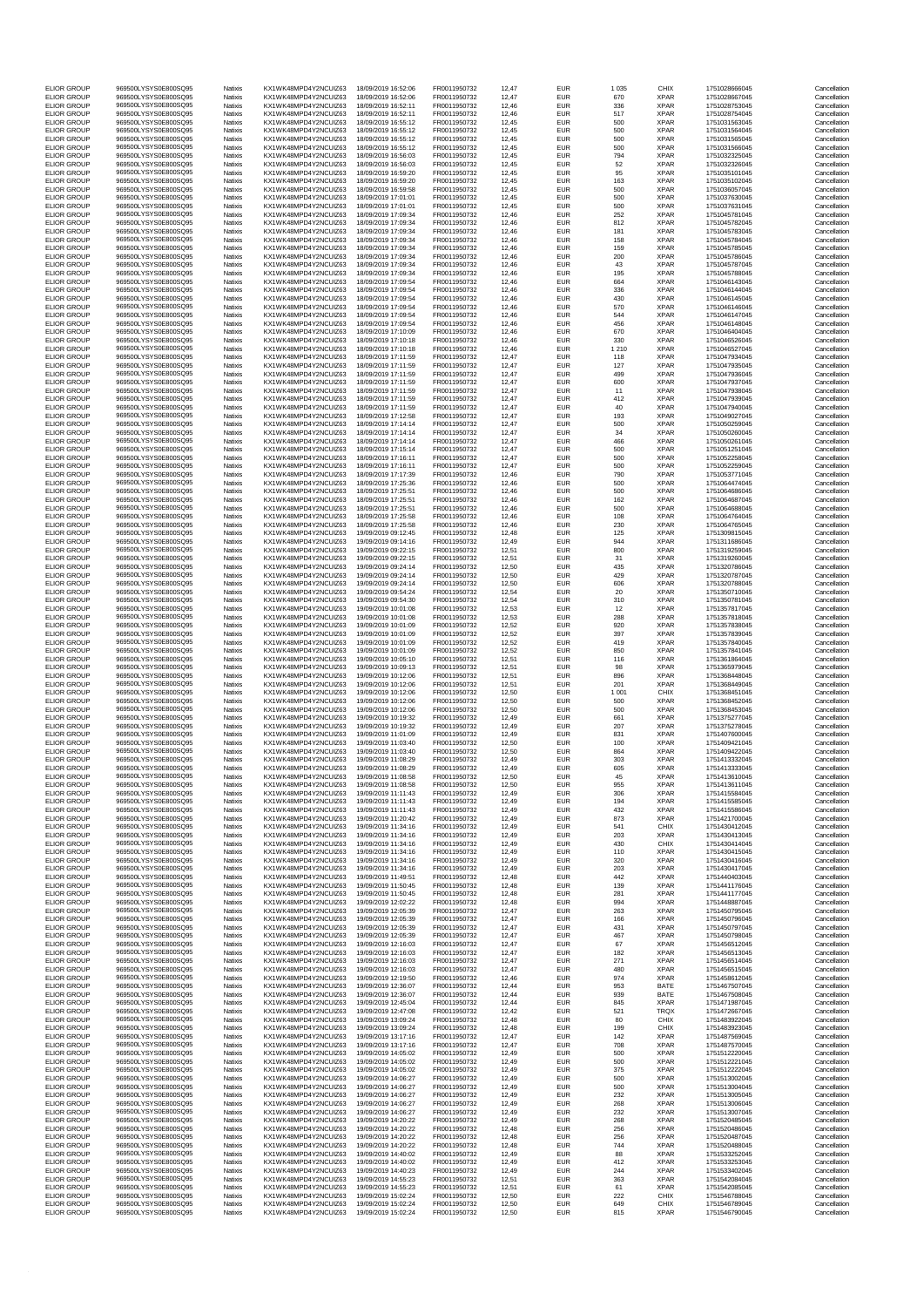| FLIOR GROUP                              | 969500LYSYS0E800SQ95                         | Natixis            | KX1WK48MPD4Y2NCUIZ63                         | 18/09/2019 16:52:06                        | FR0011950732                 | 12,47          | <b>EUR</b>               | 1 0 3 5        | CHIX                       | 1751028666045                  | Cancellation                 |
|------------------------------------------|----------------------------------------------|--------------------|----------------------------------------------|--------------------------------------------|------------------------------|----------------|--------------------------|----------------|----------------------------|--------------------------------|------------------------------|
| <b>ELIOR GROUP</b>                       | 969500LYSYS0E800SQ95                         | Natixis            | KX1WK48MPD4Y2NCUIZ63                         | 18/09/2019 16:52:06                        | FR0011950732                 | 12,47          | <b>EUR</b>               | 670            | <b>XPAR</b>                | 1751028667045                  | Cancellation                 |
| <b>ELIOR GROUP</b>                       | 969500LYSYS0E800SQ95                         | Natixis            | KX1WK48MPD4Y2NCUIZ63                         | 18/09/2019 16:52:11                        | FR0011950732                 | 12.46          | <b>EUR</b>               | 336            | <b>XPAR</b>                | 1751028753045                  | Cancellation                 |
| <b>ELIOR GROUP</b>                       | 969500LYSYS0E800SQ95                         | Natixis            | KX1WK48MPD4Y2NCUIZ63                         | 18/09/2019 16:52:11                        | FR0011950732                 | 12,46          | <b>EUR</b>               | 517            | <b>XPAR</b>                | 1751028754045                  | Cancellation                 |
| <b>ELIOR GROUP</b><br><b>ELIOR GROUP</b> | 969500LYSYS0E800SQ95<br>969500LYSYS0E800SQ95 | Natixis<br>Natixis | KX1WK48MPD4Y2NCUIZ63<br>KX1WK48MPD4Y2NCUIZ63 | 18/09/2019 16:55:12<br>18/09/2019 16:55:12 | FR0011950732<br>FR0011950732 | 12.45<br>12,45 | <b>EUR</b><br><b>EUR</b> | 500<br>500     | <b>XPAR</b><br><b>XPAR</b> | 1751031563045<br>1751031564045 | Cancellation<br>Cancellation |
| <b>ELIOR GROUP</b>                       | 969500LYSYS0E800SQ95                         | Natixis            | KX1WK48MPD4Y2NCUIZ63                         | 18/09/2019 16:55:12                        | FR0011950732                 | 12,45          | EUR                      | 500            | <b>XPAR</b>                | 1751031565045                  | Cancellation                 |
| <b>ELIOR GROUP</b>                       | 969500LYSYS0E800SQ95                         | Natixis            | KX1WK48MPD4Y2NCUIZ63                         | 18/09/2019 16:55:12                        | FR0011950732                 | 12.45          | <b>EUR</b>               | 500            | <b>XPAR</b>                | 1751031566045                  | Cancellation                 |
| <b>ELIOR GROUP</b><br><b>ELIOR GROUP</b> | 969500LYSYS0E800SQ95<br>969500LYSYS0E800SQ95 | Natixis<br>Natixis | KX1WK48MPD4Y2NCUIZ63<br>KX1WK48MPD4Y2NCUIZ63 | 18/09/2019 16:56:03<br>18/09/2019 16:56:03 | FR0011950732<br>FR0011950732 | 12,45          | <b>EUR</b><br><b>EUR</b> | 794            | <b>XPAR</b><br><b>XPAR</b> | 1751032325045<br>1751032326045 | Cancellation<br>Cancellation |
| <b>ELIOR GROUP</b>                       | 969500LYSYS0E800SQ95                         | Natixis            | KX1WK48MPD4Y2NCUIZ63                         | 18/09/2019 16:59:20                        | FR0011950732                 | 12,45<br>12,45 | <b>EUR</b>               | 52<br>95       | <b>XPAR</b>                | 1751035101045                  | Cancellation                 |
| <b>ELIOR GROUP</b>                       | 969500LYSYS0E800SQ95                         | Natixis            | KX1WK48MPD4Y2NCUIZ63                         | 18/09/2019 16:59:20                        | FR0011950732                 | 12,45          | EUR                      | 163            | <b>XPAR</b>                | 1751035102045                  | Cancellation                 |
| <b>ELIOR GROUP</b>                       | 969500LYSYS0E800SQ95                         | Natixis            | KX1WK48MPD4Y2NCUIZ63                         | 18/09/2019 16:59:58                        | FR0011950732                 | 12.45          | <b>EUR</b>               | 500            | <b>XPAR</b>                | 1751036057045                  | Cancellation                 |
| <b>ELIOR GROUP</b><br><b>ELIOR GROUP</b> | 969500LYSYS0E800SQ95<br>969500LYSYS0E800SQ95 | Natixis<br>Natixis | KX1WK48MPD4Y2NCUIZ63<br>KX1WK48MPD4Y2NCUIZ63 | 18/09/2019 17:01:01<br>18/09/2019 17:01:01 | FR0011950732<br>FR0011950732 | 12,45<br>12.45 | <b>EUR</b><br><b>EUR</b> | 500<br>500     | <b>XPAR</b><br><b>XPAR</b> | 1751037630045<br>1751037631045 | Cancellation<br>Cancellation |
| <b>ELIOR GROUP</b>                       | 969500LYSYS0E800SQ95                         | Natixis            | KX1WK48MPD4Y2NCUIZ63                         | 18/09/2019 17:09:34                        | FR0011950732                 | 12,46          | <b>EUR</b>               | 252            | <b>XPAR</b>                | 1751045781045                  | Cancellation                 |
| <b>ELIOR GROUP</b>                       | 969500LYSYS0E800SQ95                         | Natixis            | KX1WK48MPD4Y2NCUIZ63                         | 18/09/2019 17:09:34                        | FR0011950732                 | 12,46          | <b>EUR</b>               | 812            | <b>XPAR</b>                | 1751045782045                  | Cancellation                 |
| <b>ELIOR GROUP</b>                       | 969500LYSYS0E800SQ95                         | Natixis            | KX1WK48MPD4Y2NCUIZ63                         | 18/09/2019 17:09:34                        | FR0011950732                 | 12.46          | <b>EUR</b>               | 181            | <b>XPAR</b>                | 1751045783045                  | Cancellation                 |
| <b>ELIOR GROUP</b>                       | 969500LYSYS0E800SQ95<br>969500LYSYS0E800SQ95 | Natixis            | KX1WK48MPD4Y2NCUIZ63                         | 18/09/2019 17:09:34<br>18/09/2019 17:09:34 | FR0011950732                 | 12,46          | <b>EUR</b>               | 158            | <b>XPAR</b>                | 1751045784045                  | Cancellation<br>Cancellation |
| <b>ELIOR GROUP</b><br><b>ELIOR GROUP</b> | 969500LYSYS0E800SQ95                         | Natixis<br>Natixis | KX1WK48MPD4Y2NCUIZ63<br>KX1WK48MPD4Y2NCUIZ63 | 18/09/2019 17:09:34                        | FR0011950732<br>FR0011950732 | 12,46<br>12,46 | <b>EUR</b><br><b>EUR</b> | 159<br>200     | <b>XPAR</b><br><b>XPAR</b> | 1751045785045<br>1751045786045 | Cancellation                 |
| <b>ELIOR GROUP</b>                       | 969500LYSYS0E800SQ95                         | Natixis            | KX1WK48MPD4Y2NCUIZ63                         | 18/09/2019 17:09:34                        | FR0011950732                 | 12,46          | EUR                      | 43             | <b>XPAR</b>                | 1751045787045                  | Cancellation                 |
| <b>ELIOR GROUP</b>                       | 969500LYSYS0E800SQ95                         | Natixis            | KX1WK48MPD4Y2NCUIZ63                         | 18/09/2019 17:09:34                        | FR0011950732                 | 12.46          | <b>EUR</b>               | 195            | <b>XPAR</b>                | 1751045788045                  | Cancellation                 |
| <b>ELIOR GROUP</b>                       | 969500LYSYS0E800SQ95<br>969500LYSYS0E800SQ95 | Natixis            | KX1WK48MPD4Y2NCUIZ63<br>KX1WK48MPD4Y2NCUIZ63 | 18/09/2019 17:09:54<br>18/09/2019 17:09:54 | FR0011950732<br>FR0011950732 | 12,46          | EUR                      | 664<br>336     | <b>XPAR</b><br><b>XPAR</b> | 1751046143045                  | Cancellation                 |
| <b>ELIOR GROUP</b><br><b>ELIOR GROUP</b> | 969500LYSYS0E800SQ95                         | Natixis<br>Natixis | KX1WK48MPD4Y2NCUIZ63                         | 18/09/2019 17:09:54                        | FR0011950732                 | 12,46<br>12,46 | EUR<br><b>EUR</b>        | 430            | <b>XPAR</b>                | 1751046144045<br>1751046145045 | Cancellation<br>Cancellation |
| <b>ELIOR GROUP</b>                       | 969500LYSYS0E800SQ95                         | Natixis            | KX1WK48MPD4Y2NCUIZ63                         | 18/09/2019 17:09:54                        | FR0011950732                 | 12,46          | EUR                      | 570            | <b>XPAR</b>                | 1751046146045                  | Cancellation                 |
| <b>ELIOR GROUP</b>                       | 969500LYSYS0E800SQ95                         | Natixis            | KX1WK48MPD4Y2NCUIZ63                         | 18/09/2019 17:09:54                        | FR0011950732                 | 12.46          | <b>EUR</b>               | 544            | <b>XPAR</b>                | 1751046147045                  | Cancellation                 |
| <b>ELIOR GROUP</b>                       | 969500LYSYS0E800SQ95<br>969500LYSYS0E800SQ95 | Natixis            | KX1WK48MPD4Y2NCUIZ63<br>KX1WK48MPD4Y2NCUIZ63 | 18/09/2019 17:09:54                        | FR0011950732                 | 12,46          | <b>EUR</b><br><b>EUR</b> | 456<br>670     | <b>XPAR</b><br><b>XPAR</b> | 1751046148045                  | Cancellation                 |
| <b>ELIOR GROUP</b><br><b>ELIOR GROUP</b> | 969500LYSYS0E800SQ95                         | Natixis<br>Natixis | KX1WK48MPD4Y2NCUIZ63                         | 18/09/2019 17:10:09<br>18/09/2019 17:10:18 | FR0011950732<br>FR0011950732 | 12,46<br>12,46 | <b>EUR</b>               | 330            | <b>XPAR</b>                | 1751046404045<br>1751046526045 | Cancellation<br>Cancellation |
| <b>ELIOR GROUP</b>                       | 969500LYSYS0E800SQ95                         | Natixis            | KX1WK48MPD4Y2NCUIZ63                         | 18/09/2019 17:10:18                        | FR0011950732                 | 12,46          | EUR                      | 1 2 1 0        | <b>XPAR</b>                | 1751046527045                  | Cancellation                 |
| <b>ELIOR GROUP</b>                       | 969500LYSYS0E800SQ95                         | Natixis            | KX1WK48MPD4Y2NCUIZ63                         | 18/09/2019 17:11:59                        | FR0011950732                 | 12.47          | <b>EUR</b>               | 118            | <b>XPAR</b>                | 1751047934045                  | Cancellation                 |
| <b>ELIOR GROUP</b>                       | 969500LYSYS0E800SQ95<br>969500LYSYS0E800SQ95 | Natixis            | KX1WK48MPD4Y2NCUIZ63                         | 18/09/2019 17:11:59                        | FR0011950732                 | 12,47          | <b>EUR</b>               | 127            | <b>XPAR</b><br><b>XPAR</b> | 1751047935045                  | Cancellation                 |
| <b>ELIOR GROUP</b><br><b>ELIOR GROUP</b> | 969500LYSYS0E800SQ95                         | Natixis<br>Natixis | KX1WK48MPD4Y2NCUIZ63<br>KX1WK48MPD4Y2NCUIZ63 | 18/09/2019 17:11:59<br>18/09/2019 17:11:59 | FR0011950732<br>FR0011950732 | 12.47<br>12,47 | EUR<br><b>EUR</b>        | 499<br>600     | <b>XPAR</b>                | 1751047936045<br>1751047937045 | Cancellation<br>Cancellation |
| <b>ELIOR GROUP</b>                       | 969500LYSYS0E800SQ95                         | Natixis            | KX1WK48MPD4Y2NCUIZ63                         | 18/09/2019 17:11:59                        | FR0011950732                 | 12,47          | EUR                      | 11             | <b>XPAR</b>                | 1751047938045                  | Cancellation                 |
| <b>ELIOR GROUP</b>                       | 969500LYSYS0E800SQ95                         | Natixis            | KX1WK48MPD4Y2NCUIZ63                         | 18/09/2019 17:11:59                        | FR0011950732                 | 12.47          | <b>EUR</b>               | 412            | <b>XPAR</b>                | 1751047939045                  | Cancellation                 |
| <b>ELIOR GROUP</b>                       | 969500LYSYS0E800SQ95<br>969500LYSYS0E800SQ95 | Natixis            | KX1WK48MPD4Y2NCUIZ63<br>KX1WK48MPD4Y2NCUIZ63 | 18/09/2019 17:11:59<br>18/09/2019 17:12:58 | FR0011950732                 | 12,47          | <b>EUR</b>               | 40             | <b>XPAR</b><br><b>XPAR</b> | 1751047940045                  | Cancellation                 |
| <b>ELIOR GROUP</b><br><b>ELIOR GROUP</b> | 969500LYSYS0E800SQ95                         | Natixis<br>Natixis | KX1WK48MPD4Y2NCUIZ63                         | 18/09/2019 17:14:14                        | FR0011950732<br>FR0011950732 | 12,47<br>12,47 | <b>EUR</b><br><b>EUR</b> | 193<br>500     | <b>XPAR</b>                | 1751049027045<br>1751050259045 | Cancellation<br>Cancellation |
| <b>ELIOR GROUP</b>                       | 969500LYSYS0E800SQ95                         | Natixis            | KX1WK48MPD4Y2NCUIZ63                         | 18/09/2019 17:14:14                        | FR0011950732                 | 12,47          | <b>EUR</b>               | 34             | <b>XPAR</b>                | 1751050260045                  | Cancellation                 |
| <b>ELIOR GROUP</b>                       | 969500LYSYS0E800SQ95                         | Natixis            | KX1WK48MPD4Y2NCUIZ63                         | 18/09/2019 17:14:14                        | FR0011950732                 | 12.47          | <b>EUR</b>               | 466            | <b>XPAR</b>                | 1751050261045                  | Cancellation                 |
| <b>ELIOR GROUP</b>                       | 969500LYSYS0E800SQ95<br>969500LYSYS0E800SQ95 | Natixis            | KX1WK48MPD4Y2NCUIZ63                         | 18/09/2019 17:15:14                        | FR0011950732                 | 12,47          | <b>EUR</b>               | 500            | <b>XPAR</b>                | 1751051251045                  | Cancellation                 |
| <b>ELIOR GROUP</b><br><b>ELIOR GROUP</b> | 969500LYSYS0E800SQ95                         | Natixis<br>Natixis | KX1WK48MPD4Y2NCUIZ63<br>KX1WK48MPD4Y2NCUIZ63 | 18/09/2019 17:16:11<br>18/09/2019 17:16:11 | FR0011950732<br>FR0011950732 | 12,47<br>12,47 | EUR<br><b>EUR</b>        | 500<br>500     | <b>XPAR</b><br><b>XPAR</b> | 1751052258045<br>1751052259045 | Cancellation<br>Cancellation |
| <b>ELIOR GROUP</b>                       | 969500LYSYS0E800SQ95                         | Natixis            | KX1WK48MPD4Y2NCUIZ63                         | 18/09/2019 17:17:39                        | FR0011950732                 | 12,46          | <b>EUR</b>               | 790            | <b>XPAR</b>                | 1751053771045                  | Cancellation                 |
| FLIOR GROUP                              | 969500LYSYS0E800SQ95                         | Natixis            | KX1WK48MPD4Y2NCUIZ63                         | 18/09/2019 17:25:36                        | FR0011950732                 | 12.46          | <b>EUR</b>               | 500            | <b>XPAR</b>                | 1751064474045                  | Cancellation                 |
| <b>ELIOR GROUP</b>                       | 969500LYSYS0E800SQ95                         | Natixis            | KX1WK48MPD4Y2NCUIZ63                         | 18/09/2019 17:25:51                        | FR0011950732                 | 12,46          | <b>EUR</b>               | 500            | <b>XPAR</b>                | 1751064686045                  | Cancellation                 |
| <b>ELIOR GROUP</b><br><b>ELIOR GROUP</b> | 969500LYSYS0E800SO95<br>969500LYSYS0E800SQ95 | Natixis<br>Natixis | KX1WK48MPD4Y2NCUIZ63<br>KX1WK48MPD4Y2NCUIZ63 | 18/09/2019 17:25:51<br>18/09/2019 17:25:5: | FR0011950732<br>FR0011950732 | 12,46<br>12,46 | <b>EUR</b><br><b>EUR</b> | 162<br>500     | <b>XPAR</b><br><b>XPAR</b> | 1751064687045<br>1751064688045 | Cancellation<br>Cancellation |
| <b>ELIOR GROUP</b>                       | 969500LYSYS0E800SQ95                         | Natixis            | KX1WK48MPD4Y2NCUIZ63                         | 18/09/2019 17:25:58                        | FR0011950732                 | 12,46          | <b>EUR</b>               | 108            | <b>XPAR</b>                | 1751064764045                  | Cancellation                 |
| <b>ELIOR GROUP</b>                       | 969500LYSYS0E800SQ95                         | Natixis            | KX1WK48MPD4Y2NCUIZ63                         | 18/09/2019 17:25:58                        | FR0011950732                 | 12.46          | <b>EUR</b>               | 230            | <b>XPAR</b>                | 1751064765045                  | Cancellation                 |
| <b>ELIOR GROUP</b>                       | 969500LYSYS0E800SQ95                         | Natixis            | KX1WK48MPD4Y2NCUIZ63                         | 19/09/2019 09:12:45                        | FR0011950732                 | 12,48          | <b>EUR</b>               | 125            | <b>XPAR</b>                | 1751309815045                  | Cancellation                 |
| <b>ELIOR GROUP</b>                       | 969500LYSYS0E800SQ95                         | Natixis<br>Natixis | KX1WK48MPD4Y2NCUIZ63                         | 19/09/2019 09:14:16                        | FR0011950732                 | 12.49          | EUR                      | 944            | <b>XPAR</b><br><b>XPAR</b> | 1751311686045                  | Cancellation                 |
| <b>ELIOR GROUP</b><br><b>ELIOR GROUP</b> | 969500LYSYS0E800SQ95<br>969500LYSYS0E800SQ95 | Natixis            | KX1WK48MPD4Y2NCUIZ63<br>KX1WK48MPD4Y2NCUIZ63 | 19/09/2019 09:22:15<br>19/09/2019 09:22:15 | FR0011950732<br>FR0011950732 | 12,51<br>12,51 | <b>EUR</b><br><b>EUR</b> | 800<br>31      | <b>XPAR</b>                | 1751319259045<br>1751319260045 | Cancellation<br>Cancellation |
| <b>ELIOR GROUP</b>                       | 969500LYSYS0E800SQ95                         | Natixis            | KX1WK48MPD4Y2NCUIZ63                         | 19/09/2019 09:24:14                        | FR0011950732                 | 12,50          | <b>EUR</b>               | 435            | <b>XPAR</b>                | 1751320786045                  | Cancellation                 |
| <b>ELIOR GROUP</b>                       | 969500LYSYS0E800SQ95                         | Natixis            | KX1WK48MPD4Y2NCUIZ63                         | 19/09/2019 09:24:14                        | FR0011950732                 | 12,50          | <b>EUR</b>               | 429            | <b>XPAR</b>                | 1751320787045                  | Cancellation                 |
| <b>ELIOR GROUP</b><br><b>ELIOR GROUP</b> | 969500LYSYS0E800SQ95<br>969500LYSYS0E800SQ95 | Natixis<br>Natixis | KX1WK48MPD4Y2NCUIZ63<br>KX1WK48MPD4Y2NCUIZ63 | 19/09/2019 09:24:14<br>19/09/2019 09:54:24 | FR0011950732<br>FR0011950732 | 12,50<br>12,54 | <b>EUR</b><br><b>EUR</b> | 606<br>20      | <b>XPAR</b><br><b>XPAR</b> | 1751320788045<br>1751350710045 | Cancellation<br>Cancellation |
| <b>ELIOR GROUP</b>                       | 969500LYSYS0E800SQ95                         | Natixis            | KX1WK48MPD4Y2NCUIZ63                         | 19/09/2019 09:54:30                        | FR0011950732                 | 12,54          | <b>EUR</b>               | 310            | <b>XPAR</b>                | 1751350781045                  | Cancellation                 |
| <b>ELIOR GROUP</b>                       | 969500LYSYS0E800SQ95                         | Natixis            | KX1WK48MPD4Y2NCUIZ63                         | 19/09/2019 10:01:08                        | FR0011950732                 | 12,53          | <b>EUR</b>               | 12             | <b>XPAR</b>                | 1751357817045                  | Cancellation                 |
| <b>ELIOR GROUP</b>                       | 969500LYSYS0E800SQ95                         | Natixis            | KX1WK48MPD4Y2NCUIZ63                         | 19/09/2019 10:01:08                        | FR0011950732                 | 12,53          | <b>EUR</b>               | 288            | <b>XPAR</b>                | 1751357818045                  | Cancellation                 |
| <b>ELIOR GROUP</b>                       | 969500LYSYS0E800SQ95                         | Natixis            | KX1WK48MPD4Y2NCUIZ63                         | 19/09/2019 10:01:09                        | FR0011950732                 | 12,52          | EUR                      | 920            | <b>XPAR</b>                | 1751357838045                  | Cancellation                 |
| <b>ELIOR GROUP</b><br><b>ELIOR GROUP</b> | 969500LYSYS0E800SQ95<br>969500LYSYS0E800SQ95 | Natixis<br>Natixis | KX1WK48MPD4Y2NCUIZ63<br>KX1WK48MPD4Y2NCUIZ63 | 19/09/2019 10:01:09<br>19/09/2019 10:01:09 | FR0011950732<br>FR0011950732 | 12,52<br>12,52 | <b>EUR</b><br><b>EUR</b> | 397<br>419     | <b>XPAR</b><br><b>XPAR</b> | 1751357839045<br>1751357840045 | Cancellation<br>Cancellation |
| <b>ELIOR GROUP</b>                       | 969500LYSYS0E800SQ95                         | Natixis            | KX1WK48MPD4Y2NCUIZ63                         | 19/09/2019 10:01:09                        | FR0011950732                 | 12,52          | <b>EUR</b>               | 850            | <b>XPAR</b>                | 1751357841045                  | Cancellation                 |
| <b>ELIOR GROUP</b>                       | 969500LYSYS0E800SQ95                         | Natixis            | KX1WK48MPD4Y2NCUIZ63                         | 19/09/2019 10:05:10                        | FR0011950732                 | 12,51          | <b>EUR</b>               | 116            | <b>XPAR</b>                | 1751361864045                  | Cancellation                 |
| <b>ELIOR GROUP</b>                       | 969500LYSYS0E800SQ95                         | Natixis            | KX1WK48MPD4Y2NCUIZ63                         | 19/09/2019 10:09:13                        | FR0011950732                 | 12,51          | <b>EUR</b>               | 98             | <b>XPAR</b>                | 1751365979045                  | Cancellation                 |
| <b>ELIOR GROUP</b>                       | 969500LYSYS0E800SQ95<br>969500LYSYS0E800SQ95 | Natixis            | KX1WK48MPD4Y2NCUIZ63                         | 19/09/2019 10:12:06                        | FR0011950732                 | 12,51          | <b>EUR</b>               | 896            | <b>XPAR</b>                | 1751368448045<br>1751368449045 | Cancellation                 |
| <b>ELIOR GROUP</b><br><b>ELIOR GROUP</b> | 969500LYSYS0E800SQ95                         | Natixis<br>Natixis | KX1WK48MPD4Y2NCUIZ63<br>KX1WK48MPD4Y2NCUIZ63 | 19/09/2019 10:12:06<br>19/09/2019 10:12:06 | FR0011950732<br>FR0011950732 | 12,51<br>12.50 | <b>EUR</b><br><b>EUR</b> | 201<br>1 0 0 1 | <b>XPAR</b><br>CHIX        | 1751368451045                  | Cancellation<br>Cancellation |
| <b>ELIOR GROUP</b>                       | 969500LYSYS0E800SQ95                         | Natixis            | KX1WK48MPD4Y2NCUIZ63                         | 19/09/2019 10:12:06                        | FR0011950732                 | 12,50          | <b>EUR</b>               | 500            | <b>XPAR</b>                | 1751368452045                  | Cancellation                 |
| <b>ELIOR GROUP</b>                       | 969500LYSYS0E800SO95                         | Natixis            | KX1WK48MPD4Y2NCUIZ63                         | 19/09/2019 10:12:06                        | FR0011950732                 | 12.50          | EUR                      | 500            | <b>XPAR</b>                | 1751368453045                  | Cancellation                 |
| <b>ELIOR GROUP</b>                       | 969500LYSYS0E800SQ95<br>969500LYSYS0E800SQ95 | Natixis            | KX1WK48MPD4Y2NCUIZ63<br>KX1WK48MPD4Y2NCUIZ63 | 19/09/2019 10:19:32<br>19/09/2019 10:19:32 | FR0011950732<br>FR0011950732 | 12,49          | <b>EUR</b>               | 661            | <b>XPAR</b>                | 1751375277045                  | Cancellation                 |
| <b>ELIOR GROUP</b><br><b>ELIOR GROUP</b> | 969500LYSYS0E800SQ95                         | Natixis<br>Natixis | KX1WK48MPD4Y2NCUIZ63                         | 19/09/2019 11:01:09                        | FR0011950732                 | 12,49<br>12.49 | <b>EUR</b><br><b>EUR</b> | 207<br>831     | <b>XPAR</b><br><b>XPAR</b> | 1751375278045<br>1751407600045 | Cancellation<br>Cancellation |
| <b>ELIOR GROUP</b>                       | 969500LYSYS0E800SQ95                         | Natixis            | KX1WK48MPD4Y2NCUIZ63                         | 19/09/2019 11:03:40                        | FR0011950732                 | 12,50          | <b>EUR</b>               | 100            | <b>XPAR</b>                | 1751409421045                  | Cancellation                 |
| FLIOR GROUP                              | 969500LYSYS0E800SO95                         | Natixis            | KX1WK48MPD4Y2NCUIZ63                         | 19/09/2019 11:03:40                        | FR0011950732                 | 12,50          | <b>EUR</b>               | 864            | <b>XPAR</b>                | 1751409422045                  | Cancellation                 |
| <b>ELIOR GROUP</b><br><b>ELIOR GROUP</b> | 969500LYSYS0E800SQ95<br>969500LYSYS0E800SQ95 | Natixis<br>Natixis | KX1WK48MPD4Y2NCUIZ63<br>KX1WK48MPD4Y2NCUIZ63 | 19/09/2019 11:08:29<br>19/09/2019 11:08:29 | FR0011950732<br>FR0011950732 | 12,49<br>12,49 | <b>EUR</b><br><b>EUR</b> | 303<br>605     | <b>XPAR</b><br><b>XPAR</b> | 1751413332045<br>1751413333045 | Cancellation<br>Cancellation |
| <b>ELIOR GROUP</b>                       | 969500LYSYS0E800SQ95                         | Natixis            | KX1WK48MPD4Y2NCUIZ63                         | 19/09/2019 11:08:58                        | FR0011950732                 | 12.50          | <b>EUR</b>               | 45             | <b>XPAR</b>                | 1751413610045                  | Cancellation                 |
| <b>ELIOR GROUP</b>                       | 969500LYSYS0E800SQ95                         | Natixis            | KX1WK48MPD4Y2NCUIZ63                         | 19/09/2019 11:08:58                        | FR0011950732                 | 12.50          | <b>EUR</b>               | 955            | <b>XPAR</b>                | 1751413611045                  | Cancellation                 |
| <b>ELIOR GROUP</b>                       | 969500LYSYS0E800SQ95                         | Natixis            | KX1WK48MPD4Y2NCUIZ63                         | 19/09/2019 11:11:43                        | FR0011950732                 | 12.49          | <b>EUR</b>               | 306            | <b>XPAR</b>                | 1751415584045                  | Cancellation                 |
| <b>ELIOR GROUP</b><br><b>ELIOR GROUP</b> | 969500LYSYS0E800SQ95<br>969500LYSYS0E800SQ95 | Natixis            | KX1WK48MPD4Y2NCUIZ63<br>KX1WK48MPD4Y2NCUIZ63 | 19/09/2019 11:11:43<br>19/09/2019 11:11:43 | FR0011950732                 | 12,49          | <b>EUR</b>               | 194            | <b>XPAR</b>                | 1751415585045                  | Cancellation                 |
| <b>ELIOR GROUP</b>                       | 969500LYSYS0E800SQ95                         | Natixis<br>Natixis | KX1WK48MPD4Y2NCUIZ63                         | 19/09/2019 11:20:42                        | FR0011950732<br>FR0011950732 | 12,49<br>12.49 | <b>EUR</b><br><b>EUR</b> | 432<br>873     | <b>XPAR</b><br><b>XPAR</b> | 1751415586045<br>1751421700045 | Cancellation<br>Cancellation |
| <b>ELIOR GROUP</b>                       | 969500LYSYS0E800SQ95                         | Natixis            | KX1WK48MPD4Y2NCUIZ63                         | 19/09/2019 11:34:16                        | FR0011950732                 | 12,49          | <b>EUR</b>               | 541            | CHIX                       | 1751430412045                  | Cancellation                 |
| <b>ELIOR GROUP</b>                       | 969500LYSYS0E800SQ95                         | Natixis            | KX1WK48MPD4Y2NCUIZ63                         | 19/09/2019 11:34:16                        | FR0011950732                 | 12,49          | <b>EUR</b>               | 203            | <b>XPAR</b>                | 1751430413045                  | Cancellation                 |
| <b>ELIOR GROUP</b><br><b>ELIOR GROUP</b> | 969500LYSYS0E800SQ95<br>969500LYSYS0E800SQ95 | Natixis<br>Natixis | KX1WK48MPD4Y2NCUIZ63<br>KX1WK48MPD4Y2NCUIZ63 | 19/09/2019 11:34:16<br>19/09/2019 11:34:16 | FR0011950732<br>FR0011950732 | 12,49<br>12,49 | <b>EUR</b><br><b>EUR</b> | 430<br>110     | CHIX<br><b>XPAR</b>        | 1751430414045<br>1751430415045 | Cancellation<br>Cancellation |
| <b>ELIOR GROUP</b>                       | 969500LYSYS0E800SQ95                         | Natixis            | KX1WK48MPD4Y2NCUIZ63                         | 19/09/2019 11:34:16                        | FR0011950732                 | 12.49          | <b>EUR</b>               | 320            | <b>XPAR</b>                | 1751430416045                  | Cancellation                 |
| <b>ELIOR GROUP</b>                       | 969500LYSYS0E800SQ95                         | Natixis            | KX1WK48MPD4Y2NCUIZ63                         | 19/09/2019 11:34:16                        | FR0011950732                 | 12.49          | <b>EUR</b>               | 203            | <b>XPAR</b>                | 1751430417045                  | Cancellation                 |
| <b>ELIOR GROUP</b>                       | 969500LYSYS0E800SQ95                         | Natixis<br>Natixis | KX1WK48MPD4Y2NCUIZ63<br>KX1WK48MPD4Y2NCUIZ63 | 19/09/2019 11:49:51<br>19/09/2019 11:50:45 | FR0011950732<br>FR0011950732 | 12.48          | <b>EUR</b><br><b>EUR</b> | 442<br>139     | <b>XPAR</b><br><b>XPAR</b> | 1751440403045<br>1751441176045 | Cancellation<br>Cancellation |
| <b>ELIOR GROUP</b><br><b>ELIOR GROUP</b> | 969500LYSYS0E800SQ95<br>969500LYSYS0E800SQ95 | Natixis            | KX1WK48MPD4Y2NCUIZ63                         | 19/09/2019 11:50:45                        | FR0011950732                 | 12,48<br>12,48 | <b>EUR</b>               | 281            | <b>XPAR</b>                | 1751441177045                  | Cancellation                 |
| <b>ELIOR GROUP</b>                       | 969500LYSYS0E800SQ95                         | Natixis            | KX1WK48MPD4Y2NCUIZ63                         | 19/09/2019 12:02:22                        | FR0011950732                 | 12.48          | <b>EUR</b>               | 994            | <b>XPAR</b>                | 1751448887045                  | Cancellation                 |
| <b>ELIOR GROUP</b>                       | 969500LYSYS0E800SQ95                         | Natixis            | KX1WK48MPD4Y2NCUIZ63                         | 19/09/2019 12:05:39                        | FR0011950732                 | 12,47          | <b>EUR</b>               | 263            | <b>XPAR</b>                | 1751450795045                  | Cancellation                 |
| <b>ELIOR GROUP</b><br><b>ELIOR GROUP</b> | 969500LYSYS0E800SQ95<br>969500LYSYS0E800SQ95 | Natixis<br>Natixis | KX1WK48MPD4Y2NCUIZ63<br>KX1WK48MPD4Y2NCUIZ63 | 19/09/2019 12:05:39<br>19/09/2019 12:05:39 | FR0011950732<br>FR0011950732 | 12.47<br>12,47 | <b>EUR</b><br><b>EUR</b> | 166<br>431     | <b>XPAR</b><br><b>XPAR</b> | 1751450796045<br>1751450797045 | Cancellation<br>Cancellation |
| <b>ELIOR GROUP</b>                       | 969500LYSYS0E800SQ95                         | Natixis            | KX1WK48MPD4Y2NCUIZ63                         | 19/09/2019 12:05:39                        | FR0011950732                 | 12,47          | <b>EUR</b>               | 467            | <b>XPAR</b>                | 1751450798045                  | Cancellation                 |
| <b>ELIOR GROUP</b>                       | 969500LYSYS0E800SQ95                         | Natixis            | KX1WK48MPD4Y2NCUIZ63                         | 19/09/2019 12:16:03                        | FR0011950732                 | 12.47          | <b>EUR</b>               | 67             | <b>XPAR</b>                | 1751456512045                  | Cancellation                 |
| <b>ELIOR GROUP</b>                       | 969500LYSYS0E800SQ95                         | Natixis            | KX1WK48MPD4Y2NCUIZ63                         | 19/09/2019 12:16:03                        | FR0011950732                 | 12.47          | <b>EUR</b>               | 182            | <b>XPAR</b>                | 1751456513045                  | Cancellation                 |
| <b>ELIOR GROUP</b><br><b>ELIOR GROUP</b> | 969500LYSYS0E800SQ95<br>969500LYSYS0E800SQ95 | Natixis<br>Natixis | KX1WK48MPD4Y2NCUIZ63<br>KX1WK48MPD4Y2NCUIZ63 | 19/09/2019 12:16:03<br>19/09/2019 12:16:03 | FR0011950732<br>FR0011950732 | 12.47<br>12,47 | <b>EUR</b><br><b>EUR</b> | 271<br>480     | <b>XPAR</b><br><b>XPAR</b> | 1751456514045<br>1751456515045 | Cancellation<br>Cancellation |
| <b>ELIOR GROUP</b>                       | 969500LYSYS0E800SQ95                         | Natixis            | KX1WK48MPD4Y2NCUIZ63                         | 19/09/2019 12:19:50                        | FR0011950732                 | 12,46          | <b>EUR</b>               | 974            | <b>XPAR</b>                | 1751458612045                  | Cancellation                 |
| <b>ELIOR GROUP</b>                       | 969500LYSYS0E800SQ95                         | Natixis            | KX1WK48MPD4Y2NCUIZ63                         | 19/09/2019 12:36:07                        | FR0011950732                 | 12.44          | <b>EUR</b>               | 953            | BATE                       | 1751467507045                  | Cancellation                 |
| <b>ELIOR GROUP</b>                       | 969500LYSYS0E800SQ95                         | Natixis            | KX1WK48MPD4Y2NCUIZ63                         | 19/09/2019 12:36:07                        | FR0011950732                 | 12,44          | <b>EUR</b>               | 939            | BATE                       | 1751467508045                  | Cancellation                 |
| <b>ELIOR GROUP</b>                       | 969500LYSYS0E800SQ95                         | Natixis<br>Natixis | KX1WK48MPD4Y2NCUIZ63                         | 19/09/2019 12:45:04                        | FR0011950732                 | 12,44          | <b>EUR</b>               | 845            | <b>XPAR</b><br><b>TRQX</b> | 1751471987045                  | Cancellation<br>Cancellation |
| <b>ELIOR GROUP</b><br><b>ELIOR GROUP</b> | 969500LYSYS0E800SQ95<br>969500LYSYS0E800SQ95 | Natixis            | KX1WK48MPD4Y2NCUIZ63<br>KX1WK48MPD4Y2NCUIZ63 | 19/09/2019 12:47:08<br>19/09/2019 13:09:24 | FR0011950732<br>FR0011950732 | 12,42<br>12,48 | <b>EUR</b><br><b>EUR</b> | 521<br>80      | <b>CHIX</b>                | 1751472667045<br>1751483922045 | Cancellation                 |
| <b>ELIOR GROUP</b>                       | 969500LYSYS0E800SQ95                         | Natixis            | KX1WK48MPD4Y2NCUIZ63                         | 19/09/2019 13:09:24                        | FR0011950732                 | 12.48          | <b>EUR</b>               | 199            | CHIX                       | 1751483923045                  | Cancellation                 |
| <b>ELIOR GROUP</b>                       | 969500LYSYS0E800SQ95                         | Natixis            | KX1WK48MPD4Y2NCUIZ63                         | 19/09/2019 13:17:16                        | FR0011950732                 | 12,47          | <b>EUR</b>               | 142            | <b>XPAR</b>                | 1751487569045                  | Cancellation                 |
| <b>ELIOR GROUP</b>                       | 969500LYSYS0E800SQ95                         | Natixis            | KX1WK48MPD4Y2NCUIZ63                         | 19/09/2019 13:17:16                        | FR0011950732                 | 12,47          | <b>EUR</b>               | 708            | <b>XPAR</b>                | 1751487570045                  | Cancellation                 |
| <b>ELIOR GROUP</b><br><b>ELIOR GROUP</b> | 969500LYSYS0E800SQ95<br>969500LYSYS0E800SQ95 | Natixis<br>Natixis | KX1WK48MPD4Y2NCUIZ63<br>KX1WK48MPD4Y2NCUIZ63 | 19/09/2019 14:05:02<br>19/09/2019 14:05:02 | FR0011950732<br>FR0011950732 | 12.49<br>12,49 | <b>EUR</b><br>EUR        | 500<br>500     | <b>XPAR</b><br><b>XPAR</b> | 1751512220045<br>1751512221045 | Cancellation<br>Cancellation |
| <b>ELIOR GROUP</b>                       | 969500LYSYS0E800SQ95                         | Natixis            | KX1WK48MPD4Y2NCUIZ63                         | 19/09/2019 14:05:02                        | FR0011950732                 | 12.49          | <b>EUR</b>               | 375            | <b>XPAR</b>                | 1751512222045                  | Cancellation                 |
| <b>ELIOR GROUP</b>                       | 969500LYSYS0E800SQ95                         | Natixis            | KX1WK48MPD4Y2NCUIZ63                         | 19/09/2019 14:06:27                        | FR0011950732                 | 12.49          | <b>EUR</b>               | 500            | <b>XPAR</b>                | 1751513002045                  | Cancellation                 |
| <b>ELIOR GROUP</b>                       | 969500LYSYS0E800SQ95                         | Natixis            | KX1WK48MPD4Y2NCUIZ63                         | 19/09/2019 14:06:27                        | FR0011950732                 | 12,49          | <b>EUR</b>               | 500            | <b>XPAR</b>                | 1751513004045                  | Cancellation                 |
| <b>ELIOR GROUP</b><br><b>ELIOR GROUP</b> | 969500LYSYS0E800SQ95<br>969500LYSYS0E800SQ95 | Natixis<br>Natixis | KX1WK48MPD4Y2NCUIZ63<br>KX1WK48MPD4Y2NCUIZ63 | 19/09/2019 14:06:27<br>19/09/2019 14:06:27 | FR0011950732<br>FR0011950732 | 12.49<br>12,49 | <b>EUR</b><br><b>EUR</b> | 232<br>268     | <b>XPAR</b><br><b>XPAR</b> | 1751513005045<br>1751513006045 | Cancellation<br>Cancellation |
| <b>ELIOR GROUP</b>                       | 969500LYSYS0E800SQ95                         | Natixis            | KX1WK48MPD4Y2NCUIZ63                         | 19/09/2019 14:06:27                        | FR0011950732                 | 12.49          | <b>EUR</b>               | 232            | <b>XPAR</b>                | 1751513007045                  | Cancellation                 |
| <b>ELIOR GROUP</b>                       | 969500LYSYS0E800SQ95                         | Natixis            | KX1WK48MPD4Y2NCUIZ63                         | 19/09/2019 14:20:22                        | FR0011950732                 | 12.49          | <b>EUR</b>               | 268            | <b>XPAR</b>                | 1751520485045                  | Cancellation                 |
| <b>ELIOR GROUP</b><br><b>ELIOR GROUP</b> | 969500LYSYS0E800SQ95<br>969500LYSYS0E800SQ95 | Natixis<br>Natixis | KX1WK48MPD4Y2NCUIZ63<br>KX1WK48MPD4Y2NCUIZ63 | 19/09/2019 14:20:22<br>19/09/2019 14:20:22 | FR0011950732<br>FR0011950732 | 12.48<br>12,48 | <b>EUR</b><br><b>EUR</b> | 256<br>256     | <b>XPAR</b><br><b>XPAR</b> | 1751520486045<br>1751520487045 | Cancellation<br>Cancellation |
| <b>ELIOR GROUP</b>                       | 969500LYSYS0E800SQ95                         | Natixis            | KX1WK48MPD4Y2NCUIZ63                         | 19/09/2019 14:20:22                        | FR0011950732                 | 12,48          | <b>EUR</b>               | 744            | <b>XPAR</b>                | 1751520488045                  | Cancellation                 |
| <b>ELIOR GROUP</b>                       | 969500LYSYS0E800SQ95                         | Natixis            | KX1WK48MPD4Y2NCUIZ63                         | 19/09/2019 14:40:02                        | FR0011950732                 | 12.49          | <b>EUR</b>               | 88             | <b>XPAR</b>                | 1751533252045                  | Cancellation                 |
| <b>ELIOR GROUP</b>                       | 969500LYSYS0E800SQ95                         | Natixis            | KX1WK48MPD4Y2NCUIZ63                         | 19/09/2019 14:40:02                        | FR0011950732                 | 12,49          | <b>EUR</b>               | 412            | <b>XPAR</b>                | 1751533253045                  | Cancellation                 |
| <b>ELIOR GROUP</b><br><b>ELIOR GROUP</b> | 969500LYSYS0E800SQ95<br>969500LYSYS0E800SQ95 | Natixis<br>Natixis | KX1WK48MPD4Y2NCUIZ63<br>KX1WK48MPD4Y2NCUIZ63 | 19/09/2019 14:40:23<br>19/09/2019 14:55:23 | FR0011950732<br>FR0011950732 | 12,49<br>12,51 | EUR<br><b>EUR</b>        | 244<br>363     | <b>XPAR</b><br><b>XPAR</b> | 1751533402045<br>1751542084045 | Cancellation<br>Cancellation |
| <b>ELIOR GROUP</b>                       | 969500LYSYS0E800SQ95                         | Natixis            | KX1WK48MPD4Y2NCUIZ63                         | 19/09/2019 14:55:23                        | FR0011950732                 | 12,51          | EUR                      | 61             | <b>XPAR</b>                | 1751542085045                  | Cancellation                 |
| <b>ELIOR GROUP</b>                       | 969500LYSYS0E800SQ95                         | Natixis            | KX1WK48MPD4Y2NCUIZ63                         | 19/09/2019 15:02:24                        | FR0011950732                 | 12.50          | <b>EUR</b>               | 222            | CHIX                       | 1751546788045                  | Cancellation                 |
| <b>ELIOR GROUP</b>                       | 969500LYSYS0E800SQ95                         | Natixis            | KX1WK48MPD4Y2NCUIZ63                         | 19/09/2019 15:02:24                        | FR0011950732                 | 12,50          | <b>EUR</b>               | 649            | CHIX                       | 1751546789045                  | Cancellation                 |
| <b>ELIOR GROUP</b>                       | 969500LYSYS0E800SQ95                         | Natixis            | KX1WK48MPD4Y2NCUIZ63                         | 19/09/2019 15:02:24                        | FR0011950732                 | 12,50          | EUR                      | 815            | <b>XPAR</b>                | 1751546790045                  | Cancellation                 |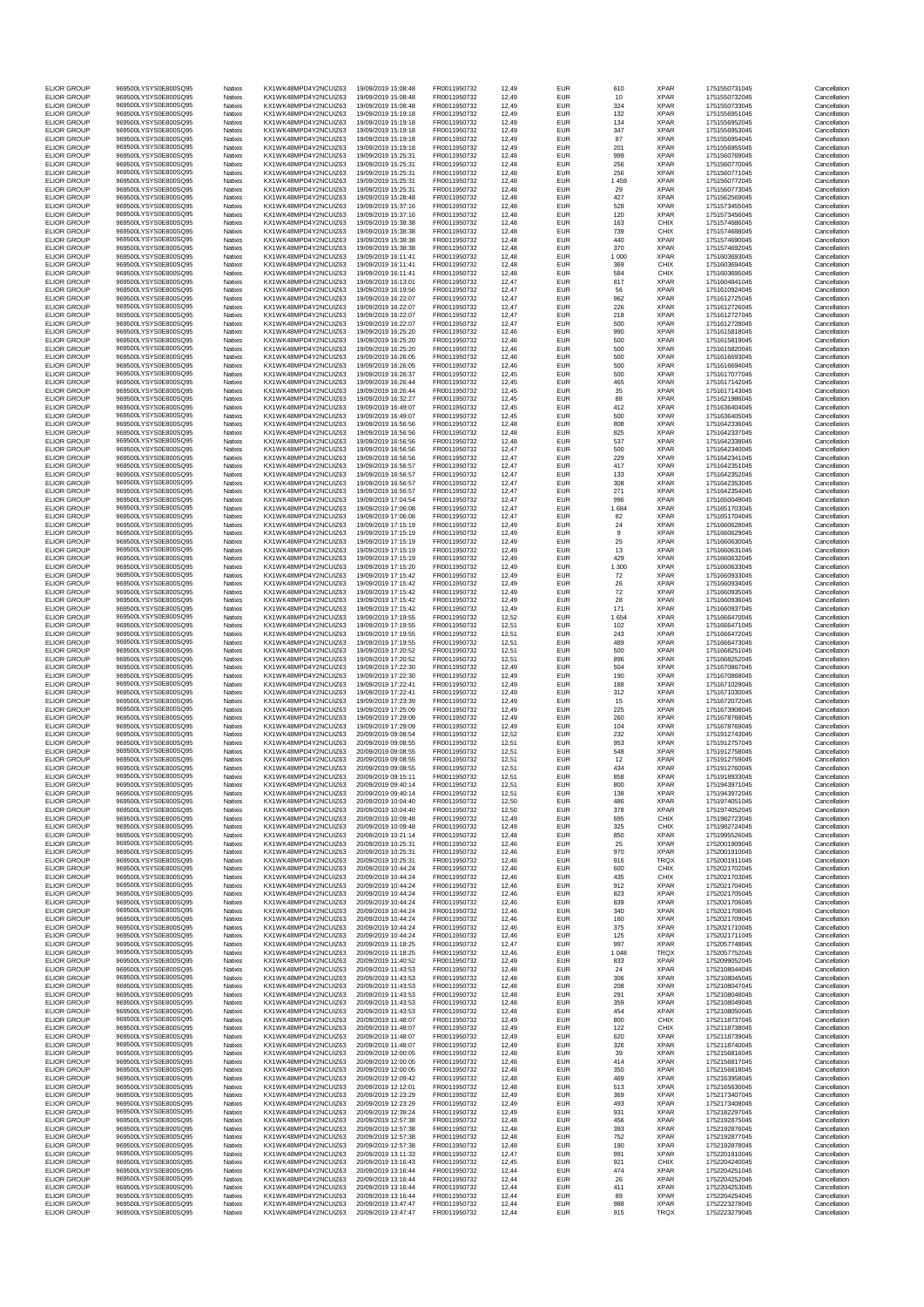| <b>ELIOR GROUP</b>                       | 969500LYSYS0E800SQ95                         | Natixis            | KX1WK48MPD4Y2NCUIZ63                         | 19/09/2019 15:08:48                        | FR0011950732                 | 12,49                   | <b>EUR</b>               | 610            | <b>XPAR</b>                | 1751550731045                  | Cancellation                 |
|------------------------------------------|----------------------------------------------|--------------------|----------------------------------------------|--------------------------------------------|------------------------------|-------------------------|--------------------------|----------------|----------------------------|--------------------------------|------------------------------|
| <b>ELIOR GROUP</b>                       | 969500LYSYS0E800SO95                         | Natixis            | KX1WK48MPD4Y2NCUIZ63                         | 19/09/2019 15:08:48                        | FR0011950732                 | 12,49                   | <b>EUR</b>               | 10             | <b>XPAR</b>                | 1751550732045                  | Cancellation                 |
| <b>ELIOR GROUP</b>                       | 969500LYSYS0E800SQ95                         | Natixis            | KX1WK48MPD4Y2NCUIZ63                         | 19/09/2019 15:08:48                        | FR0011950732                 | 12.49                   | <b>EUR</b>               | 324            | <b>XPAR</b>                | 1751550733045                  | Cancellation                 |
| <b>ELIOR GROUP</b>                       | 969500LYSYS0E800SQ95                         | Natixis            | KX1WK48MPD4Y2NCUIZ63                         | 19/09/2019 15:19:18                        | FR0011950732                 | 12,49                   | <b>EUR</b>               | 132            | <b>XPAR</b>                | 1751556951045                  | Cancellation                 |
| <b>ELIOR GROUP</b><br><b>ELIOR GROUP</b> | 969500LYSYS0E800SQ95<br>969500LYSYS0E800SO95 | Natixis<br>Natixis | KX1WK48MPD4Y2NCUIZ63<br>KX1WK48MPD4Y2NCUIZ63 | 19/09/2019 15:19:18<br>19/09/2019 15:19:18 | FR0011950732<br>FR0011950732 | 12.49<br>12,49          | <b>EUR</b><br><b>EUR</b> | 134<br>347     | <b>XPAR</b><br><b>XPAR</b> | 1751556952045<br>1751556953045 | Cancellation<br>Cancellation |
| <b>ELIOR GROUP</b>                       | 969500LYSYS0E800SQ95                         | Natixis            | KX1WK48MPD4Y2NCUIZ63                         | 19/09/2019 15:19:18                        | FR0011950732                 | 12,49                   | EUR                      | 87             | <b>XPAR</b>                | 1751556954045                  | Cancellation                 |
| <b>ELIOR GROUP</b>                       | 969500LYSYS0E800SQ95                         | Natixis            | KX1WK48MPD4Y2NCUIZ63                         | 19/09/2019 15:19:18                        | FR0011950732                 | 12.49                   | <b>EUR</b>               | 201            | <b>XPAR</b>                | 1751556955045                  | Cancellation                 |
| <b>ELIOR GROUP</b>                       | 969500LYSYS0E800SQ95<br>969500LYSYS0E800SQ95 | Natixis            | KX1WK48MPD4Y2NCUIZ63                         | 19/09/2019 15:25:31                        | FR0011950732                 | 12,48                   | <b>EUR</b>               | 999            | <b>XPAR</b>                | 1751560769045                  | Cancellation                 |
| <b>ELIOR GROUP</b><br><b>ELIOR GROUP</b> | 969500LYSYS0E800SO95                         | Natixis<br>Natixis | KX1WK48MPD4Y2NCUIZ63<br>KX1WK48MPD4Y2NCUIZ63 | 19/09/2019 15:25:31<br>19/09/2019 15:25:31 | FR0011950732<br>FR0011950732 | 12,48<br>12,48          | <b>EUR</b><br><b>EUR</b> | 256<br>256     | <b>XPAR</b><br><b>XPAR</b> | 1751560770045<br>1751560771045 | Cancellation<br>Cancellation |
| <b>ELIOR GROUP</b>                       | 969500LYSYS0E800SO95                         | Natixis            | KX1WK48MPD4Y2NCUIZ63                         | 19/09/2019 15:25:31                        | FR0011950732                 | 12,48                   | EUR                      | 1 4 5 9        | <b>XPAR</b>                | 1751560772045                  | Cancellation                 |
| <b>ELIOR GROUP</b>                       | 969500LYSYS0E800SQ95                         | Natixis            | KX1WK48MPD4Y2NCUIZ63                         | 19/09/2019 15:25:31                        | FR0011950732                 | 12.48                   | <b>EUR</b>               | 29             | <b>XPAR</b>                | 1751560773045                  | Cancellation                 |
| <b>ELIOR GROUP</b>                       | 969500LYSYS0E800SQ95<br>969500LYSYS0E800SQ95 | Natixis            | KX1WK48MPD4Y2NCUIZ63                         | 19/09/2019 15:28:48                        | FR0011950732                 | 12,48                   | <b>EUR</b>               | 427            | <b>XPAR</b>                | 1751562569045                  | Cancellation                 |
| <b>ELIOR GROUP</b><br><b>ELIOR GROUP</b> | 969500LYSYS0E800SQ95                         | Natixis<br>Natixis | KX1WK48MPD4Y2NCUIZ63<br>KX1WK48MPD4Y2NCUIZ63 | 19/09/2019 15:37:16<br>19/09/2019 15:37:16 | FR0011950732<br>FR0011950732 | 12.48<br>12,48          | <b>EUR</b><br><b>EUR</b> | 528<br>120     | <b>XPAR</b><br><b>XPAR</b> | 1751573455045<br>1751573456045 | Cancellation<br>Cancellation |
| <b>ELIOR GROUP</b>                       | 969500LYSYS0E800SQ95                         | Natixis            | KX1WK48MPD4Y2NCUIZ63                         | 19/09/2019 15:38:38                        | FR0011950732                 | 12,48                   | EUR                      | 163            | CHIX                       | 1751574686045                  | Cancellation                 |
| <b>ELIOR GROUP</b>                       | 969500LYSYS0E800SQ95                         | Natixis            | KX1WK48MPD4Y2NCUIZ63                         | 19/09/2019 15:38:38                        | FR0011950732                 | 12.48                   | <b>EUR</b>               | 739            | CHIX                       | 1751574688045                  | Cancellation                 |
| <b>ELIOR GROUP</b>                       | 969500LYSYS0E800SQ95                         | Natixis            | KX1WK48MPD4Y2NCUIZ63                         | 19/09/2019 15:38:38                        | FR0011950732                 | 12,48                   | <b>EUR</b>               | 440            | <b>XPAR</b>                | 1751574690045                  | Cancellation                 |
| <b>ELIOR GROUP</b><br><b>ELIOR GROUP</b> | 969500LYSYS0E800SQ95<br>969500LYSYS0E800SO95 | Natixis<br>Natixis | KX1WK48MPD4Y2NCUIZ63<br>KX1WK48MPD4Y2NCUIZ63 | 19/09/2019 15:38:38<br>19/09/2019 16:11:41 | FR0011950732<br>FR0011950732 | 12,48<br>12,48          | <b>EUR</b><br><b>EUR</b> | 370<br>1 0 0 0 | <b>XPAR</b><br><b>XPAR</b> | 1751574692045<br>1751603693045 | Cancellation<br>Cancellation |
| <b>ELIOR GROUP</b>                       | 969500LYSYS0E800SQ95                         | Natixis            | KX1WK48MPD4Y2NCUIZ63                         | 19/09/2019 16:11:41                        | FR0011950732                 | 12,48                   | EUR                      | 369            | CHIX                       | 1751603694045                  | Cancellation                 |
| <b>ELIOR GROUP</b>                       | 969500LYSYS0E800SQ95                         | Natixis            | KX1WK48MPD4Y2NCUIZ63                         | 19/09/2019 16:11:41                        | FR0011950732                 | 12.48                   | <b>EUR</b>               | 584            | CHIX                       | 1751603695045                  | Cancellation                 |
| <b>ELIOR GROUP</b>                       | 969500LYSYS0E800SQ95<br>969500LYSYS0E800SO95 | Natixis            | KX1WK48MPD4Y2NCUIZ63<br>KX1WK48MPD4Y2NCUIZ63 | 19/09/2019 16:13:01<br>19/09/2019 16:19:56 | FR0011950732<br>FR0011950732 | 12,47                   | <b>EUR</b>               | 817            | <b>XPAR</b><br><b>XPAR</b> | 1751604841045                  | Cancellation                 |
| <b>ELIOR GROUP</b><br><b>ELIOR GROUP</b> | 969500LYSYS0E800SQ95                         | Natixis<br>Natixis | KX1WK48MPD4Y2NCUIZ63                         | 19/09/2019 16:22:07                        | FR0011950732                 | 12,47<br>12,47          | <b>EUR</b><br><b>EUR</b> | 56<br>962      | <b>XPAR</b>                | 1751610924045<br>1751612725045 | Cancellation<br>Cancellation |
| <b>ELIOR GROUP</b>                       | 969500LYSYS0E800SQ95                         | Natixis            | KX1WK48MPD4Y2NCUIZ63                         | 19/09/2019 16:22:07                        | FR0011950732                 | 12,47                   | EUR                      | 226            | <b>XPAR</b>                | 1751612726045                  | Cancellation                 |
| <b>ELIOR GROUP</b>                       | 969500LYSYS0E800SQ95                         | Natixis            | KX1WK48MPD4Y2NCUIZ63                         | 19/09/2019 16:22:07                        | FR0011950732                 | 12.47                   | <b>EUR</b>               | 218            | <b>XPAR</b>                | 1751612727045                  | Cancellation                 |
| <b>ELIOR GROUP</b>                       | 969500LYSYS0E800SQ95                         | Natixis            | KX1WK48MPD4Y2NCUIZ63                         | 19/09/2019 16:22:07                        | FR0011950732                 | 12,47                   | <b>EUR</b>               | 500            | <b>XPAR</b>                | 1751612728045                  | Cancellation                 |
| <b>ELIOR GROUP</b><br><b>ELIOR GROUP</b> | 969500LYSYS0E800SQ95<br>969500LYSYS0E800SQ95 | Natixis<br>Natixis | KX1WK48MPD4Y2NCUIZ63<br>KX1WK48MPD4Y2NCUIZ63 | 19/09/2019 16:25:20<br>19/09/2019 16:25:20 | FR0011950732<br>FR0011950732 | 12,46<br>12,46          | <b>EUR</b><br><b>EUR</b> | 990<br>500     | <b>XPAR</b><br><b>XPAR</b> | 1751615818045<br>1751615819045 | Cancellation<br>Cancellation |
| <b>ELIOR GROUP</b>                       | 969500LYSYS0E800SQ95                         | Natixis            | KX1WK48MPD4Y2NCUIZ63                         | 19/09/2019 16:25:20                        | FR0011950732                 | 12,46                   | EUR                      | 500            | <b>XPAR</b>                | 1751615820045                  | Cancellation                 |
| <b>ELIOR GROUP</b>                       | 969500LYSYS0E800SQ95                         | Natixis            | KX1WK48MPD4Y2NCUIZ63                         | 19/09/2019 16:26:05                        | FR0011950732                 | 12.46                   | <b>EUR</b>               | 500            | <b>XPAR</b>                | 1751616693045                  | Cancellation                 |
| <b>ELIOR GROUP</b>                       | 969500LYSYS0E800SQ95                         | Natixis            | KX1WK48MPD4Y2NCUIZ63                         | 19/09/2019 16:26:05                        | FR0011950732                 | 12,46                   | <b>EUR</b>               | 500            | <b>XPAR</b>                | 1751616694045                  | Cancellation                 |
| <b>ELIOR GROUP</b><br><b>ELIOR GROUP</b> | 969500LYSYS0E800SQ95<br>969500LYSYS0E800SQ95 | Natixis<br>Natixis | KX1WK48MPD4Y2NCUIZ63<br>KX1WK48MPD4Y2NCUIZ63 | 19/09/2019 16:26:37<br>19/09/2019 16:26:44 | FR0011950732<br>FR0011950732 | 12.45<br>12,45          | <b>EUR</b><br><b>EUR</b> | 500<br>465     | <b>XPAR</b><br><b>XPAR</b> | 1751617077045<br>1751617142045 | Cancellation<br>Cancellation |
| <b>ELIOR GROUP</b>                       | 969500LYSYS0E800SQ95                         | Natixis            | KX1WK48MPD4Y2NCUIZ63                         | 19/09/2019 16:26:44                        | FR0011950732                 | 12,45                   | EUR                      | 35             | <b>XPAR</b>                | 1751617143045                  | Cancellation                 |
| FLIOR GROUP                              | 969500LYSYS0E800SQ95                         | Natixis            | KX1WK48MPD4Y2NCUIZ63                         | 19/09/2019 16:32:27                        | FR0011950732                 | 12.45                   | <b>EUR</b>               | 88             | <b>XPAR</b>                | 1751621986045                  | Cancellation                 |
| <b>ELIOR GROUP</b>                       | 969500LYSYS0E800SQ95                         | Natixis            | KX1WK48MPD4Y2NCUIZ63                         | 19/09/2019 16:49:07                        | FR0011950732                 | 12,45                   | <b>EUR</b>               | 412            | <b>XPAR</b>                | 1751636404045                  | Cancellation                 |
| FLIOR GROUP<br><b>ELIOR GROUP</b>        | 969500LYSYS0E800SO95<br>969500LYSYS0E800SO95 | Natixis<br>Natixis | KX1WK48MPD4Y2NCUIZ63<br>KX1WK48MPD4Y2NCUIZ63 | 19/09/2019 16:49:07<br>19/09/2019 16:56:56 | FR0011950732<br>FR0011950732 | 12,45<br>12,48          | <b>EUR</b><br><b>EUR</b> | 500<br>808     | <b>XPAR</b><br><b>XPAR</b> | 1751636405045<br>1751642336045 | Cancellation<br>Cancellation |
| <b>ELIOR GROUP</b>                       | 969500LYSYS0E800SO95                         | Natixis            | KX1WK48MPD4Y2NCUIZ63                         | 19/09/2019 16:56:56                        | FR0011950732                 | 12,48                   | <b>EUR</b>               | 825            | <b>XPAR</b>                | 1751642337045                  | Cancellation                 |
| <b>ELIOR GROUP</b>                       | 969500LYSYS0E800SQ95                         | Natixis            | KX1WK48MPD4Y2NCUIZ63                         | 19/09/2019 16:56:56                        | FR0011950732                 | 12.48                   | <b>EUR</b>               | 537            | <b>XPAR</b>                | 1751642338045                  | Cancellation                 |
| <b>ELIOR GROUP</b>                       | 969500LYSYS0E800SQ95                         | Natixis            | KX1WK48MPD4Y2NCUIZ63                         | 19/09/2019 16:56:56                        | FR0011950732                 | 12,47                   | <b>EUR</b>               | 500            | <b>XPAR</b>                | 1751642340045                  | Cancellation                 |
| <b>ELIOR GROUP</b>                       | 969500LYSYS0E800SQ95<br>969500LYSYS0E800SO95 | Natixis            | KX1WK48MPD4Y2NCUIZ63                         | 19/09/2019 16:56:56                        | FR0011950732                 | 12.47                   | <b>EUR</b>               | 229            | <b>XPAR</b>                | 1751642341045                  | Cancellation                 |
| <b>ELIOR GROUP</b><br><b>ELIOR GROUP</b> | 969500LYSYS0E800SQ95                         | Natixis<br>Natixis | KX1WK48MPD4Y2NCUIZ63<br>KX1WK48MPD4Y2NCUIZ63 | 19/09/2019 16:56:57<br>19/09/2019 16:56:57 | FR0011950732<br>FR0011950732 | 12,47<br>12,47          | <b>EUR</b><br><b>EUR</b> | 417<br>133     | <b>XPAR</b><br><b>XPAR</b> | 1751642351045<br>1751642352045 | Cancellation<br>Cancellation |
| <b>ELIOR GROUP</b>                       | 969500LYSYS0E800SQ95                         | Natixis            | KX1WK48MPD4Y2NCUIZ63                         | 19/09/2019 16:56:57                        | FR0011950732                 | 12.47                   | <b>EUR</b>               | 308            | <b>XPAR</b>                | 1751642353045                  | Cancellation                 |
| <b>ELIOR GROUP</b>                       | 969500LYSYS0E800SQ95                         | Natixis            | KX1WK48MPD4Y2NCUIZ63                         | 19/09/2019 16:56:57                        | FR0011950732                 | 12,47                   | <b>EUR</b>               | 271            | <b>XPAR</b>                | 1751642354045                  | Cancellation                 |
| <b>ELIOR GROUP</b>                       | 969500LYSYS0E800SO95                         | Natixis            | KX1WK48MPD4Y2NCUIZ63                         | 19/09/2019 17:04:54                        | FR0011950732                 | 12,47                   | <b>EUR</b>               | 996            | <b>XPAR</b>                | 1751650049045                  | Cancellation                 |
| <b>ELIOR GROUP</b>                       | 969500LYSYS0E800SO95                         | Natixis            | KX1WK48MPD4Y2NCUIZ63                         | 19/09/2019 17:06:08                        | FR0011950732                 | 12,47                   | <b>EUR</b>               | 1684           | <b>XPAR</b>                | 1751651703045                  | Cancellation                 |
| <b>ELIOR GROUP</b><br><b>ELIOR GROUP</b> | 969500LYSYS0E800SQ95<br>969500LYSYS0E800SQ95 | Natixis<br>Natixis | KX1WK48MPD4Y2NCUIZ63<br>KX1WK48MPD4Y2NCUIZ63 | 19/09/2019 17:06:08<br>19/09/2019 17:15:19 | FR0011950732<br>FR0011950732 | 12,47<br>12.49          | <b>EUR</b><br><b>EUR</b> | 82<br>24       | <b>XPAR</b><br><b>XPAR</b> | 1751651704045<br>1751660628045 | Cancellation<br>Cancellation |
| <b>ELIOR GROUP</b>                       | 969500LYSYS0E800SQ95                         | Natixis            | KX1WK48MPD4Y2NCUIZ63                         | 19/09/2019 17:15:19                        | FR0011950732                 | 12,49                   | <b>EUR</b>               | 9              | <b>XPAR</b>                | 1751660629045                  | Cancellation                 |
| <b>ELIOR GROUP</b>                       | 969500LYSYS0E800SQ95                         | Natixis            | KX1WK48MPD4Y2NCUIZ63                         | 19/09/2019 17:15:19                        | FR0011950732                 | 12,49                   | <b>EUR</b>               | 25             | <b>XPAR</b>                | 1751660630045                  | Cancellation                 |
| <b>ELIOR GROUP</b>                       | 969500LYSYS0E800SQ95                         | Natixis            | KX1WK48MPD4Y2NCUIZ63                         | 19/09/2019 17:15:19                        | FR0011950732                 | 12,49                   | <b>EUR</b>               | 13             | <b>XPAR</b>                | 1751660631045                  | Cancellation                 |
| <b>ELIOR GROUP</b><br><b>ELIOR GROUP</b> | 969500LYSYS0E800SQ95<br>969500LYSYS0E800SQ95 | Natixis<br>Natixis | KX1WK48MPD4Y2NCUIZ63<br>KX1WK48MPD4Y2NCUIZ63 | 19/09/2019 17:15:19<br>19/09/2019 17:15:20 | FR0011950732<br>FR0011950732 | 12,49<br>12.49          | <b>EUR</b><br><b>EUR</b> | 429<br>1 300   | <b>XPAR</b><br><b>XPAR</b> | 1751660632045<br>1751660633045 | Cancellation<br>Cancellation |
| <b>ELIOR GROUP</b>                       | 969500LYSYS0E800SQ95                         | Natixis            | KX1WK48MPD4Y2NCUIZ63                         | 19/09/2019 17:15:42                        | FR0011950732                 | 12,49                   | <b>EUR</b>               | 72             | <b>XPAR</b>                | 1751660933045                  | Cancellation                 |
| <b>ELIOR GROUP</b>                       | 969500LYSYS0E800SQ95                         | Natixis            | KX1WK48MPD4Y2NCUIZ63                         | 19/09/2019 17:15:42                        | FR0011950732                 | 12,49                   | <b>EUR</b>               | 26             | <b>XPAR</b>                | 1751660934045                  | Cancellation                 |
| <b>ELIOR GROUP</b>                       | 969500LYSYS0E800SQ95                         | Natixis            | KX1WK48MPD4Y2NCUIZ63                         | 19/09/2019 17:15:42                        | FR0011950732                 | 12,49                   | <b>EUR</b>               | 72             | <b>XPAR</b>                | 1751660935045                  | Cancellation                 |
| <b>ELIOR GROUP</b><br><b>ELIOR GROUP</b> | 969500LYSYS0E800SQ95<br>969500LYSYS0E800SQ95 | Natixis<br>Natixis | KX1WK48MPD4Y2NCUIZ63<br>KX1WK48MPD4Y2NCUIZ63 | 19/09/2019 17:15:42<br>19/09/2019 17:15:42 | FR0011950732<br>FR0011950732 | 12,49<br>12.49          | <b>EUR</b><br><b>EUR</b> | 28<br>171      | <b>XPAR</b><br><b>XPAR</b> | 1751660936045<br>1751660937045 | Cancellation<br>Cancellation |
| <b>ELIOR GROUP</b>                       | 969500LYSYS0E800SQ95                         | Natixis            | KX1WK48MPD4Y2NCUIZ63                         | 19/09/2019 17:19:55                        | FR0011950732                 | 12,52                   | <b>EUR</b>               | 1 6 5 4        | <b>XPAR</b>                | 1751666470045                  | Cancellation                 |
| <b>ELIOR GROUP</b>                       | 969500LYSYS0E800SO95                         | Natixis            | KX1WK48MPD4Y2NCUIZ63                         | 19/09/2019 17:19:55                        | FR0011950732                 | 12,51                   | <b>EUR</b>               | 102            | <b>XPAR</b>                | 1751666471045                  | Cancellation                 |
| <b>ELIOR GROUP</b>                       | 969500LYSYS0E800SQ95                         | Natixis            | KX1WK48MPD4Y2NCUIZ63                         | 19/09/2019 17:19:55                        | FR0011950732                 | 12,51                   | <b>EUR</b>               | 243            | <b>XPAR</b>                | 1751666472045                  | Cancellation                 |
| <b>ELIOR GROUP</b><br><b>ELIOR GROUP</b> | 969500LYSYS0E800SQ95<br>969500LYSYS0E800SQ95 | Natixis            | KX1WK48MPD4Y2NCUIZ63<br>KX1WK48MPD4Y2NCUIZ63 | 19/09/2019 17:19:55<br>19/09/2019 17:20:52 | FR0011950732<br>FR0011950732 | 12,51<br>$12.5^{\circ}$ | <b>EUR</b><br><b>EUR</b> | 489<br>500     | <b>XPAR</b><br><b>XPAR</b> | 1751666473045<br>1751668251045 | Cancellation<br>Cancellation |
| <b>ELIOR GROUP</b>                       | 969500LYSYS0E800SQ95                         | Natixis<br>Natixis | KX1WK48MPD4Y2NCUIZ63                         | 19/09/2019 17:20:52                        | FR0011950732                 | 12,51                   | <b>EUR</b>               | 896            | <b>XPAR</b>                | 1751668252045                  | Cancellation                 |
| <b>ELIOR GROUP</b>                       | 969500LYSYS0E800SO95                         | Natixis            | KX1WK48MPD4Y2NCUIZ63                         | 19/09/2019 17:22:30                        | FR0011950732                 | 12,49                   | <b>EUR</b>               | 504            | <b>XPAR</b>                | 1751670867045                  | Cancellation                 |
| <b>ELIOR GROUP</b>                       | 969500LYSYS0E800SQ95                         | Natixis            | KX1WK48MPD4Y2NCUIZ63                         | 19/09/2019 17:22:30                        | FR0011950732                 | 12,49                   | <b>EUR</b>               | 190            | <b>XPAR</b>                | 1751670868045                  | Cancellation                 |
| <b>ELIOR GROUP</b>                       | 969500LYSYS0E800SQ95                         | Natixis            | KX1WK48MPD4Y2NCUIZ63                         | 19/09/2019 17:22:41                        | FR0011950732                 | 12,49                   | <b>EUR</b>               | 188            | <b>XPAR</b>                | 1751671029045                  | Cancellation                 |
| <b>ELIOR GROUP</b><br><b>ELIOR GROUP</b> | 969500LYSYS0E800SQ95<br>969500LYSYS0E800SQ95 | Natixis<br>Natixis | KX1WK48MPD4Y2NCUIZ63<br>KX1WK48MPD4Y2NCUIZ63 | 19/09/2019 17:22:41<br>19/09/2019 17:23:39 | FR0011950732<br>FR0011950732 | 12.49<br>12,49          | <b>EUR</b><br><b>EUR</b> | 312<br>15      | <b>XPAR</b><br><b>XPAR</b> | 1751671030045<br>1751672072045 | Cancellation<br>Cancellation |
| <b>ELIOR GROUP</b>                       | 969500LYSYS0E800SO95                         | Natixis            | KX1WK48MPD4Y2NCUIZ63                         | 19/09/2019 17:25:09                        | FR0011950732                 | 12.49                   | <b>EUR</b>               | 225            | <b>XPAR</b>                | 1751673908045                  | Cancellation                 |
| <b>ELIOR GROUP</b>                       | 969500LYSYS0E800SO95                         | Natixis            | KX1WK48MPD4Y2NCUIZ63                         | 19/09/2019 17:29:09                        | FR0011950732                 | 12,49                   | <b>EUR</b>               | 260            | <b>XPAR</b>                | 1751678768045                  | Cancellation                 |
| <b>ELIOR GROUP</b>                       | 969500LYSYS0E800SQ95                         | Natixis            | KX1WK48MPD4Y2NCUIZ63                         | 19/09/2019 17:29:09                        | FR0011950732                 | 12,49                   | <b>EUR</b>               | 104            | <b>XPAR</b>                | 1751678769045                  | Cancellation                 |
| <b>ELIOR GROUP</b><br><b>ELIOR GROUP</b> | 969500LYSYS0E800SQ95                         | Natixis<br>Natixis | KX1WK48MPD4Y2NCUIZ63                         | 20/09/2019 09:08:54                        | FR0011950732                 | 12.52                   | <b>EUR</b>               | 232            | <b>XPAR</b>                | 1751912743045                  | Cancellation                 |
| <b>ELIOR GROUP</b>                       | 969500LYSYS0E800SQ95<br>969500LYSYS0E800SO95 | Natixis            | KX1WK48MPD4Y2NCUIZ63<br>KX1WK48MPD4Y2NCUIZ63 | 20/09/2019 09:08:55<br>20/09/2019 09:08:55 | FR0011950732<br>FR0011950732 | 12,51<br>12,51          | <b>EUR</b><br><b>EUR</b> | 953<br>548     | <b>XPAR</b><br><b>XPAR</b> | 1751912757045<br>1751912758045 | Cancellation<br>Cancellation |
| <b>ELIOR GROUP</b>                       | 969500LYSYS0E800SQ95                         | Natixis            | KX1WK48MPD4Y2NCUIZ63                         | 20/09/2019 09:08:55                        | FR0011950732                 | 12,51                   | <b>EUR</b>               | 12             | <b>XPAR</b>                | 1751912759045                  | Cancellation                 |
| <b>ELIOR GROUP</b>                       | 969500LYSYS0E800SQ95                         | Natixis            | KX1WK48MPD4Y2NCUIZ63                         | 20/09/2019 09:08:55                        | FR0011950732                 | 12,51                   | <b>EUR</b>               | 434            | <b>XPAR</b>                | 1751912760045                  | Cancellation                 |
| <b>ELIOR GROUP</b>                       | 969500LYSYS0E800SQ95                         | Natixis            | KX1WK48MPD4Y2NCUIZ63                         | 20/09/2019 09:15:11                        | FR0011950732                 | 12.51                   | <b>EUR</b>               | 858            | <b>XPAR</b>                | 1751918933045                  | Cancellation                 |
| <b>ELIOR GROUP</b><br><b>ELIOR GROUP</b> | 969500LYSYS0E800SQ95<br>969500LYSYS0E800SQ95 | Natixis<br>Natixis | KX1WK48MPD4Y2NCUIZ63<br>KX1WK48MPD4Y2NCUIZ63 | 20/09/2019 09:40:14<br>20/09/2019 09:40:14 | FR0011950732<br>FR0011950732 | 12.51<br>12.51          | <b>EUR</b><br><b>EUR</b> | 800<br>138     | <b>XPAR</b><br><b>XPAR</b> | 1751943971045<br>1751943972045 | Cancellation<br>Cancellation |
| <b>ELIOR GROUP</b>                       | 969500LYSYS0E800SQ95                         | Natixis            | KX1WK48MPD4Y2NCUIZ63                         | 20/09/2019 10:04:40                        | FR0011950732                 | 12,50                   | <b>EUR</b>               | 486            | <b>XPAR</b>                | 1751974051045                  | Cancellation                 |
| <b>ELIOR GROUP</b>                       | 969500LYSYS0E800SQ95                         | Natixis            | KX1WK48MPD4Y2NCUIZ63                         | 20/09/2019 10:04:40                        | FR0011950732                 | 12,50                   | <b>EUR</b>               | 378            | <b>XPAR</b>                | 1751974052045                  | Cancellation                 |
| FLIOR GROUP                              | 969500LYSYS0E800SO95                         | Natixis            | KX1WK48MPD4Y2NCUIZ63                         | 20/09/2019 10:09:48                        | FR0011950732                 | 12.49                   | <b>EUR</b>               | 695            | CHIX                       | 1751982723045                  | Cancellation                 |
| <b>ELIOR GROUP</b>                       | 969500LYSYS0E800SQ95<br>969500LYSYS0E800SQ95 | Natixis            | KX1WK48MPD4Y2NCUIZ63                         | 20/09/2019 10:09:48<br>20/09/2019 10:21:14 | FR0011950732<br>FR0011950732 | 12,49                   | <b>EUR</b>               | 325<br>850     | CHIX                       | 1751982724045                  | Cancellation                 |
| <b>ELIOR GROUP</b><br><b>ELIOR GROUP</b> | 969500LYSYS0E800SQ95                         | Natixis<br>Natixis | KX1WK48MPD4Y2NCUIZ63<br>KX1WK48MPD4Y2NCUIZ63 | 20/09/2019 10:25:31                        | FR0011950732                 | 12,48<br>12,46          | <b>EUR</b><br><b>EUR</b> | 25             | <b>XPAR</b><br><b>XPAR</b> | 1751995526045<br>1752001909045 | Cancellation<br>Cancellation |
| <b>ELIOR GROUP</b>                       | 969500LYSYS0E800SQ95                         | Natixis            | KX1WK48MPD4Y2NCUIZ63                         | 20/09/2019 10:25:31                        | FR0011950732                 | 12,46                   | <b>EUR</b>               | 970            | <b>XPAR</b>                | 1752001910045                  | Cancellation                 |
| FLIOR GROUP                              | 969500LYSYS0E800SQ95                         | Natixis            | KX1WK48MPD4Y2NCUIZ63                         | 20/09/2019 10:25:31                        | FR0011950732                 | 12.46                   | <b>EUR</b>               | 916            | TRQX                       | 1752001911045                  | Cancellation                 |
| FLIOR GROUP<br><b>ELIOR GROUP</b>        | 969500LYSYS0E800SQ95<br>969500LYSYS0E800SQ95 | Natixis<br>Natixis | KX1WK48MPD4Y2NCUIZ63<br>KX1WK48MPD4Y2NCUIZ63 | 20/09/2019 10:44:24<br>20/09/2019 10:44:24 | FR0011950732<br>FR0011950732 | 12.46<br>12.46          | <b>EUR</b><br><b>EUR</b> | 600<br>435     | CHIX<br>CHIX               | 1752021702045<br>1752021703045 | Cancellation<br>Cancellation |
| <b>ELIOR GROUP</b>                       | 969500LYSYS0E800SQ95                         | Natixis            | KX1WK48MPD4Y2NCUIZ63                         | 20/09/2019 10:44:24                        | FR0011950732                 | 12,46                   | <b>EUR</b>               | 912            | <b>XPAR</b>                | 1752021704045                  | Cancellation                 |
| <b>ELIOR GROUP</b>                       | 969500LYSYS0E800SQ95                         | Natixis            | KX1WK48MPD4Y2NCUIZ63                         | 20/09/2019 10:44:24                        | FR0011950732                 | 12,46                   | <b>EUR</b>               | 823            | <b>XPAR</b>                | 1752021705045                  | Cancellation                 |
| <b>ELIOR GROUP</b>                       | 969500LYSYS0E800SQ95                         | Natixis            | KX1WK48MPD4Y2NCUIZ63                         | 20/09/2019 10:44:24                        | FR0011950732                 | 12.46                   | <b>EUR</b>               | 839            | <b>XPAR</b>                | 1752021706045                  | Cancellation                 |
| FLIOR GROUP<br><b>ELIOR GROUP</b>        | 969500LYSYS0E800SQ95<br>969500LYSYS0E800SQ95 | Natixis<br>Natixis | KX1WK48MPD4Y2NCUIZ63<br>KX1WK48MPD4Y2NCUIZ63 | 20/09/2019 10:44:24<br>20/09/2019 10:44:24 | FR0011950732<br>FR0011950732 | 12,46<br>12,46          | <b>EUR</b><br><b>EUR</b> | 340<br>160     | <b>XPAR</b><br><b>XPAR</b> | 1752021708045<br>1752021709045 | Cancellation<br>Cancellation |
| <b>ELIOR GROUP</b>                       | 969500LYSYS0E800SQ95                         | Natixis            | KX1WK48MPD4Y2NCUIZ63                         | 20/09/2019 10:44:24                        | FR0011950732                 | 12,46                   | <b>EUR</b>               | 375            | <b>XPAR</b>                | 1752021710045                  | Cancellation                 |
| <b>ELIOR GROUP</b>                       | 969500LYSYS0E800SQ95                         | Natixis            | KX1WK48MPD4Y2NCUIZ63                         | 20/09/2019 10:44:24                        | FR0011950732                 | 12,46                   | <b>EUR</b>               | 125            | <b>XPAR</b>                | 1752021711045                  | Cancellation                 |
| <b>ELIOR GROUP</b>                       | 969500LYSYS0E800SQ95                         | Natixis            | KX1WK48MPD4Y2NCUIZ63                         | 20/09/2019 11:18:25                        | FR0011950732                 | 12.47                   | <b>EUR</b>               | 997            | <b>XPAR</b>                | 1752057748045                  | Cancellation                 |
| <b>ELIOR GROUP</b><br><b>ELIOR GROUP</b> | 969500LYSYS0E800SQ95<br>969500LYSYS0E800SQ95 | Natixis<br>Natixis | KX1WK48MPD4Y2NCUIZ63<br>KX1WK48MPD4Y2NCUIZ63 | 20/09/2019 11:18:25<br>20/09/2019 11:40:52 | FR0011950732<br>FR0011950732 | 12.46<br>12.49          | <b>EUR</b><br><b>EUR</b> | 1 0 4 8<br>833 | TRQX<br><b>XPAR</b>        | 1752057752045<br>1752099052045 | Cancellation<br>Cancellation |
| <b>ELIOR GROUP</b>                       | 969500LYSYS0E800SQ95                         | Natixis            | KX1WK48MPD4Y2NCUIZ63                         | 20/09/2019 11:43:53                        | FR0011950732                 | 12,48                   | <b>EUR</b>               | 24             | <b>XPAR</b>                | 1752108044045                  | Cancellation                 |
| <b>ELIOR GROUP</b>                       | 969500LYSYS0E800SQ95                         | Natixis            | KX1WK48MPD4Y2NCUIZ63                         | 20/09/2019 11:43:53                        | FR0011950732                 | 12,48                   | <b>EUR</b>               | 306            | <b>XPAR</b>                | 1752108045045                  | Cancellation                 |
| <b>ELIOR GROUP</b>                       | 969500LYSYS0E800SQ95                         | Natixis            | KX1WK48MPD4Y2NCUIZ63                         | 20/09/2019 11:43:53                        | FR0011950732                 | 12.48                   | <b>EUR</b>               | 208            | <b>XPAR</b>                | 1752108047045                  | Cancellation                 |
| <b>ELIOR GROUP</b><br><b>ELIOR GROUP</b> | 969500LYSYS0E800SQ95<br>969500LYSYS0E800SQ95 | Natixis<br>Natixis | KX1WK48MPD4Y2NCUIZ63<br>KX1WK48MPD4Y2NCUIZ63 | 20/09/2019 11:43:53<br>20/09/2019 11:43:53 | FR0011950732                 | 12,48<br>12,48          | <b>EUR</b><br><b>EUR</b> | 291<br>359     | <b>XPAR</b><br><b>XPAR</b> | 1752108048045                  | Cancellation<br>Cancellation |
| <b>ELIOR GROUP</b>                       | 969500LYSYS0E800SQ95                         | Natixis            | KX1WK48MPD4Y2NCUIZ63                         | 20/09/2019 11:43:53                        | FR0011950732<br>FR0011950732 | 12,48                   | <b>EUR</b>               | 454            | <b>XPAR</b>                | 1752108049045<br>1752108050045 | Cancellation                 |
| <b>ELIOR GROUP</b>                       | 969500LYSYS0E800SQ95                         | Natixis            | KX1WK48MPD4Y2NCUIZ63                         | 20/09/2019 11:48:07                        | FR0011950732                 | 12,49                   | <b>EUR</b>               | 800            | CHIX                       | 1752118737045                  | Cancellation                 |
| <b>ELIOR GROUP</b>                       | 969500LYSYS0E800SQ95                         | Natixis            | KX1WK48MPD4Y2NCUIZ63                         | 20/09/2019 11:48:07                        | FR0011950732                 | 12.49                   | <b>EUR</b>               | 122            | <b>CHIX</b>                | 1752118738045                  | Cancellation                 |
| <b>ELIOR GROUP</b>                       | 969500LYSYS0E800SQ95                         | Natixis            | KX1WK48MPD4Y2NCUIZ63                         | 20/09/2019 11:48:07                        | FR0011950732                 | 12,49                   | <b>EUR</b>               | 620            | <b>XPAR</b>                | 1752118739045                  | Cancellation                 |
| <b>ELIOR GROUP</b><br><b>ELIOR GROUP</b> | 969500LYSYS0E800SQ95<br>969500LYSYS0E800SQ95 | Natixis<br>Natixis | KX1WK48MPD4Y2NCUIZ63<br>KX1WK48MPD4Y2NCUIZ63 | 20/09/2019 11:48:07<br>20/09/2019 12:00:05 | FR0011950732<br>FR0011950732 | 12,49<br>12.48          | <b>EUR</b><br><b>EUR</b> | 326<br>39      | <b>XPAR</b><br><b>XPAR</b> | 1752118740045<br>1752156816045 | Cancellation<br>Cancellation |
| <b>ELIOR GROUP</b>                       | 969500LYSYS0E800SQ95                         | Natixis            | KX1WK48MPD4Y2NCUIZ63                         | 20/09/2019 12:00:05                        | FR0011950732                 | 12,48                   | EUR                      | 414            | <b>XPAR</b>                | 1752156817045                  | Cancellation                 |
| <b>ELIOR GROUP</b>                       | 969500LYSYS0E800SQ95                         | Natixis            | KX1WK48MPD4Y2NCUIZ63                         | 20/09/2019 12:00:05                        | FR0011950732                 | 12.48                   | <b>EUR</b>               | 350            | <b>XPAR</b>                | 1752156818045                  | Cancellation                 |
| <b>ELIOR GROUP</b>                       | 969500LYSYS0E800SQ95                         | Natixis            | KX1WK48MPD4Y2NCUIZ63                         | 20/09/2019 12:09:42                        | FR0011950732                 | 12,48                   | <b>EUR</b>               | 469            | <b>XPAR</b>                | 1752163958045                  | Cancellation                 |
| <b>ELIOR GROUP</b><br><b>ELIOR GROUP</b> | 969500LYSYS0E800SQ95<br>969500LYSYS0E800SQ95 | Natixis<br>Natixis | KX1WK48MPD4Y2NCUIZ63<br>KX1WK48MPD4Y2NCUIZ63 | 20/09/2019 12:12:01<br>20/09/2019 12:23:29 | FR0011950732<br>FR0011950732 | 12,48<br>12.49          | <b>EUR</b><br><b>EUR</b> | 513<br>369     | <b>XPAR</b><br><b>XPAR</b> | 1752165630045<br>1752173407045 | Cancellation<br>Cancellation |
| <b>ELIOR GROUP</b>                       | 969500LYSYS0E800SQ95                         | Natixis            | KX1WK48MPD4Y2NCUIZ63                         | 20/09/2019 12:23:29                        | FR0011950732                 | 12,49                   | EUR                      | 493            | <b>XPAR</b>                | 1752173408045                  | Cancellation                 |
| <b>ELIOR GROUP</b>                       | 969500LYSYS0E800SQ95                         | Natixis            | KX1WK48MPD4Y2NCUIZ63                         | 20/09/2019 12:39:24                        | FR0011950732                 | 12.49                   | <b>EUR</b>               | 931            | <b>XPAR</b>                | 1752182297045                  | Cancellation                 |
| <b>ELIOR GROUP</b>                       | 969500LYSYS0E800SQ95                         | Natixis            | KX1WK48MPD4Y2NCUIZ63                         | 20/09/2019 12:57:38                        | FR0011950732                 | 12,48                   | <b>EUR</b>               | 456            | <b>XPAR</b>                | 1752192875045                  | Cancellation                 |
| <b>ELIOR GROUP</b><br><b>ELIOR GROUP</b> | 969500LYSYS0E800SQ95<br>969500LYSYS0E800SQ95 | Natixis<br>Natixis | KX1WK48MPD4Y2NCUIZ63<br>KX1WK48MPD4Y2NCUIZ63 | 20/09/2019 12:57:38<br>20/09/2019 12:57:38 | FR0011950732<br>FR0011950732 | 12,48<br>12.48          | <b>EUR</b><br><b>EUR</b> | 393<br>752     | <b>XPAR</b><br><b>XPAR</b> | 1752192876045<br>1752192877045 | Cancellation<br>Cancellation |
| <b>ELIOR GROUP</b>                       | 969500LYSYS0E800SQ95                         | Natixis            | KX1WK48MPD4Y2NCUIZ63                         | 20/09/2019 12:57:38                        | FR0011950732                 | 12,48                   | EUR                      | 190            | <b>XPAR</b>                | 1752192878045                  | Cancellation                 |
| <b>ELIOR GROUP</b>                       | 969500LYSYS0E800SQ95                         | Natixis            | KX1WK48MPD4Y2NCUIZ63                         | 20/09/2019 13:11:33                        | FR0011950732                 | 12.47                   | <b>EUR</b>               | 991            | <b>XPAR</b>                | 1752201910045                  | Cancellation                 |
| <b>ELIOR GROUP</b>                       | 969500LYSYS0E800SQ95                         | Natixis            | KX1WK48MPD4Y2NCUIZ63                         | 20/09/2019 13:16:43                        | FR0011950732                 | 12,45                   | <b>EUR</b>               | 921            | CHIX                       | 1752204240045                  | Cancellation                 |
| <b>ELIOR GROUP</b><br><b>ELIOR GROUP</b> | 969500LYSYS0E800SQ95<br>969500LYSYS0E800SQ95 | Natixis<br>Natixis | KX1WK48MPD4Y2NCUIZ63<br>KX1WK48MPD4Y2NCUIZ63 | 20/09/2019 13:16:44<br>20/09/2019 13:16:44 | FR0011950732<br>FR0011950732 | 12,44<br>12.44          | <b>EUR</b><br><b>EUR</b> | 474<br>26      | <b>XPAR</b><br><b>XPAR</b> | 1752204251045<br>1752204252045 | Cancellation<br>Cancellation |
| <b>ELIOR GROUP</b>                       | 969500LYSYS0E800SQ95                         | Natixis            | KX1WK48MPD4Y2NCUIZ63                         | 20/09/2019 13:16:44                        | FR0011950732                 | 12,44                   | <b>EUR</b>               | 411            | <b>XPAR</b>                | 1752204253045                  | Cancellation                 |
| <b>ELIOR GROUP</b>                       | 969500LYSYS0E800SQ95                         | Natixis            | KX1WK48MPD4Y2NCUIZ63                         | 20/09/2019 13:16:44                        | FR0011950732                 | 12.44                   | <b>EUR</b>               | 89             | <b>XPAR</b>                | 1752204254045                  | Cancellation                 |
| <b>ELIOR GROUP</b>                       | 969500LYSYS0E800SQ95                         | Natixis            | KX1WK48MPD4Y2NCUIZ63                         | 20/09/2019 13:47:47                        | FR0011950732                 | 12,44                   | <b>EUR</b>               | 988            | <b>XPAR</b><br><b>TROX</b> | 1752223278045                  | Cancellation                 |
| <b>ELIOR GROUP</b>                       | 969500LYSYS0E800SQ95                         | Natixis            | KX1WK48MPD4Y2NCUIZ63                         | 20/09/2019 13:47:47                        | FR0011950732                 | 12,44                   | <b>EUR</b>               | 915            |                            | 1752223279045                  | Cancellation                 |